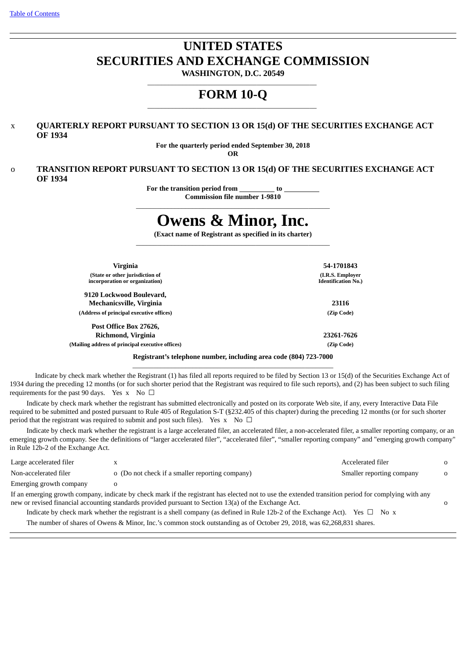# **UNITED STATES SECURITIES AND EXCHANGE COMMISSION**

**WASHINGTON, D.C. 20549** \_\_\_\_\_\_\_\_\_\_\_\_\_\_\_\_\_\_\_\_\_\_\_\_\_\_\_\_\_\_\_\_\_\_\_\_\_\_\_\_\_\_\_\_\_\_\_\_

# **FORM 10-Q** \_\_\_\_\_\_\_\_\_\_\_\_\_\_\_\_\_\_\_\_\_\_\_\_\_\_\_\_\_\_\_\_\_\_\_\_\_\_\_\_\_\_\_\_\_\_\_\_

# x **QUARTERLY REPORT PURSUANT TO SECTION 13 OR 15(d) OF THE SECURITIES EXCHANGE ACT OF 1934**

**For the quarterly period ended September 30, 2018 OR**

# o **TRANSITION REPORT PURSUANT TO SECTION 13 OR 15(d) OF THE SECURITIES EXCHANGE ACT OF 1934**

**For the transition period from to**

**Commission file number 1-9810** \_\_\_\_\_\_\_\_\_\_\_\_\_\_\_\_\_\_\_\_\_\_\_\_\_\_\_\_\_\_\_\_\_\_\_\_\_\_\_\_\_\_\_\_\_\_\_\_\_\_\_\_\_\_\_

# **Owens & Minor, Inc.**

**(Exact name of Registrant as specified in its charter)** \_\_\_\_\_\_\_\_\_\_\_\_\_\_\_\_\_\_\_\_\_\_\_\_\_\_\_\_\_\_\_\_\_\_\_\_\_\_\_\_\_\_\_\_\_\_\_\_\_\_\_\_\_\_\_

| Virginia                                                          | 54-1701843                                     |
|-------------------------------------------------------------------|------------------------------------------------|
| (State or other jurisdiction of<br>incorporation or organization) | (I.R.S. Employer<br><b>Identification No.)</b> |
| 9120 Lockwood Boulevard.                                          |                                                |
| Mechanicsville, Virginia                                          | 23116                                          |
| (Address of principal executive offices)                          | (Zip Code)                                     |
| Post Office Box 27626,                                            |                                                |
| Richmond, Virginia                                                | 23261-7626                                     |
| (Mailing address of principal executive offices)                  | (Zip Code)                                     |
|                                                                   |                                                |

**Registrant's telephone number, including area code (804) 723-7000** \_\_\_\_\_\_\_\_\_\_\_\_\_\_\_\_\_\_\_\_\_\_\_\_\_\_\_\_\_\_\_\_\_\_\_\_\_\_\_\_\_\_\_\_\_\_\_\_\_\_\_\_\_\_\_\_\_

Indicate by check mark whether the Registrant (1) has filed all reports required to be filed by Section 13 or 15(d) of the Securities Exchange Act of 1934 during the preceding 12 months (or for such shorter period that the Registrant was required to file such reports), and (2) has been subject to such filing requirements for the past 90 days. Yes x No  $\Box$ 

Indicate by check mark whether the registrant has submitted electronically and posted on its corporate Web site, if any, every Interactive Data File required to be submitted and posted pursuant to Rule 405 of Regulation S-T (§232.405 of this chapter) during the preceding 12 months (or for such shorter period that the registrant was required to submit and post such files). Yes  $x$  No  $\Box$ 

Indicate by check mark whether the registrant is a large accelerated filer, an accelerated filer, a non-accelerated filer, a smaller reporting company, or an emerging growth company. See the definitions of "larger accelerated filer", "accelerated filer", "smaller reporting company" and "emerging growth company" in Rule 12b-2 of the Exchange Act.

| Large accelerated filer                                                                                                                              |                                                 | Accelerated filer         |          |  |  |  |
|------------------------------------------------------------------------------------------------------------------------------------------------------|-------------------------------------------------|---------------------------|----------|--|--|--|
| Non-accelerated filer                                                                                                                                | o (Do not check if a smaller reporting company) | Smaller reporting company | $\Omega$ |  |  |  |
| Emerging growth company                                                                                                                              |                                                 |                           |          |  |  |  |
| If an emerging growth company, indicate by check mark if the registrant has elected not to use the extended transition period for complying with any |                                                 |                           |          |  |  |  |
| new or revised financial accounting standards provided pursuant to Section 13(a) of the Exchange Act.                                                |                                                 |                           |          |  |  |  |

Indicate by check mark whether the registrant is a shell company (as defined in Rule 12b-2 of the Exchange Act). Yes  $\Box$  No x

The number of shares of Owens & Minor, Inc.'s common stock outstanding as of October 29, 2018, was 62,268,831 shares.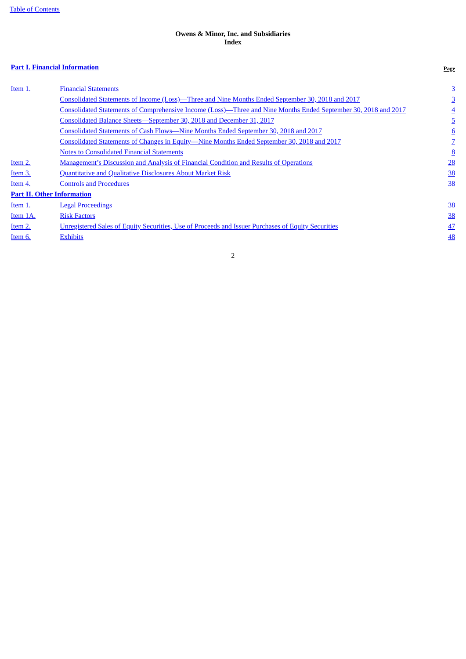# **Owens & Minor, Inc. and Subsidiaries Index**

# <span id="page-1-0"></span>**Part I. Financial [Information](#page-2-0) Page**

| Item 1.        | <b>Financial Statements</b>                                                                                    | $\overline{3}$  |
|----------------|----------------------------------------------------------------------------------------------------------------|-----------------|
|                | <u>Consolidated Statements of Income (Loss)—Three and Nine Months Ended September 30, 2018 and 2017</u>        |                 |
|                | Consolidated Statements of Comprehensive Income (Loss)—Three and Nine Months Ended September 30, 2018 and 2017 | $\overline{4}$  |
|                | Consolidated Balance Sheets-September 30, 2018 and December 31, 2017                                           |                 |
|                | <u>Consolidated Statements of Cash Flows—Nine Months Ended September 30, 2018 and 2017</u>                     | 6               |
|                | <u>Consolidated Statements of Changes in Equity—Nine Months Ended September 30, 2018 and 2017</u>              |                 |
|                | <b>Notes to Consolidated Financial Statements</b>                                                              | 8               |
| Item 2.        | <b>Management's Discussion and Analysis of Financial Condition and Results of Operations</b>                   | $\overline{28}$ |
| <u>Item 3.</u> | Quantitative and Qualitative Disclosures About Market Risk                                                     | <u>38</u>       |
| Item 4.        | <b>Controls and Procedures</b>                                                                                 | <u>38</u>       |
|                | <b>Part II. Other Information</b>                                                                              |                 |
| Item 1.        | <b>Legal Proceedings</b>                                                                                       | <u>38</u>       |
| Item 1A.       | <b>Risk Factors</b>                                                                                            | <u>38</u>       |
| Item 2.        | <b>Unregistered Sales of Equity Securities, Use of Proceeds and Issuer Purchases of Equity Securities</b>      | 47              |
| Item 6.        | <b>Exhibits</b>                                                                                                | 48              |
|                |                                                                                                                |                 |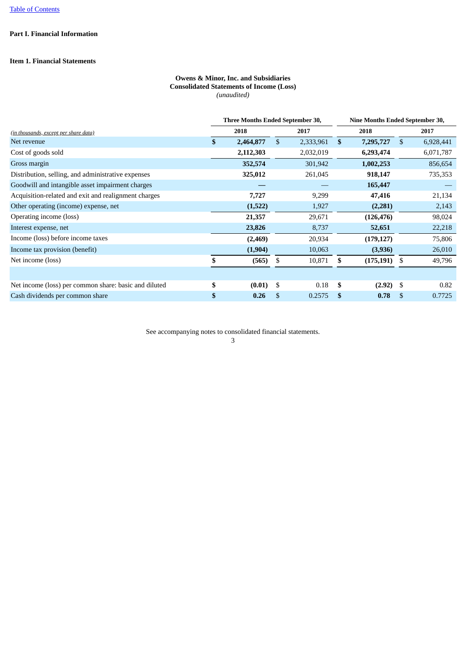# <span id="page-2-0"></span>**Part I. Financial Information**

# <span id="page-2-2"></span><span id="page-2-1"></span>**Item 1. Financial Statements**

# **Owens & Minor, Inc. and Subsidiaries Consolidated Statements of Income (Loss)** *(unaudited)*

|                                                       | Three Months Ended September 30, |           |      |           |     |            | <b>Nine Months Ended September 30,</b> |           |  |
|-------------------------------------------------------|----------------------------------|-----------|------|-----------|-----|------------|----------------------------------------|-----------|--|
| (in thousands, except per share data)                 |                                  | 2018      |      | 2017      |     | 2018       |                                        | 2017      |  |
| Net revenue                                           | \$                               | 2,464,877 | \$.  | 2,333,961 | \$  | 7,295,727  | <sup>\$</sup>                          | 6,928,441 |  |
| Cost of goods sold                                    |                                  | 2,112,303 |      | 2,032,019 |     | 6,293,474  |                                        | 6,071,787 |  |
| Gross margin                                          |                                  | 352,574   |      | 301,942   |     | 1,002,253  |                                        | 856,654   |  |
| Distribution, selling, and administrative expenses    |                                  | 325,012   |      | 261,045   |     | 918,147    |                                        | 735,353   |  |
| Goodwill and intangible asset impairment charges      |                                  |           |      |           |     | 165,447    |                                        |           |  |
| Acquisition-related and exit and realignment charges  |                                  | 7,727     |      | 9,299     |     | 47,416     |                                        | 21,134    |  |
| Other operating (income) expense, net                 |                                  | (1,522)   |      | 1,927     |     | (2,281)    |                                        | 2,143     |  |
| Operating income (loss)                               |                                  | 21,357    |      | 29,671    |     | (126, 476) |                                        | 98,024    |  |
| Interest expense, net                                 |                                  | 23,826    |      | 8,737     |     | 52,651     |                                        | 22,218    |  |
| Income (loss) before income taxes                     |                                  | (2,469)   |      | 20,934    |     | (179, 127) |                                        | 75,806    |  |
| Income tax provision (benefit)                        |                                  | (1,904)   |      | 10,063    |     | (3,936)    |                                        | 26,010    |  |
| Net income (loss)                                     |                                  | (565)     |      | 10,871    | \$. | (175, 191) | \$.                                    | 49,796    |  |
|                                                       |                                  |           |      |           |     |            |                                        |           |  |
| Net income (loss) per common share: basic and diluted | \$                               | (0.01)    | - \$ | 0.18      | \$  | (2.92)     | -S                                     | 0.82      |  |
| Cash dividends per common share                       | \$                               | 0.26      | \$   | 0.2575    | \$  | 0.78       | \$                                     | 0.7725    |  |

See accompanying notes to consolidated financial statements.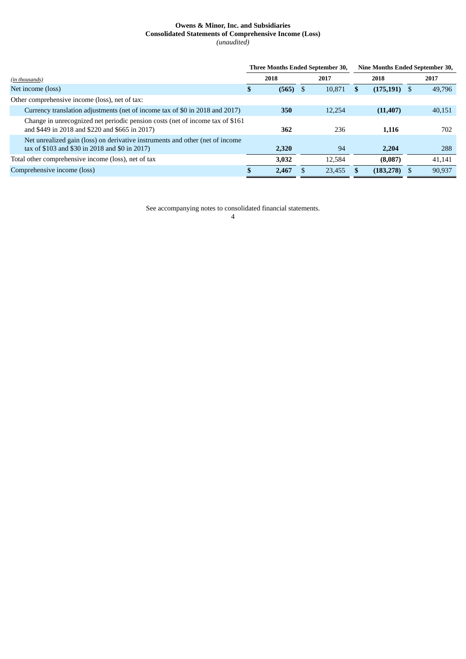# **Owens & Minor, Inc. and Subsidiaries Consolidated Statements of Comprehensive Income (Loss)** *(unaudited)*

<span id="page-3-0"></span>

|                                                                                                                                  | Three Months Ended September 30, |       |               |        | <b>Nine Months Ended September 30,</b> |            |    |        |
|----------------------------------------------------------------------------------------------------------------------------------|----------------------------------|-------|---------------|--------|----------------------------------------|------------|----|--------|
| (in thousands)                                                                                                                   |                                  | 2018  |               | 2017   |                                        | 2018       |    | 2017   |
| Net income (loss)                                                                                                                | \$                               | (565) | <sup>\$</sup> | 10.871 | \$.                                    | (175, 191) | -S | 49,796 |
| Other comprehensive income (loss), net of tax:                                                                                   |                                  |       |               |        |                                        |            |    |        |
| Currency translation adjustments (net of income tax of \$0 in 2018 and 2017)                                                     |                                  | 350   |               | 12.254 |                                        | (11, 407)  |    | 40,151 |
| Change in unrecognized net periodic pension costs (net of income tax of \$161)<br>and \$449 in 2018 and \$220 and \$665 in 2017) |                                  | 362   |               | 236    |                                        | 1,116      |    | 702    |
| Net unrealized gain (loss) on derivative instruments and other (net of income<br>tax of \$103 and \$30 in 2018 and \$0 in 2017)  |                                  | 2,320 |               | 94     |                                        | 2.204      |    | 288    |
| Total other comprehensive income (loss), net of tax                                                                              |                                  | 3,032 |               | 12,584 |                                        | (8,087)    |    | 41,141 |
| Comprehensive income (loss)                                                                                                      |                                  | 2,467 |               | 23,455 |                                        | (183, 278) |    | 90,937 |

See accompanying notes to consolidated financial statements.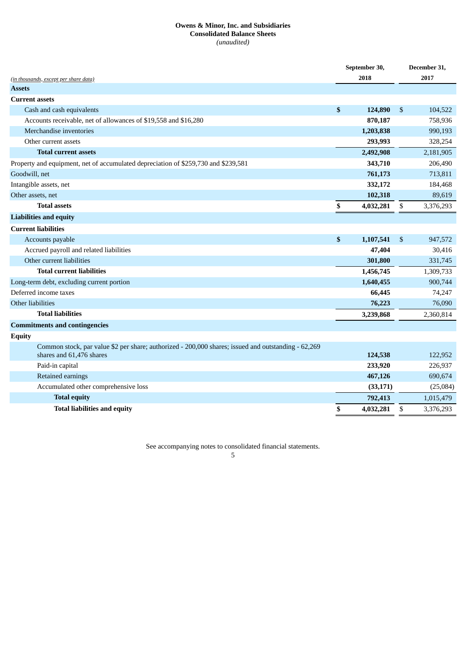# **Owens & Minor, Inc. and Subsidiaries Consolidated Balance Sheets** *(unaudited)*

<span id="page-4-0"></span>

|                                                                                                                                 |                           | September 30, | December 31,    |
|---------------------------------------------------------------------------------------------------------------------------------|---------------------------|---------------|-----------------|
| (in thousands, except per share data)                                                                                           | 2018                      |               | 2017            |
| <b>Assets</b>                                                                                                                   |                           |               |                 |
| <b>Current assets</b>                                                                                                           |                           |               |                 |
| Cash and cash equivalents                                                                                                       | \$                        | 124,890       | \$<br>104,522   |
| Accounts receivable, net of allowances of \$19,558 and \$16,280                                                                 |                           | 870,187       | 758,936         |
| Merchandise inventories                                                                                                         |                           | 1,203,838     | 990,193         |
| Other current assets                                                                                                            |                           | 293,993       | 328,254         |
| <b>Total current assets</b>                                                                                                     |                           | 2,492,908     | 2,181,905       |
| Property and equipment, net of accumulated depreciation of \$259,730 and \$239,581                                              |                           | 343,710       | 206,490         |
| Goodwill, net                                                                                                                   |                           | 761,173       | 713,811         |
| Intangible assets, net                                                                                                          |                           | 332,172       | 184,468         |
| Other assets, net                                                                                                               |                           | 102,318       | 89,619          |
| <b>Total assets</b>                                                                                                             | \$                        | 4,032,281     | \$<br>3,376,293 |
| <b>Liabilities and equity</b>                                                                                                   |                           |               |                 |
| <b>Current liabilities</b>                                                                                                      |                           |               |                 |
| Accounts payable                                                                                                                | $\boldsymbol{\mathsf{s}}$ | 1,107,541     | \$<br>947,572   |
| Accrued payroll and related liabilities                                                                                         |                           | 47,404        | 30,416          |
| Other current liabilities                                                                                                       |                           | 301,800       | 331,745         |
| <b>Total current liabilities</b>                                                                                                |                           | 1,456,745     | 1,309,733       |
| Long-term debt, excluding current portion                                                                                       |                           | 1,640,455     | 900,744         |
| Deferred income taxes                                                                                                           |                           | 66,445        | 74,247          |
| Other liabilities                                                                                                               |                           | 76,223        | 76,090          |
| <b>Total liabilities</b>                                                                                                        |                           | 3,239,868     | 2,360,814       |
| <b>Commitments and contingencies</b>                                                                                            |                           |               |                 |
| <b>Equity</b>                                                                                                                   |                           |               |                 |
| Common stock, par value \$2 per share; authorized - 200,000 shares; issued and outstanding - 62,269<br>shares and 61,476 shares |                           | 124,538       | 122,952         |
| Paid-in capital                                                                                                                 |                           | 233,920       | 226,937         |
| Retained earnings                                                                                                               |                           | 467,126       | 690,674         |
| Accumulated other comprehensive loss                                                                                            |                           | (33, 171)     | (25,084)        |
| <b>Total equity</b>                                                                                                             |                           | 792,413       | 1,015,479       |
| <b>Total liabilities and equity</b>                                                                                             | \$                        | 4,032,281     | \$<br>3,376,293 |
|                                                                                                                                 |                           |               |                 |

See accompanying notes to consolidated financial statements.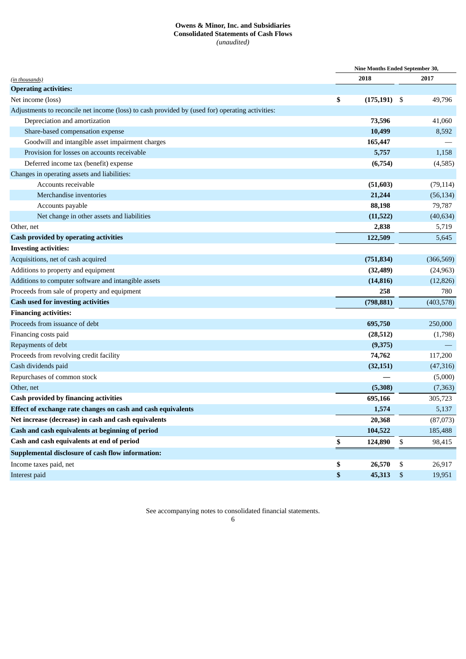# **Owens & Minor, Inc. and Subsidiaries Consolidated Statements of Cash Flows** *(unaudited)*

<span id="page-5-0"></span>

|                                                                                                 |    |            | Nine Months Ended September 30, |            |  |
|-------------------------------------------------------------------------------------------------|----|------------|---------------------------------|------------|--|
| (in thousands)                                                                                  |    | 2018       |                                 | 2017       |  |
| <b>Operating activities:</b>                                                                    |    |            |                                 |            |  |
| Net income (loss)                                                                               | \$ | (175, 191) | - \$                            | 49,796     |  |
| Adjustments to reconcile net income (loss) to cash provided by (used for) operating activities: |    |            |                                 |            |  |
| Depreciation and amortization                                                                   |    | 73,596     |                                 | 41,060     |  |
| Share-based compensation expense                                                                |    | 10,499     |                                 | 8,592      |  |
| Goodwill and intangible asset impairment charges                                                |    | 165,447    |                                 |            |  |
| Provision for losses on accounts receivable                                                     |    | 5,757      |                                 | 1,158      |  |
| Deferred income tax (benefit) expense                                                           |    | (6,754)    |                                 | (4,585)    |  |
| Changes in operating assets and liabilities:                                                    |    |            |                                 |            |  |
| Accounts receivable                                                                             |    | (51, 603)  |                                 | (79, 114)  |  |
| Merchandise inventories                                                                         |    | 21,244     |                                 | (56, 134)  |  |
| Accounts payable                                                                                |    | 88,198     |                                 | 79,787     |  |
| Net change in other assets and liabilities                                                      |    | (11, 522)  |                                 | (40, 634)  |  |
| Other, net                                                                                      |    | 2,838      |                                 | 5,719      |  |
| <b>Cash provided by operating activities</b>                                                    |    | 122,509    |                                 | 5,645      |  |
| <b>Investing activities:</b>                                                                    |    |            |                                 |            |  |
| Acquisitions, net of cash acquired                                                              |    | (751, 834) |                                 | (366, 569) |  |
| Additions to property and equipment                                                             |    | (32, 489)  |                                 | (24, 963)  |  |
| Additions to computer software and intangible assets                                            |    | (14, 816)  |                                 | (12, 826)  |  |
| Proceeds from sale of property and equipment                                                    |    | 258        |                                 | 780        |  |
| <b>Cash used for investing activities</b>                                                       |    | (798, 881) |                                 | (403, 578) |  |
| <b>Financing activities:</b>                                                                    |    |            |                                 |            |  |
| Proceeds from issuance of debt                                                                  |    | 695,750    |                                 | 250,000    |  |
| Financing costs paid                                                                            |    | (28, 512)  |                                 | (1,798)    |  |
| Repayments of debt                                                                              |    | (9, 375)   |                                 |            |  |
| Proceeds from revolving credit facility                                                         |    | 74,762     |                                 | 117,200    |  |
| Cash dividends paid                                                                             |    | (32, 151)  |                                 | (47, 316)  |  |
| Repurchases of common stock                                                                     |    |            |                                 | (5,000)    |  |
| Other, net                                                                                      |    | (5,308)    |                                 | (7, 363)   |  |
| <b>Cash provided by financing activities</b>                                                    |    | 695,166    |                                 | 305,723    |  |
| Effect of exchange rate changes on cash and cash equivalents                                    |    | 1,574      |                                 | 5,137      |  |
| Net increase (decrease) in cash and cash equivalents                                            |    | 20,368     |                                 | (87,073)   |  |
| Cash and cash equivalents at beginning of period                                                |    | 104,522    |                                 | 185,488    |  |
| Cash and cash equivalents at end of period                                                      | \$ | 124,890    | \$                              | 98,415     |  |
| Supplemental disclosure of cash flow information:                                               |    |            |                                 |            |  |
| Income taxes paid, net                                                                          | \$ | 26,570     | \$                              | 26,917     |  |
| Interest paid                                                                                   | \$ | 45,313     | $\mathbb{S}$                    | 19,951     |  |

See accompanying notes to consolidated financial statements.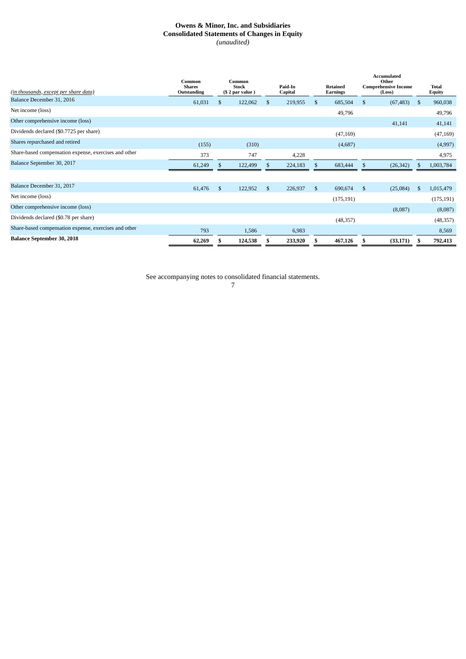# **Owens & Minor, Inc. and Subsidiaries Consolidated Statements of Changes in Equity** *(unaudited)*

<span id="page-6-0"></span>

| (in thousands, except per share data)                 | Common<br><b>Shares</b><br>Outstanding |              | Common<br><b>Stock</b><br>(\$2 par value) |               | Paid-In<br>Capital |          | Retained<br><b>Earnings</b> |              | <b>Accumulated</b><br>Other<br><b>Comprehensive Income</b><br>(Loss) |     | <b>Total</b><br><b>Equity</b> |
|-------------------------------------------------------|----------------------------------------|--------------|-------------------------------------------|---------------|--------------------|----------|-----------------------------|--------------|----------------------------------------------------------------------|-----|-------------------------------|
| Balance December 31, 2016                             | 61,031                                 | \$.          | 122,062                                   | <sup>\$</sup> | 219,955            | \$.      | 685,504                     | $\mathbb{S}$ | (67, 483)                                                            | S.  | 960,038                       |
| Net income (loss)                                     |                                        |              |                                           |               |                    |          | 49,796                      |              |                                                                      |     | 49,796                        |
| Other comprehensive income (loss)                     |                                        |              |                                           |               |                    |          |                             |              | 41,141                                                               |     | 41,141                        |
| Dividends declared (\$0.7725 per share)               |                                        |              |                                           |               |                    |          | (47, 169)                   |              |                                                                      |     | (47, 169)                     |
| Shares repurchased and retired                        | (155)                                  |              | (310)                                     |               |                    |          | (4,687)                     |              |                                                                      |     | (4,997)                       |
| Share-based compensation expense, exercises and other | 373                                    |              | 747                                       |               | 4,228              |          |                             |              |                                                                      |     | 4,975                         |
| Balance September 30, 2017                            | 61,249                                 | .S           | 122,499                                   | -86           | 224,183            | <b>S</b> | 683,444                     | \$.          | (26, 342)                                                            | -S  | 1,003,784                     |
|                                                       |                                        |              |                                           |               |                    |          |                             |              |                                                                      |     |                               |
| Balance December 31, 2017                             | 61,476                                 | $\mathbb{S}$ | 122,952                                   | $\mathbb{S}$  | 226,937            | \$       | 690,674                     | $\mathbb{S}$ | (25,084)                                                             | -\$ | 1,015,479                     |
| Net income (loss)                                     |                                        |              |                                           |               |                    |          | (175, 191)                  |              |                                                                      |     | (175, 191)                    |
| Other comprehensive income (loss)                     |                                        |              |                                           |               |                    |          |                             |              | (8,087)                                                              |     | (8,087)                       |
| Dividends declared (\$0.78 per share)                 |                                        |              |                                           |               |                    |          | (48, 357)                   |              |                                                                      |     | (48, 357)                     |
| Share-based compensation expense, exercises and other | 793                                    |              | 1,586                                     |               | 6,983              |          |                             |              |                                                                      |     | 8,569                         |
| <b>Balance September 30, 2018</b>                     | 62,269                                 | ä.           | 124,538                                   | Ъ             | 233,920            | S        | 467,126                     | \$           | (33, 171)                                                            | S   | 792,413                       |

See accompanying notes to consolidated financial statements.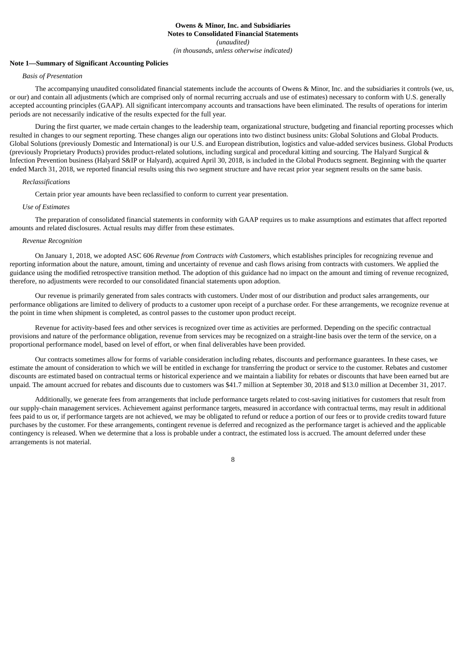# **Owens & Minor, Inc. and Subsidiaries Notes to Consolidated Financial Statements** *(unaudited)*

*(in thousands, unless otherwise indicated)*

### <span id="page-7-0"></span>**Note 1—Summary of Significant Accounting Policies**

#### *Basis of Presentation*

The accompanying unaudited consolidated financial statements include the accounts of Owens & Minor, Inc. and the subsidiaries it controls (we, us, or our) and contain all adjustments (which are comprised only of normal recurring accruals and use of estimates) necessary to conform with U.S. generally accepted accounting principles (GAAP). All significant intercompany accounts and transactions have been eliminated. The results of operations for interim periods are not necessarily indicative of the results expected for the full year.

During the first quarter, we made certain changes to the leadership team, organizational structure, budgeting and financial reporting processes which resulted in changes to our segment reporting. These changes align our operations into two distinct business units: Global Solutions and Global Products. Global Solutions (previously Domestic and International) is our U.S. and European distribution, logistics and value-added services business. Global Products (previously Proprietary Products) provides product-related solutions, including surgical and procedural kitting and sourcing. The Halyard Surgical & Infection Prevention business (Halyard S&IP or Halyard), acquired April 30, 2018, is included in the Global Products segment. Beginning with the quarter ended March 31, 2018, we reported financial results using this two segment structure and have recast prior year segment results on the same basis.

#### *Reclassifications*

Certain prior year amounts have been reclassified to conform to current year presentation.

#### *Use of Estimates*

The preparation of consolidated financial statements in conformity with GAAP requires us to make assumptions and estimates that affect reported amounts and related disclosures. Actual results may differ from these estimates.

#### *Revenue Recognition*

On January 1, 2018, we adopted ASC 606 *Revenue from Contracts with Customers*, which establishes principles for recognizing revenue and reporting information about the nature, amount, timing and uncertainty of revenue and cash flows arising from contracts with customers. We applied the guidance using the modified retrospective transition method. The adoption of this guidance had no impact on the amount and timing of revenue recognized, therefore, no adjustments were recorded to our consolidated financial statements upon adoption.

Our revenue is primarily generated from sales contracts with customers. Under most of our distribution and product sales arrangements, our performance obligations are limited to delivery of products to a customer upon receipt of a purchase order. For these arrangements, we recognize revenue at the point in time when shipment is completed, as control passes to the customer upon product receipt.

Revenue for activity-based fees and other services is recognized over time as activities are performed. Depending on the specific contractual provisions and nature of the performance obligation, revenue from services may be recognized on a straight-line basis over the term of the service, on a proportional performance model, based on level of effort, or when final deliverables have been provided.

Our contracts sometimes allow for forms of variable consideration including rebates, discounts and performance guarantees. In these cases, we estimate the amount of consideration to which we will be entitled in exchange for transferring the product or service to the customer. Rebates and customer discounts are estimated based on contractual terms or historical experience and we maintain a liability for rebates or discounts that have been earned but are unpaid. The amount accrued for rebates and discounts due to customers was \$41.7 million at September 30, 2018 and \$13.0 million at December 31, 2017.

Additionally, we generate fees from arrangements that include performance targets related to cost-saving initiatives for customers that result from our supply-chain management services. Achievement against performance targets, measured in accordance with contractual terms, may result in additional fees paid to us or, if performance targets are not achieved, we may be obligated to refund or reduce a portion of our fees or to provide credits toward future purchases by the customer. For these arrangements, contingent revenue is deferred and recognized as the performance target is achieved and the applicable contingency is released. When we determine that a loss is probable under a contract, the estimated loss is accrued. The amount deferred under these arrangements is not material.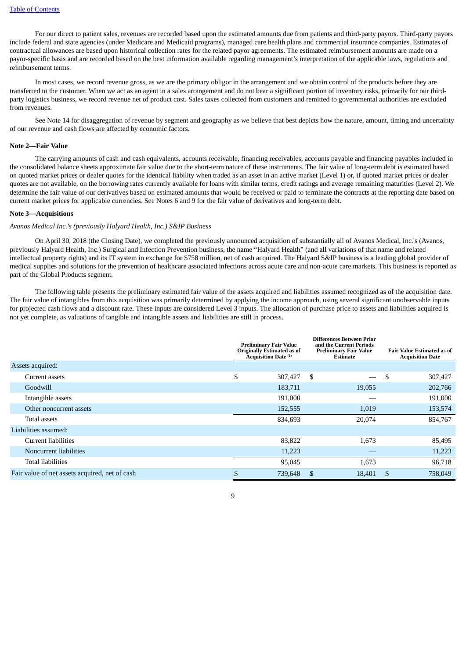For our direct to patient sales, revenues are recorded based upon the estimated amounts due from patients and third-party payors. Third-party payors include federal and state agencies (under Medicare and Medicaid programs), managed care health plans and commercial insurance companies. Estimates of contractual allowances are based upon historical collection rates for the related payor agreements. The estimated reimbursement amounts are made on a payor-specific basis and are recorded based on the best information available regarding management's interpretation of the applicable laws, regulations and reimbursement terms.

In most cases, we record revenue gross, as we are the primary obligor in the arrangement and we obtain control of the products before they are transferred to the customer. When we act as an agent in a sales arrangement and do not bear a significant portion of inventory risks, primarily for our thirdparty logistics business, we record revenue net of product cost. Sales taxes collected from customers and remitted to governmental authorities are excluded from revenues.

See Note 14 for disaggregation of revenue by segment and geography as we believe that best depicts how the nature, amount, timing and uncertainty of our revenue and cash flows are affected by economic factors.

#### **Note 2—Fair Value**

The carrying amounts of cash and cash equivalents, accounts receivable, financing receivables, accounts payable and financing payables included in the consolidated balance sheets approximate fair value due to the short-term nature of these instruments. The fair value of long-term debt is estimated based on quoted market prices or dealer quotes for the identical liability when traded as an asset in an active market (Level 1) or, if quoted market prices or dealer quotes are not available, on the borrowing rates currently available for loans with similar terms, credit ratings and average remaining maturities (Level 2). We determine the fair value of our derivatives based on estimated amounts that would be received or paid to terminate the contracts at the reporting date based on current market prices for applicable currencies. See Notes 6 and 9 for the fair value of derivatives and long-term debt.

### **Note 3—Acquisitions**

### *Avanos Medical Inc.'s (previously Halyard Health, Inc.) S&IP Business*

On April 30, 2018 (the Closing Date), we completed the previously announced acquisition of substantially all of Avanos Medical, Inc.'s (Avanos, previously Halyard Health, Inc.) Surgical and Infection Prevention business, the name "Halyard Health" (and all variations of that name and related intellectual property rights) and its IT system in exchange for \$758 million, net of cash acquired. The Halyard S&IP business is a leading global provider of medical supplies and solutions for the prevention of healthcare associated infections across acute care and non-acute care markets. This business is reported as part of the Global Products segment.

The following table presents the preliminary estimated fair value of the assets acquired and liabilities assumed recognized as of the acquisition date. The fair value of intangibles from this acquisition was primarily determined by applying the income approach, using several significant unobservable inputs for projected cash flows and a discount rate. These inputs are considered Level 3 inputs. The allocation of purchase price to assets and liabilities acquired is not yet complete, as valuations of tangible and intangible assets and liabilities are still in process.

|                                                | <b>Differences Between Prior</b><br><b>Preliminary Fair Value</b><br>and the Current Periods<br><b>Originally Estimated as of</b><br><b>Preliminary Fair Value</b><br><b>Acquisition Date (1)</b><br><b>Estimate</b> |         |      |        |    | <b>Fair Value Estimated as of</b><br><b>Acquisition Date</b> |  |  |  |
|------------------------------------------------|----------------------------------------------------------------------------------------------------------------------------------------------------------------------------------------------------------------------|---------|------|--------|----|--------------------------------------------------------------|--|--|--|
| Assets acquired:                               |                                                                                                                                                                                                                      |         |      |        |    |                                                              |  |  |  |
| Current assets                                 | \$                                                                                                                                                                                                                   | 307,427 | - \$ |        | \$ | 307,427                                                      |  |  |  |
| Goodwill                                       |                                                                                                                                                                                                                      | 183,711 |      | 19,055 |    | 202,766                                                      |  |  |  |
| Intangible assets                              |                                                                                                                                                                                                                      | 191,000 |      |        |    | 191,000                                                      |  |  |  |
| Other noncurrent assets                        |                                                                                                                                                                                                                      | 152,555 |      | 1,019  |    | 153,574                                                      |  |  |  |
| Total assets                                   |                                                                                                                                                                                                                      | 834,693 |      | 20,074 |    | 854,767                                                      |  |  |  |
| Liabilities assumed:                           |                                                                                                                                                                                                                      |         |      |        |    |                                                              |  |  |  |
| Current liabilities                            |                                                                                                                                                                                                                      | 83,822  |      | 1,673  |    | 85,495                                                       |  |  |  |
| Noncurrent liabilities                         |                                                                                                                                                                                                                      | 11,223  |      |        |    | 11,223                                                       |  |  |  |
| <b>Total liabilities</b>                       |                                                                                                                                                                                                                      | 95,045  |      | 1,673  |    | 96,718                                                       |  |  |  |
| Fair value of net assets acquired, net of cash | \$                                                                                                                                                                                                                   | 739,648 | -\$  | 18,401 | \$ | 758,049                                                      |  |  |  |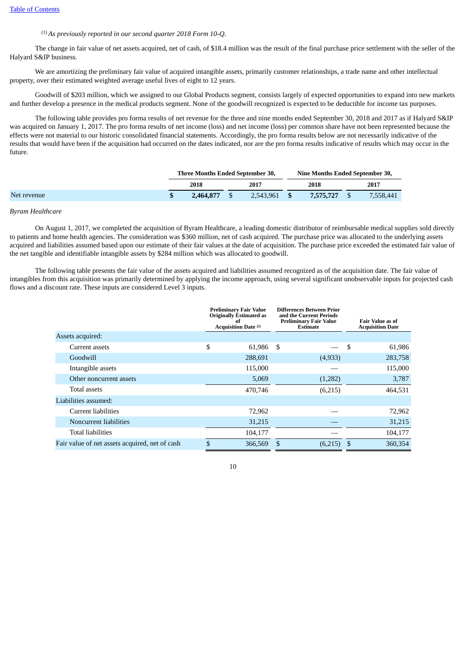(1) *As previously reported in our second quarter 2018 Form 10-Q.*

The change in fair value of net assets acquired, net of cash, of \$18.4 million was the result of the final purchase price settlement with the seller of the Halyard S&IP business.

We are amortizing the preliminary fair value of acquired intangible assets, primarily customer relationships, a trade name and other intellectual property, over their estimated weighted average useful lives of eight to 12 years.

Goodwill of \$203 million, which we assigned to our Global Products segment, consists largely of expected opportunities to expand into new markets and further develop a presence in the medical products segment. None of the goodwill recognized is expected to be deductible for income tax purposes.

The following table provides pro forma results of net revenue for the three and nine months ended September 30, 2018 and 2017 as if Halyard S&IP was acquired on January 1, 2017. The pro forma results of net income (loss) and net income (loss) per common share have not been represented because the effects were not material to our historic consolidated financial statements. Accordingly, the pro forma results below are not necessarily indicative of the results that would have been if the acquisition had occurred on the dates indicated, nor are the pro forma results indicative of results which may occur in the future.

|             | Three Months Ended September 30, |      |                |  | Nine Months Ended September 30, |           |
|-------------|----------------------------------|------|----------------|--|---------------------------------|-----------|
|             | 2018                             | 2017 |                |  | 2018                            | 2017      |
| Net revenue | 2.464.877 \$                     |      | $2,543,961$ \$ |  | 7,575,727                       | 7,558,441 |

### *Byram Healthcare*

On August 1, 2017, we completed the acquisition of Byram Healthcare, a leading domestic distributor of reimbursable medical supplies sold directly to patients and home health agencies. The consideration was \$360 million, net of cash acquired. The purchase price was allocated to the underlying assets acquired and liabilities assumed based upon our estimate of their fair values at the date of acquisition. The purchase price exceeded the estimated fair value of the net tangible and identifiable intangible assets by \$284 million which was allocated to goodwill.

The following table presents the fair value of the assets acquired and liabilities assumed recognized as of the acquisition date. The fair value of intangibles from this acquisition was primarily determined by applying the income approach, using several significant unobservable inputs for projected cash flows and a discount rate. These inputs are considered Level 3 inputs.

|                                                | <b>Preliminary Fair Value</b><br><b>Originally Estimated as</b><br>of<br><b>Acquisition Date (2)</b> | <b>Differences Between Prior</b><br>and the Current Periods<br><b>Preliminary Fair Value</b><br><b>Estimate</b> | <b>Fair Value as of</b><br><b>Acquisition Date</b> |
|------------------------------------------------|------------------------------------------------------------------------------------------------------|-----------------------------------------------------------------------------------------------------------------|----------------------------------------------------|
| Assets acquired:                               |                                                                                                      |                                                                                                                 |                                                    |
| Current assets                                 | \$<br>61.986                                                                                         | - \$                                                                                                            | \$<br>61,986                                       |
| Goodwill                                       | 288,691                                                                                              | (4,933)                                                                                                         | 283,758                                            |
| Intangible assets                              | 115,000                                                                                              |                                                                                                                 | 115,000                                            |
| Other noncurrent assets                        | 5,069                                                                                                | (1,282)                                                                                                         | 3,787                                              |
| <b>Total assets</b>                            | 470,746                                                                                              | (6,215)                                                                                                         | 464,531                                            |
| Liabilities assumed:                           |                                                                                                      |                                                                                                                 |                                                    |
| Current liabilities                            | 72,962                                                                                               |                                                                                                                 | 72,962                                             |
| Noncurrent liabilities                         | 31,215                                                                                               |                                                                                                                 | 31,215                                             |
| <b>Total liabilities</b>                       | 104,177                                                                                              |                                                                                                                 | 104,177                                            |
| Fair value of net assets acquired, net of cash | \$<br>366,569                                                                                        | \$.<br>(6,215)                                                                                                  | 360,354<br>-S                                      |

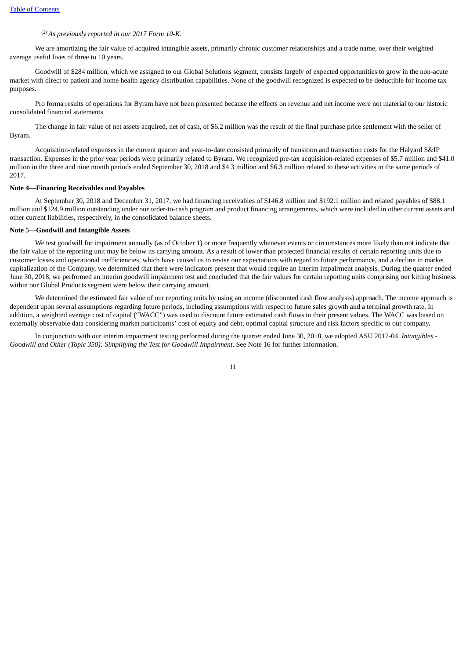# (2) *As previously reported in our 2017 Form 10-K.*

We are amortizing the fair value of acquired intangible assets, primarily chronic customer relationships and a trade name, over their weighted average useful lives of three to 10 years.

Goodwill of \$284 million, which we assigned to our Global Solutions segment, consists largely of expected opportunities to grow in the non-acute market with direct to patient and home health agency distribution capabilities. None of the goodwill recognized is expected to be deductible for income tax purposes.

Pro forma results of operations for Byram have not been presented because the effects on revenue and net income were not material to our historic consolidated financial statements.

The change in fair value of net assets acquired, net of cash, of \$6.2 million was the result of the final purchase price settlement with the seller of Byram.

Acquisition-related expenses in the current quarter and year-to-date consisted primarily of transition and transaction costs for the Halyard S&IP transaction. Expenses in the prior year periods were primarily related to Byram. We recognized pre-tax acquisition-related expenses of \$5.7 million and \$41.0 million in the three and nine month periods ended September 30, 2018 and \$4.3 million and \$6.3 million related to these activities in the same periods of 2017.

#### **Note 4—Financing Receivables and Payables**

At September 30, 2018 and December 31, 2017, we had financing receivables of \$146.8 million and \$192.1 million and related payables of \$88.1 million and \$124.9 million outstanding under our order-to-cash program and product financing arrangements, which were included in other current assets and other current liabilities, respectively, in the consolidated balance sheets.

### **Note 5—Goodwill and Intangible Assets**

We test goodwill for impairment annually (as of October 1) or more frequently whenever events or circumstances more likely than not indicate that the fair value of the reporting unit may be below its carrying amount. As a result of lower than projected financial results of certain reporting units due to customer losses and operational inefficiencies, which have caused us to revise our expectations with regard to future performance, and a decline in market capitalization of the Company, we determined that there were indicators present that would require an interim impairment analysis. During the quarter ended June 30, 2018, we performed an interim goodwill impairment test and concluded that the fair values for certain reporting units comprising our kitting business within our Global Products segment were below their carrying amount.

We determined the estimated fair value of our reporting units by using an income (discounted cash flow analysis) approach. The income approach is dependent upon several assumptions regarding future periods, including assumptions with respect to future sales growth and a terminal growth rate. In addition, a weighted average cost of capital ("WACC") was used to discount future estimated cash flows to their present values. The WACC was based on externally observable data considering market participants' cost of equity and debt, optimal capital structure and risk factors specific to our company.

In conjunction with our interim impairment testing performed during the quarter ended June 30, 2018, we adopted ASU 2017-04, *Intangibles - Goodwill and Other (Topic 350): Simplifying the Test for Goodwill Impairment*. See Note 16 for further information.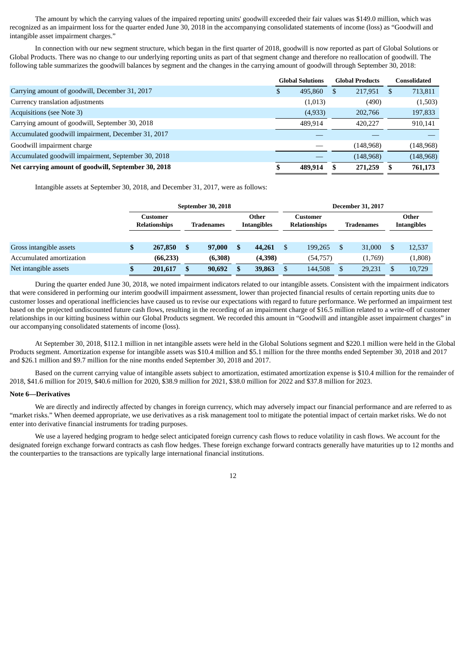The amount by which the carrying values of the impaired reporting units' goodwill exceeded their fair values was \$149.0 million, which was recognized as an impairment loss for the quarter ended June 30, 2018 in the accompanying consolidated statements of income (loss) as "Goodwill and intangible asset impairment charges."

In connection with our new segment structure, which began in the first quarter of 2018, goodwill is now reported as part of Global Solutions or Global Products. There was no change to our underlying reporting units as part of that segment change and therefore no reallocation of goodwill. The following table summarizes the goodwill balances by segment and the changes in the carrying amount of goodwill through September 30, 2018:

|                                                     |   | <b>Global Solutions</b> |    | <b>Global Products</b> |   | Consolidated |
|-----------------------------------------------------|---|-------------------------|----|------------------------|---|--------------|
| Carrying amount of goodwill, December 31, 2017      | S | 495,860                 | -S | 217,951                | S | 713,811      |
| Currency translation adjustments                    |   | (1,013)                 |    | (490)                  |   | (1,503)      |
| Acquisitions (see Note 3)                           |   | (4,933)                 |    | 202,766                |   | 197,833      |
| Carrying amount of goodwill, September 30, 2018     |   | 489.914                 |    | 420,227                |   | 910,141      |
| Accumulated goodwill impairment, December 31, 2017  |   |                         |    |                        |   |              |
| Goodwill impairment charge                          |   |                         |    | (148, 968)             |   | (148,968)    |
| Accumulated goodwill impairment, September 30, 2018 |   |                         |    | (148, 968)             |   | (148, 968)   |
| Net carrying amount of goodwill, September 30, 2018 |   | 489,914                 |    | 271,259                | S | 761,173      |

Intangible assets at September 30, 2018, and December 31, 2017, were as follows:

|                          |   | September 30, 2018               |                   |         |                             |         |                                  | <b>December 31, 2017</b> |                   |         |  |                             |  |  |
|--------------------------|---|----------------------------------|-------------------|---------|-----------------------------|---------|----------------------------------|--------------------------|-------------------|---------|--|-----------------------------|--|--|
|                          |   | Customer<br><b>Relationships</b> | <b>Tradenames</b> |         | Other<br><b>Intangibles</b> |         | Customer<br><b>Relationships</b> |                          | <b>Tradenames</b> |         |  | Other<br><b>Intangibles</b> |  |  |
| Gross intangible assets  | Φ | 267,850                          |                   | 97,000  | \$                          | 44,261  |                                  | 199.265                  | \$                | 31,000  |  | 12,537                      |  |  |
| Accumulated amortization |   | (66, 233)                        |                   | (6,308) |                             | (4,398) |                                  | (54, 757)                |                   | (1,769) |  | (1,808)                     |  |  |
| Net intangible assets    |   | 201,617                          |                   | 90,692  | \$                          | 39,863  |                                  | 144,508                  | \$                | 29,231  |  | 10,729                      |  |  |

During the quarter ended June 30, 2018, we noted impairment indicators related to our intangible assets. Consistent with the impairment indicators that were considered in performing our interim goodwill impairment assessment, lower than projected financial results of certain reporting units due to customer losses and operational inefficiencies have caused us to revise our expectations with regard to future performance. We performed an impairment test based on the projected undiscounted future cash flows, resulting in the recording of an impairment charge of \$16.5 million related to a write-off of customer relationships in our kitting business within our Global Products segment. We recorded this amount in "Goodwill and intangible asset impairment charges" in our accompanying consolidated statements of income (loss).

At September 30, 2018, \$112.1 million in net intangible assets were held in the Global Solutions segment and \$220.1 million were held in the Global Products segment. Amortization expense for intangible assets was \$10.4 million and \$5.1 million for the three months ended September 30, 2018 and 2017 and \$26.1 million and \$9.7 million for the nine months ended September 30, 2018 and 2017.

Based on the current carrying value of intangible assets subject to amortization, estimated amortization expense is \$10.4 million for the remainder of 2018, \$41.6 million for 2019, \$40.6 million for 2020, \$38.9 million for 2021, \$38.0 million for 2022 and \$37.8 million for 2023.

#### **Note 6—Derivatives**

We are directly and indirectly affected by changes in foreign currency, which may adversely impact our financial performance and are referred to as "market risks." When deemed appropriate, we use derivatives as a risk management tool to mitigate the potential impact of certain market risks. We do not enter into derivative financial instruments for trading purposes.

We use a layered hedging program to hedge select anticipated foreign currency cash flows to reduce volatility in cash flows. We account for the designated foreign exchange forward contracts as cash flow hedges. These foreign exchange forward contracts generally have maturities up to 12 months and the counterparties to the transactions are typically large international financial institutions.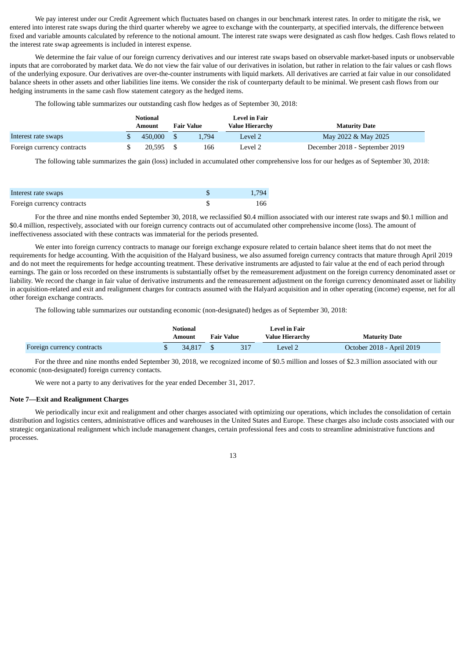We pay interest under our Credit Agreement which fluctuates based on changes in our benchmark interest rates. In order to mitigate the risk, we entered into interest rate swaps during the third quarter whereby we agree to exchange with the counterparty, at specified intervals, the difference between fixed and variable amounts calculated by reference to the notional amount. The interest rate swaps were designated as cash flow hedges. Cash flows related to the interest rate swap agreements is included in interest expense.

We determine the fair value of our foreign currency derivatives and our interest rate swaps based on observable market-based inputs or unobservable inputs that are corroborated by market data. We do not view the fair value of our derivatives in isolation, but rather in relation to the fair values or cash flows of the underlying exposure. Our derivatives are over-the-counter instruments with liquid markets. All derivatives are carried at fair value in our consolidated balance sheets in other assets and other liabilities line items. We consider the risk of counterparty default to be minimal. We present cash flows from our hedging instruments in the same cash flow statement category as the hedged items.

The following table summarizes our outstanding cash flow hedges as of September 30, 2018:

|                            | <b>Notional</b> |            | Level in Fair   |                                |
|----------------------------|-----------------|------------|-----------------|--------------------------------|
|                            | Amount          | Fair Value | Value Hierarchy | <b>Maturity Date</b>           |
| Interest rate swaps        | 450.000 \$      | 1.794      | Level 2         | May 2022 & May 2025            |
| Foreign currency contracts | 20.595 \$       | 166        | Level 2         | December 2018 - September 2019 |

The following table summarizes the gain (loss) included in accumulated other comprehensive loss for our hedges as of September 30, 2018:

| Interest rate swaps        | 1.794 |
|----------------------------|-------|
| Foreign currency contracts | 166   |

For the three and nine months ended September 30, 2018, we reclassified \$0.4 million associated with our interest rate swaps and \$0.1 million and \$0.4 million, respectively, associated with our foreign currency contracts out of accumulated other comprehensive income (loss). The amount of ineffectiveness associated with these contracts was immaterial for the periods presented.

We enter into foreign currency contracts to manage our foreign exchange exposure related to certain balance sheet items that do not meet the requirements for hedge accounting. With the acquisition of the Halyard business, we also assumed foreign currency contracts that mature through April 2019 and do not meet the requirements for hedge accounting treatment. These derivative instruments are adjusted to fair value at the end of each period through earnings. The gain or loss recorded on these instruments is substantially offset by the remeasurement adjustment on the foreign currency denominated asset or liability. We record the change in fair value of derivative instruments and the remeasurement adjustment on the foreign currency denominated asset or liability in acquisition-related and exit and realignment charges for contracts assumed with the Halyard acquisition and in other operating (income) expense, net for all other foreign exchange contracts.

The following table summarizes our outstanding economic (non-designated) hedges as of September 30, 2018:

|                                   | <b>Notional</b><br>Amount | <b>Fair Value</b> | Level in Fair<br><b>Value Hierarchy</b> | <b>Maturity Date</b>      |
|-----------------------------------|---------------------------|-------------------|-----------------------------------------|---------------------------|
| <b>Foreign currency contracts</b> | 34.817 \$                 | 317               | Level 2                                 | October 2018 - April 2019 |

For the three and nine months ended September 30, 2018, we recognized income of \$0.5 million and losses of \$2.3 million associated with our economic (non-designated) foreign currency contacts.

We were not a party to any derivatives for the year ended December 31, 2017.

# **Note 7—Exit and Realignment Charges**

We periodically incur exit and realignment and other charges associated with optimizing our operations, which includes the consolidation of certain distribution and logistics centers, administrative offices and warehouses in the United States and Europe. These charges also include costs associated with our strategic organizational realignment which include management changes, certain professional fees and costs to streamline administrative functions and processes.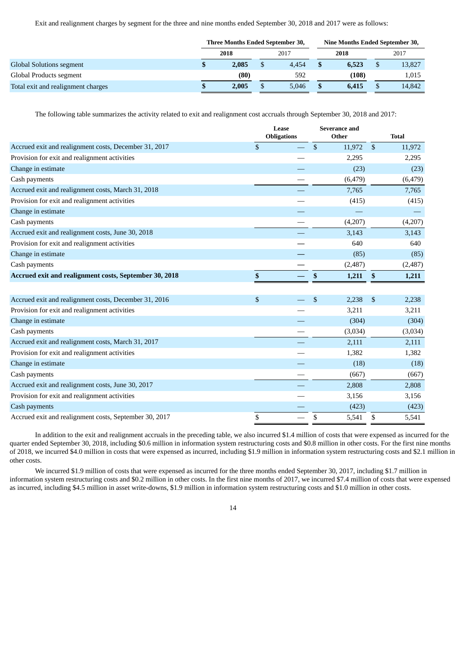Exit and realignment charges by segment for the three and nine months ended September 30, 2018 and 2017 were as follows:

|                                    | <b>Three Months Ended September 30,</b> |       |  |       |              | Nine Months Ended September 30, |                |        |  |  |
|------------------------------------|-----------------------------------------|-------|--|-------|--------------|---------------------------------|----------------|--------|--|--|
|                                    |                                         | 2018  |  | 2017  |              | 2018                            | 2017           |        |  |  |
| <b>Global Solutions segment</b>    |                                         | 2.085 |  | 4.454 |              | 6,523                           | $\mathfrak{L}$ | 13,827 |  |  |
| Global Products segment            |                                         | (80)  |  | 592   |              | (108)                           |                | 1,015  |  |  |
| Total exit and realignment charges |                                         | 2.005 |  | 5.046 | $\mathbf{s}$ | 6.415                           |                | 14,842 |  |  |

The following table summarizes the activity related to exit and realignment cost accruals through September 30, 2018 and 2017:

|                                                        | Lease<br><b>Obligations</b> | <b>Severance and</b><br>Other |                | <b>Total</b> |
|--------------------------------------------------------|-----------------------------|-------------------------------|----------------|--------------|
| Accrued exit and realignment costs, December 31, 2017  | \$                          | \$<br>11,972                  | $\mathfrak{s}$ | 11,972       |
| Provision for exit and realignment activities          |                             | 2,295                         |                | 2,295        |
|                                                        |                             |                               |                |              |
| Change in estimate                                     |                             | (23)                          |                | (23)         |
| Cash payments                                          |                             | (6, 479)                      |                | (6, 479)     |
| Accrued exit and realignment costs, March 31, 2018     |                             | 7,765                         |                | 7,765        |
| Provision for exit and realignment activities          |                             | (415)                         |                | (415)        |
| Change in estimate                                     |                             |                               |                |              |
| Cash payments                                          |                             | (4,207)                       |                | (4,207)      |
| Accrued exit and realignment costs, June 30, 2018      |                             | 3,143                         |                | 3,143        |
| Provision for exit and realignment activities          |                             | 640                           |                | 640          |
| Change in estimate                                     |                             | (85)                          |                | (85)         |
| Cash payments                                          |                             | (2,487)                       |                | (2,487)      |
| Accrued exit and realignment costs, September 30, 2018 | \$                          | \$<br>1,211                   | \$             | 1,211        |
|                                                        |                             |                               |                |              |
| Accrued exit and realignment costs, December 31, 2016  | \$                          | \$<br>2,238                   | \$             | 2,238        |
| Provision for exit and realignment activities          |                             | 3,211                         |                | 3,211        |
| Change in estimate                                     |                             | (304)                         |                | (304)        |
| Cash payments                                          |                             | (3,034)                       |                | (3,034)      |
| Accrued exit and realignment costs, March 31, 2017     |                             | 2,111                         |                | 2,111        |
| Provision for exit and realignment activities          |                             | 1,382                         |                | 1,382        |
| Change in estimate                                     |                             | (18)                          |                | (18)         |
| Cash payments                                          |                             | (667)                         |                | (667)        |
| Accrued exit and realignment costs, June 30, 2017      |                             | 2,808                         |                | 2,808        |
| Provision for exit and realignment activities          |                             | 3,156                         |                | 3,156        |
| Cash payments                                          |                             | (423)                         |                | (423)        |
| Accrued exit and realignment costs, September 30, 2017 | \$                          | \$<br>5,541                   | \$             | 5,541        |

In addition to the exit and realignment accruals in the preceding table, we also incurred \$1.4 million of costs that were expensed as incurred for the quarter ended September 30, 2018, including \$0.6 million in information system restructuring costs and \$0.8 million in other costs. For the first nine months of 2018, we incurred \$4.0 million in costs that were expensed as incurred, including \$1.9 million in information system restructuring costs and \$2.1 million in other costs.

We incurred \$1.9 million of costs that were expensed as incurred for the three months ended September 30, 2017, including \$1.7 million in information system restructuring costs and \$0.2 million in other costs. In the first nine months of 2017, we incurred \$7.4 million of costs that were expensed as incurred, including \$4.5 million in asset write-downs, \$1.9 million in information system restructuring costs and \$1.0 million in other costs.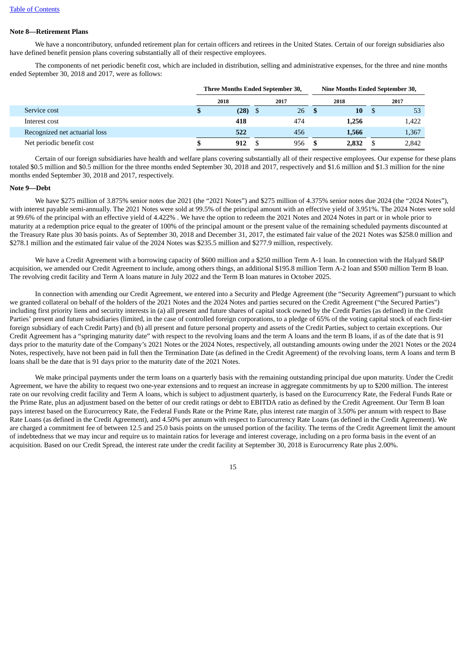# **Note 8—Retirement Plans**

We have a noncontributory, unfunded retirement plan for certain officers and retirees in the United States. Certain of our foreign subsidiaries also have defined benefit pension plans covering substantially all of their respective employees.

The components of net periodic benefit cost, which are included in distribution, selling and administrative expenses, for the three and nine months ended September 30, 2018 and 2017, were as follows:

|                               |           | Three Months Ended September 30, | Nine Months Ended September 30, |       |  |  |  |
|-------------------------------|-----------|----------------------------------|---------------------------------|-------|--|--|--|
|                               | 2018      | 2017                             | 2018                            | 2017  |  |  |  |
| Service cost                  | (28)<br>S | 26<br>-S                         | 10                              | 53    |  |  |  |
| Interest cost                 | 418       | 474                              | 1,256                           | 1,422 |  |  |  |
| Recognized net actuarial loss | 522       | 456                              | 1,566                           | 1,367 |  |  |  |
| Net periodic benefit cost     | 912       | 956                              | 2,832                           | 2,842 |  |  |  |

Certain of our foreign subsidiaries have health and welfare plans covering substantially all of their respective employees. Our expense for these plans totaled \$0.5 million and \$0.5 million for the three months ended September 30, 2018 and 2017, respectively and \$1.6 million and \$1.3 million for the nine months ended September 30, 2018 and 2017, respectively.

### **Note 9—Debt**

We have \$275 million of 3.875% senior notes due 2021 (the "2021 Notes") and \$275 million of 4.375% senior notes due 2024 (the "2024 Notes"), with interest payable semi-annually. The 2021 Notes were sold at 99.5% of the principal amount with an effective yield of 3.951%. The 2024 Notes were sold at 99.6% of the principal with an effective yield of 4.422% . We have the option to redeem the 2021 Notes and 2024 Notes in part or in whole prior to maturity at a redemption price equal to the greater of 100% of the principal amount or the present value of the remaining scheduled payments discounted at the Treasury Rate plus 30 basis points. As of September 30, 2018 and December 31, 2017, the estimated fair value of the 2021 Notes was \$258.0 million and \$278.1 million and the estimated fair value of the 2024 Notes was \$235.5 million and \$277.9 million, respectively.

We have a Credit Agreement with a borrowing capacity of \$600 million and a \$250 million Term A-1 loan. In connection with the Halyard S&IP acquisition, we amended our Credit Agreement to include, among others things, an additional \$195.8 million Term A-2 loan and \$500 million Term B loan. The revolving credit facility and Term A loans mature in July 2022 and the Term B loan matures in October 2025.

In connection with amending our Credit Agreement, we entered into a Security and Pledge Agreement (the "Security Agreement") pursuant to which we granted collateral on behalf of the holders of the 2021 Notes and the 2024 Notes and parties secured on the Credit Agreement ("the Secured Parties") including first priority liens and security interests in (a) all present and future shares of capital stock owned by the Credit Parties (as defined) in the Credit Parties' present and future subsidiaries (limited, in the case of controlled foreign corporations, to a pledge of 65% of the voting capital stock of each first-tier foreign subsidiary of each Credit Party) and (b) all present and future personal property and assets of the Credit Parties, subject to certain exceptions. Our Credit Agreement has a "springing maturity date" with respect to the revolving loans and the term A loans and the term B loans, if as of the date that is 91 days prior to the maturity date of the Company's 2021 Notes or the 2024 Notes, respectively, all outstanding amounts owing under the 2021 Notes or the 2024 Notes, respectively, have not been paid in full then the Termination Date (as defined in the Credit Agreement) of the revolving loans, term A loans and term B loans shall be the date that is 91 days prior to the maturity date of the 2021 Notes.

We make principal payments under the term loans on a quarterly basis with the remaining outstanding principal due upon maturity. Under the Credit Agreement, we have the ability to request two one-year extensions and to request an increase in aggregate commitments by up to \$200 million. The interest rate on our revolving credit facility and Term A loans, which is subject to adjustment quarterly, is based on the Eurocurrency Rate, the Federal Funds Rate or the Prime Rate, plus an adjustment based on the better of our credit ratings or debt to EBITDA ratio as defined by the Credit Agreement. Our Term B loan pays interest based on the Eurocurrency Rate, the Federal Funds Rate or the Prime Rate, plus interest rate margin of 3.50% per annum with respect to Base Rate Loans (as defined in the Credit Agreement), and 4.50% per annum with respect to Eurocurrency Rate Loans (as defined in the Credit Agreement). We are charged a commitment fee of between 12.5 and 25.0 basis points on the unused portion of the facility. The terms of the Credit Agreement limit the amount of indebtedness that we may incur and require us to maintain ratios for leverage and interest coverage, including on a pro forma basis in the event of an acquisition. Based on our Credit Spread, the interest rate under the credit facility at September 30, 2018 is Eurocurrency Rate plus 2.00%.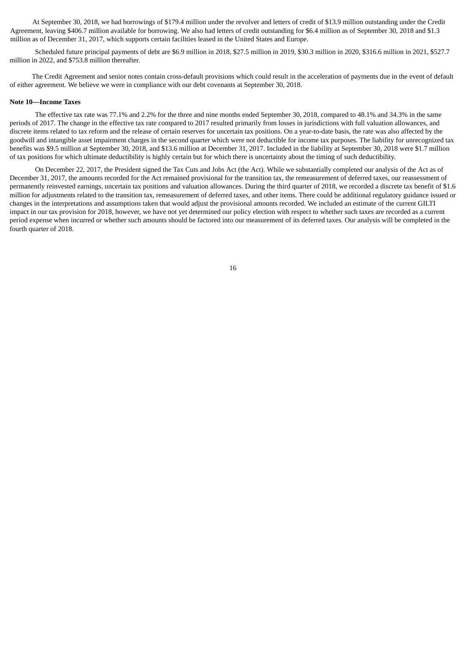At September 30, 2018, we had borrowings of \$179.4 million under the revolver and letters of credit of \$13.9 million outstanding under the Credit Agreement, leaving \$406.7 million available for borrowing. We also had letters of credit outstanding for \$6.4 million as of September 30, 2018 and \$1.3 million as of December 31, 2017, which supports certain facilities leased in the United States and Europe.

Scheduled future principal payments of debt are \$6.9 million in 2018, \$27.5 million in 2019, \$30.3 million in 2020, \$316.6 million in 2021, \$527.7 million in 2022, and \$753.8 million thereafter.

The Credit Agreement and senior notes contain cross-default provisions which could result in the acceleration of payments due in the event of default of either agreement. We believe we were in compliance with our debt covenants at September 30, 2018.

#### **Note 10—Income Taxes**

The effective tax rate was 77.1% and 2.2% for the three and nine months ended September 30, 2018, compared to 48.1% and 34.3% in the same periods of 2017. The change in the effective tax rate compared to 2017 resulted primarily from losses in jurisdictions with full valuation allowances, and discrete items related to tax reform and the release of certain reserves for uncertain tax positions. On a year-to-date basis, the rate was also affected by the goodwill and intangible asset impairment charges in the second quarter which were not deductible for income tax purposes. The liability for unrecognized tax benefits was \$9.5 million at September 30, 2018, and \$13.6 million at December 31, 2017. Included in the liability at September 30, 2018 were \$1.7 million of tax positions for which ultimate deductibility is highly certain but for which there is uncertainty about the timing of such deductibility.

On December 22, 2017, the President signed the Tax Cuts and Jobs Act (the Act). While we substantially completed our analysis of the Act as of December 31, 2017, the amounts recorded for the Act remained provisional for the transition tax, the remeasurement of deferred taxes, our reassessment of permanently reinvested earnings, uncertain tax positions and valuation allowances. During the third quarter of 2018, we recorded a discrete tax benefit of \$1.6 million for adjustments related to the transition tax, remeasurement of deferred taxes, and other items. There could be additional regulatory guidance issued or changes in the interpretations and assumptions taken that would adjust the provisional amounts recorded. We included an estimate of the current GILTI impact in our tax provision for 2018, however, we have not yet determined our policy election with respect to whether such taxes are recorded as a current period expense when incurred or whether such amounts should be factored into our measurement of its deferred taxes. Our analysis will be completed in the fourth quarter of 2018.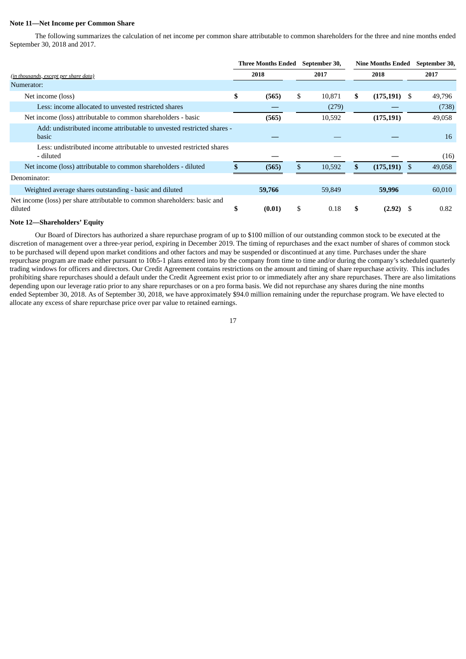### **Note 11—Net Income per Common Share**

The following summarizes the calculation of net income per common share attributable to common shareholders for the three and nine months ended September 30, 2018 and 2017.

|                                                                                       | Three Months Ended |        |              | September 30, |      | <b>Nine Months Ended</b> |      | September 30, |  |
|---------------------------------------------------------------------------------------|--------------------|--------|--------------|---------------|------|--------------------------|------|---------------|--|
| (in thousands, except per share data)                                                 | 2018               |        | 2017         |               | 2018 |                          | 2017 |               |  |
| Numerator:                                                                            |                    |        |              |               |      |                          |      |               |  |
| Net income (loss)                                                                     | \$                 | (565)  | \$           | 10,871        | \$   | $(175, 191)$ \$          |      | 49,796        |  |
| Less: income allocated to unvested restricted shares                                  |                    |        |              | (279)         |      |                          |      | (738)         |  |
| Net income (loss) attributable to common shareholders - basic                         |                    | (565)  |              | 10,592        |      | (175, 191)               |      | 49,058        |  |
| Add: undistributed income attributable to unvested restricted shares -<br>basic       |                    |        |              |               |      |                          |      | 16            |  |
| Less: undistributed income attributable to unvested restricted shares<br>- diluted    |                    |        |              |               |      |                          |      | (16)          |  |
| Net income (loss) attributable to common shareholders - diluted                       |                    | (565)  | $\mathbb{S}$ | 10,592        | \$   | $(175, 191)$ \$          |      | 49,058        |  |
| Denominator:                                                                          |                    |        |              |               |      |                          |      |               |  |
| Weighted average shares outstanding - basic and diluted                               |                    | 59,766 |              | 59,849        |      | 59,996                   |      | 60,010        |  |
| Net income (loss) per share attributable to common shareholders: basic and<br>diluted | \$                 | (0.01) | \$           | 0.18          | \$   | (2.92)                   | Ъ    | 0.82          |  |

### **Note 12—Shareholders' Equity**

Our Board of Directors has authorized a share repurchase program of up to \$100 million of our outstanding common stock to be executed at the discretion of management over a three-year period, expiring in December 2019. The timing of repurchases and the exact number of shares of common stock to be purchased will depend upon market conditions and other factors and may be suspended or discontinued at any time. Purchases under the share repurchase program are made either pursuant to 10b5-1 plans entered into by the company from time to time and/or during the company's scheduled quarterly trading windows for officers and directors. Our Credit Agreement contains restrictions on the amount and timing of share repurchase activity. This includes prohibiting share repurchases should a default under the Credit Agreement exist prior to or immediately after any share repurchases. There are also limitations depending upon our leverage ratio prior to any share repurchases or on a pro forma basis. We did not repurchase any shares during the nine months ended September 30, 2018. As of September 30, 2018, we have approximately \$94.0 million remaining under the repurchase program. We have elected to allocate any excess of share repurchase price over par value to retained earnings.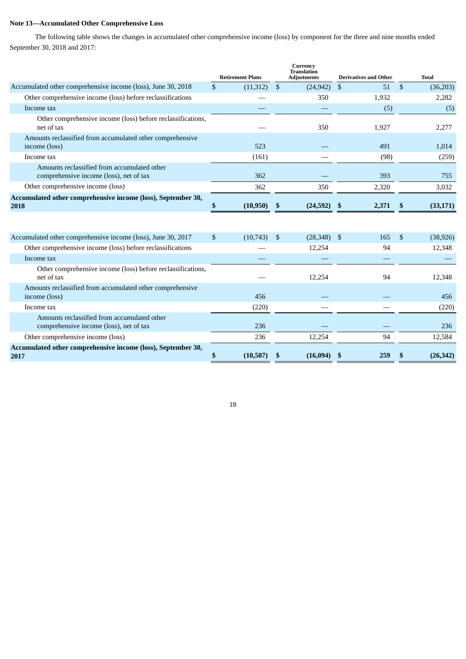# **Note 13—Accumulated Other Comprehensive Loss**

The following table shows the changes in accumulated other comprehensive income (loss) by component for the three and nine months ended September 30, 2018 and 2017:

|                                                                                        |            | <b>Retirement Plans</b> |                | Currency<br><b>Translation</b><br><b>Adjustments</b> | <b>Derivatives and Other</b> |       |     | <b>Total</b> |
|----------------------------------------------------------------------------------------|------------|-------------------------|----------------|------------------------------------------------------|------------------------------|-------|-----|--------------|
| Accumulated other comprehensive income (loss), June 30, 2018                           | $\sqrt{2}$ | (11, 312)               | $\mathfrak{S}$ | (24, 942)                                            | \$                           | 51    | \$  | (36,203)     |
| Other comprehensive income (loss) before reclassifications                             |            |                         |                | 350                                                  |                              | 1,932 |     | 2,282        |
| Income tax                                                                             |            |                         |                |                                                      |                              | (5)   |     | (5)          |
| Other comprehensive income (loss) before reclassifications,<br>net of tax              |            |                         |                | 350                                                  |                              | 1,927 |     | 2,277        |
| Amounts reclassified from accumulated other comprehensive<br>income (loss)             |            | 523                     |                |                                                      |                              | 491   |     | 1,014        |
| Income tax                                                                             |            | (161)                   |                |                                                      |                              | (98)  |     | (259)        |
| Amounts reclassified from accumulated other<br>comprehensive income (loss), net of tax |            | 362                     |                |                                                      |                              | 393   |     | 755          |
| Other comprehensive income (loss)                                                      |            | 362                     |                | 350                                                  |                              | 2,320 |     | 3,032        |
| Accumulated other comprehensive income (loss), September 30,<br>2018                   | \$         | (10, 950)               | \$             | (24, 592)                                            | $\boldsymbol{\mathsf{s}}$    | 2,371 | -\$ | (33, 171)    |
|                                                                                        |            |                         |                |                                                      |                              |       |     |              |
| Accumulated other comprehensive income (loss), June 30, 2017                           | \$         | (10,743)                | -\$            | (28, 348)                                            | \$                           | 165   | \$  | (38, 926)    |
| Other comprehensive income (loss) before reclassifications                             |            |                         |                | 12,254                                               |                              | 94    |     | 12,348       |
| Income tax                                                                             |            |                         |                |                                                      |                              |       |     |              |
| Other comprehensive income (loss) before reclassifications,<br>net of tax              |            |                         |                | 12,254                                               |                              | 94    |     | 12,348       |
| Amounts reclassified from accumulated other comprehensive<br>income (loss)             |            | 456                     |                |                                                      |                              |       |     | 456          |
| Income tax                                                                             |            | (220)                   |                |                                                      |                              |       |     | (220)        |
| Amounts reclassified from accumulated other<br>comprehensive income (loss), net of tax |            | 236                     |                |                                                      |                              |       |     | 236          |
| Other comprehensive income (loss)                                                      |            | 236                     |                | 12,254                                               |                              | 94    |     | 12,584       |
| Accumulated other comprehensive income (loss), September 30,<br>2017                   | \$         | (10,507)                | - \$           | (16,094)                                             | -\$                          | 259   | \$  | (26, 342)    |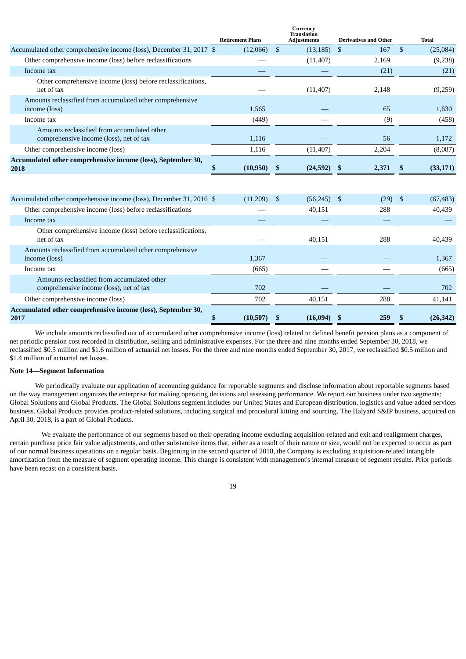|                                                                                        | <b>Retirement Plans</b> |      | Currency<br><b>Translation</b><br><b>Adjustments</b> |                | <b>Derivatives and Other</b> |              | <b>Total</b> |
|----------------------------------------------------------------------------------------|-------------------------|------|------------------------------------------------------|----------------|------------------------------|--------------|--------------|
| Accumulated other comprehensive income (loss), December 31, 2017 \$                    | (12,066)                | $\$$ | (13, 185)                                            | $\mathfrak{F}$ | 167                          | $\mathbb{S}$ | (25,084)     |
| Other comprehensive income (loss) before reclassifications                             |                         |      | (11, 407)                                            |                | 2,169                        |              | (9,238)      |
| Income tax                                                                             |                         |      |                                                      |                | (21)                         |              | (21)         |
| Other comprehensive income (loss) before reclassifications,<br>net of tax              |                         |      | (11, 407)                                            |                | 2,148                        |              | (9,259)      |
| Amounts reclassified from accumulated other comprehensive<br>income (loss)             | 1,565                   |      |                                                      |                | 65                           |              | 1,630        |
| Income tax                                                                             | (449)                   |      |                                                      |                | (9)                          |              | (458)        |
| Amounts reclassified from accumulated other<br>comprehensive income (loss), net of tax | 1,116                   |      |                                                      |                | 56                           |              | 1,172        |
| Other comprehensive income (loss)                                                      | 1,116                   |      | (11, 407)                                            |                | 2,204                        |              | (8,087)      |
| Accumulated other comprehensive income (loss), September 30,<br>2018                   | \$<br>(10, 950)         | \$   | (24, 592)                                            | \$             | 2,371                        | <sup>S</sup> | (33, 171)    |
|                                                                                        |                         |      |                                                      |                |                              |              |              |
| Accumulated other comprehensive income (loss), December 31, 2016 \$                    | (11,209)                | \$   | (56, 245)                                            | -\$            | (29)                         | - \$         | (67, 483)    |
| Other comprehensive income (loss) before reclassifications                             |                         |      | 40.151                                               |                | 288                          |              | 40,439       |
| Income tax                                                                             |                         |      |                                                      |                |                              |              |              |
| Other comprehensive income (loss) before reclassifications,<br>net of tax              |                         |      | 40,151                                               |                | 288                          |              | 40,439       |
| Amounts reclassified from accumulated other comprehensive<br>income (loss)             | 1,367                   |      |                                                      |                |                              |              | 1,367        |
| Income tax                                                                             | (665)                   |      |                                                      |                |                              |              | (665)        |
| Amounts reclassified from accumulated other<br>comprehensive income (loss), net of tax | 702                     |      |                                                      |                |                              |              | 702          |
| Other comprehensive income (loss)                                                      | 702                     |      | 40,151                                               |                | 288                          |              | 41,141       |
| Accumulated other comprehensive income (loss), September 30,<br>2017                   | \$<br>(10,507)          | \$   | (16,094)                                             | -\$            | 259                          | S,           | (26, 342)    |
|                                                                                        |                         |      |                                                      |                |                              |              |              |

We include amounts reclassified out of accumulated other comprehensive income (loss) related to defined benefit pension plans as a component of net periodic pension cost recorded in distribution, selling and administrative expenses. For the three and nine months ended September 30, 2018, we reclassified \$0.5 million and \$1.6 million of actuarial net losses. For the three and nine months ended September 30, 2017, we reclassified \$0.5 million and \$1.4 million of actuarial net losses.

### **Note 14—Segment Information**

We periodically evaluate our application of accounting guidance for reportable segments and disclose information about reportable segments based on the way management organizes the enterprise for making operating decisions and assessing performance. We report our business under two segments: Global Solutions and Global Products. The Global Solutions segment includes our United States and European distribution, logistics and value-added services business. Global Products provides product-related solutions, including surgical and procedural kitting and sourcing. The Halyard S&IP business, acquired on April 30, 2018, is a part of Global Products.

We evaluate the performance of our segments based on their operating income excluding acquisition-related and exit and realignment charges, certain purchase price fair value adjustments, and other substantive items that, either as a result of their nature or size, would not be expected to occur as part of our normal business operations on a regular basis. Beginning in the second quarter of 2018, the Company is excluding acquisition-related intangible amortization from the measure of segment operating income. This change is consistent with management's internal measure of segment results. Prior periods have been recast on a consistent basis.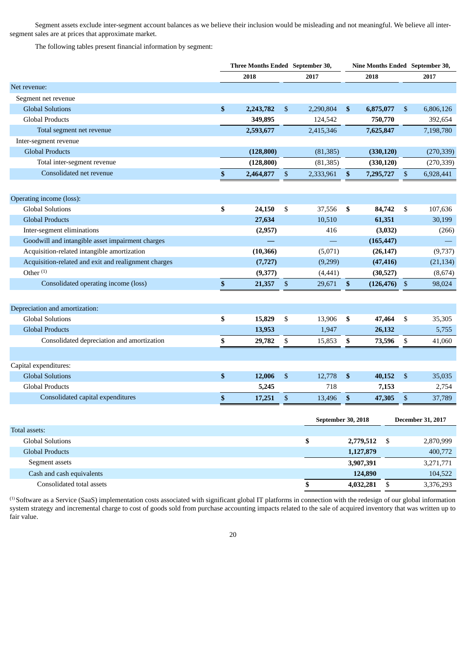Segment assets exclude inter-segment account balances as we believe their inclusion would be misleading and not meaningful. We believe all intersegment sales are at prices that approximate market.

The following tables present financial information by segment:

|                                                      |                    | Three Months Ended September 30, |      |                    |                           |                                        | Nine Months Ended September 30, |                   |  |
|------------------------------------------------------|--------------------|----------------------------------|------|--------------------|---------------------------|----------------------------------------|---------------------------------|-------------------|--|
|                                                      |                    | 2018                             |      | 2017               |                           | 2018                                   |                                 | 2017              |  |
| Net revenue:                                         |                    |                                  |      |                    |                           |                                        |                                 |                   |  |
| Segment net revenue                                  |                    |                                  |      |                    |                           |                                        |                                 |                   |  |
| <b>Global Solutions</b>                              | \$                 | 2,243,782                        | \$   | 2,290,804          | $\mathbf{s}$              | 6,875,077                              | \$                              | 6,806,126         |  |
| <b>Global Products</b>                               |                    | 349,895                          |      | 124,542            |                           | 750,770                                |                                 | 392,654           |  |
| Total segment net revenue                            |                    | 2,593,677                        |      | 2,415,346          |                           | 7,625,847                              |                                 | 7,198,780         |  |
| Inter-segment revenue                                |                    |                                  |      |                    |                           |                                        |                                 |                   |  |
| <b>Global Products</b>                               |                    | (128, 800)                       |      | (81, 385)          |                           | (330, 120)                             |                                 | (270, 339)        |  |
| Total inter-segment revenue                          |                    | (128, 800)                       |      | (81, 385)          |                           | (330, 120)                             |                                 | (270, 339)        |  |
| Consolidated net revenue                             | $\pmb{\mathbb{S}}$ | 2,464,877                        | \$   | 2,333,961          | $\boldsymbol{\mathsf{s}}$ | 7,295,727                              | \$                              | 6,928,441         |  |
|                                                      |                    |                                  |      |                    |                           |                                        |                                 |                   |  |
| Operating income (loss):                             |                    |                                  |      |                    |                           |                                        |                                 |                   |  |
| <b>Global Solutions</b>                              | \$                 | 24,150                           | \$   | 37,556             | \$                        | 84,742                                 | \$                              | 107,636           |  |
| <b>Global Products</b>                               |                    | 27,634                           |      | 10,510             |                           | 61,351                                 |                                 | 30,199            |  |
| Inter-segment eliminations                           |                    | (2,957)                          |      | 416                |                           | (3,032)                                |                                 | (266)             |  |
| Goodwill and intangible asset impairment charges     |                    |                                  |      |                    |                           | (165, 447)                             |                                 |                   |  |
| Acquisition-related intangible amortization          |                    | (10, 366)                        |      | (5,071)            |                           | (26, 147)                              |                                 | (9,737)           |  |
| Acquisition-related and exit and realignment charges |                    | (7, 727)                         |      | (9,299)            |                           | (47, 416)                              |                                 | (21, 134)         |  |
| Other $(1)$                                          |                    | (9, 377)                         |      | (4, 441)           |                           | (30,527)                               |                                 | (8,674)           |  |
| Consolidated operating income (loss)                 | \$                 | 21,357                           | $\$$ | 29,671             | \$                        | (126, 476)                             | \$                              | 98,024            |  |
|                                                      |                    |                                  |      |                    |                           |                                        |                                 |                   |  |
| Depreciation and amortization:                       |                    |                                  |      |                    |                           |                                        |                                 |                   |  |
| <b>Global Solutions</b>                              | \$                 | 15,829                           | \$   | 13,906             | \$                        | 47,464                                 | \$                              | 35,305            |  |
| <b>Global Products</b>                               |                    | 13,953                           |      | 1,947              |                           | 26,132                                 |                                 | 5,755             |  |
| Consolidated depreciation and amortization           | \$                 | 29,782                           | \$   | 15,853             | \$                        | 73,596                                 | \$                              | 41,060            |  |
|                                                      |                    |                                  |      |                    |                           |                                        |                                 |                   |  |
| Capital expenditures:                                |                    |                                  |      |                    |                           |                                        |                                 |                   |  |
| <b>Global Solutions</b>                              | \$                 | 12,006                           | \$   | 12,778             | $\boldsymbol{\mathsf{s}}$ | 40,152                                 | \$                              | 35,035            |  |
| <b>Global Products</b>                               |                    | 5,245                            |      | 718                |                           | 7,153                                  |                                 | 2,754             |  |
| Consolidated capital expenditures                    | \$                 | 17,251                           | \$   | 13,496             | \$                        | 47,305                                 | $\mathbb{S}$                    | 37,789            |  |
|                                                      |                    |                                  |      |                    |                           |                                        |                                 |                   |  |
|                                                      |                    |                                  |      | September 30, 2018 |                           |                                        |                                 | December 31, 2017 |  |
| Total assets:                                        |                    |                                  |      |                    |                           |                                        |                                 |                   |  |
| <b>Global Solutions</b>                              |                    |                                  |      | \$                 |                           | \$<br>2,779,512                        |                                 | 2,870,999         |  |
| <b>Global Products</b>                               |                    |                                  |      |                    |                           | 1,127,879                              |                                 | 400,772           |  |
| Segment assets                                       |                    |                                  |      |                    |                           | 3,907,391                              |                                 | 3,271,771         |  |
| Cash and cash equivalents                            |                    |                                  |      |                    |                           | 124,890                                |                                 | 104,522           |  |
| Consolidated total assets                            |                    |                                  |      | \$                 |                           | 4,032,281<br>$\boldsymbol{\mathsf{S}}$ |                                 | 3,376,293         |  |

(1) Software as a Service (SaaS) implementation costs associated with significant global IT platforms in connection with the redesign of our global information system strategy and incremental charge to cost of goods sold from purchase accounting impacts related to the sale of acquired inventory that was written up to fair value.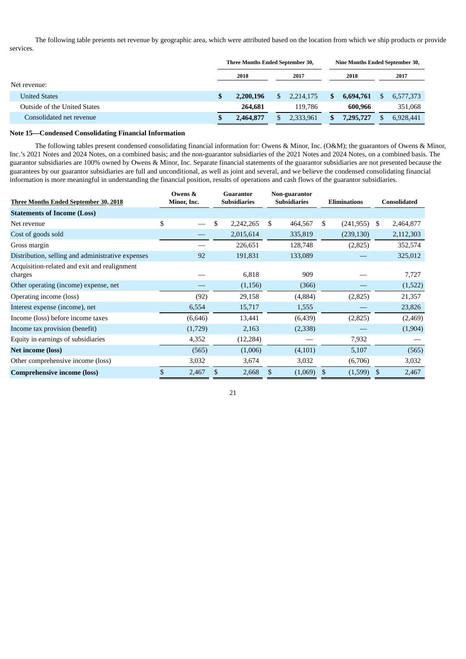The following table presents net revenue by geographic area, which were attributed based on the location from which we ship products or provide services.

|                              | <b>Three Months Ended September 30,</b> |  |           | Nine Months Ended September 30, |           |     |           |  |  |
|------------------------------|-----------------------------------------|--|-----------|---------------------------------|-----------|-----|-----------|--|--|
|                              | 2018                                    |  | 2017      |                                 | 2018      |     | 2017      |  |  |
| Net revenue:                 |                                         |  |           |                                 |           |     |           |  |  |
| <b>United States</b>         | 2,200,196                               |  | 2.214.175 | S                               | 6,694,761 | \$. | 6,577,373 |  |  |
| Outside of the United States | 264,681                                 |  | 119,786   |                                 | 600,966   |     | 351,068   |  |  |
| Consolidated net revenue     | 2,464,877                               |  | 2,333,961 | \$                              | 7,295,727 |     | 6,928,441 |  |  |

### **Note 15—Condensed Consolidating Financial Information**

The following tables present condensed consolidating financial information for: Owens & Minor, Inc. (O&M); the guarantors of Owens & Minor, Inc.'s 2021 Notes and 2024 Notes, on a combined basis; and the non-guarantor subsidiaries of the 2021 Notes and 2024 Notes, on a combined basis. The guarantor subsidiaries are 100% owned by Owens & Minor, Inc. Separate financial statements of the guarantor subsidiaries are not presented because the guarantees by our guarantor subsidiaries are full and unconditional, as well as joint and several, and we believe the condensed consolidating financial information is more meaningful in understanding the financial position, results of operations and cash flows of the guarantor subsidiaries.

| <b>Three Months Ended September 30, 2018</b>            | Owens &<br>Minor, Inc. |         | Guarantor<br><b>Subsidiaries</b> |           | Non-guarantor<br><b>Subsidiaries</b> | <b>Eliminations</b> |            | Consolidated |           |
|---------------------------------------------------------|------------------------|---------|----------------------------------|-----------|--------------------------------------|---------------------|------------|--------------|-----------|
|                                                         |                        |         |                                  |           |                                      |                     |            |              |           |
| <b>Statements of Income (Loss)</b>                      |                        |         |                                  |           |                                      |                     |            |              |           |
| Net revenue                                             | \$                     |         | \$                               | 2,242,265 | \$<br>464,567                        | \$.                 | (241, 955) | S            | 2,464,877 |
| Cost of goods sold                                      |                        |         |                                  | 2,015,614 | 335,819                              |                     | (239, 130) |              | 2,112,303 |
| Gross margin                                            |                        |         |                                  | 226,651   | 128,748                              |                     | (2,825)    |              | 352,574   |
| Distribution, selling and administrative expenses       |                        | 92      |                                  | 191,831   | 133,089                              |                     |            |              | 325,012   |
| Acquisition-related and exit and realignment<br>charges |                        |         |                                  | 6,818     | 909                                  |                     |            |              | 7,727     |
| Other operating (income) expense, net                   |                        |         |                                  | (1, 156)  | (366)                                |                     |            |              | (1,522)   |
| Operating income (loss)                                 |                        | (92)    |                                  | 29,158    | (4,884)                              |                     | (2,825)    |              | 21,357    |
| Interest expense (income), net                          |                        | 6,554   |                                  | 15,717    | 1,555                                |                     |            |              | 23,826    |
| Income (loss) before income taxes                       |                        | (6,646) |                                  | 13,441    | (6, 439)                             |                     | (2,825)    |              | (2,469)   |
| Income tax provision (benefit)                          |                        | (1,729) |                                  | 2,163     | (2,338)                              |                     |            |              | (1,904)   |
| Equity in earnings of subsidiaries                      |                        | 4,352   |                                  | (12, 284) |                                      |                     | 7,932      |              |           |
| <b>Net income (loss)</b>                                |                        | (565)   |                                  | (1,006)   | (4,101)                              |                     | 5,107      |              | (565)     |
| Other comprehensive income (loss)                       |                        | 3,032   |                                  | 3,674     | 3,032                                |                     | (6,706)    |              | 3,032     |
| <b>Comprehensive income (loss)</b>                      | \$                     | 2,467   | \$                               | 2,668     | \$<br>(1,069)                        | - \$                | (1,599)    | \$           | 2,467     |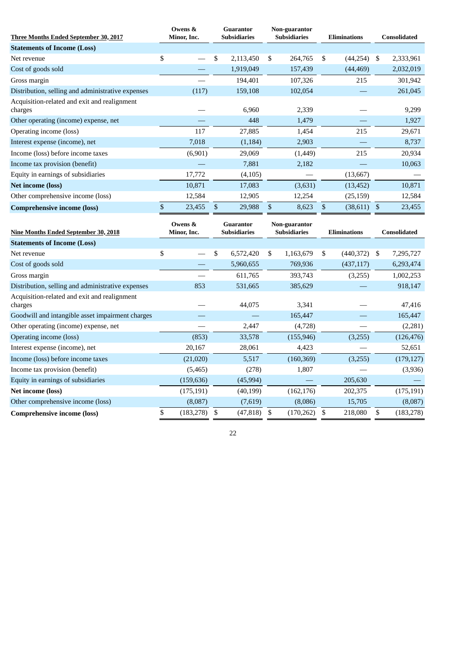| <b>Three Months Ended September 30, 2017</b>            | Owens &<br>Minor, Inc. |         | <b>Guarantor</b><br><b>Subsidiaries</b> | Non-guarantor<br><b>Subsidiaries</b> |     |          | <b>Eliminations</b> | <b>Consolidated</b> |    |           |
|---------------------------------------------------------|------------------------|---------|-----------------------------------------|--------------------------------------|-----|----------|---------------------|---------------------|----|-----------|
| <b>Statements of Income (Loss)</b>                      |                        |         |                                         |                                      |     |          |                     |                     |    |           |
| Net revenue                                             | \$                     |         | \$                                      | 2,113,450                            | \$. | 264,765  | \$                  | (44, 254)           | S. | 2,333,961 |
| Cost of goods sold                                      |                        |         |                                         | 1,919,049                            |     | 157,439  |                     | (44, 469)           |    | 2,032,019 |
| Gross margin                                            |                        |         |                                         | 194,401                              |     | 107,326  |                     | 215                 |    | 301,942   |
| Distribution, selling and administrative expenses       |                        | (117)   |                                         | 159,108                              |     | 102,054  |                     |                     |    | 261,045   |
| Acquisition-related and exit and realignment<br>charges |                        |         |                                         | 6,960                                |     | 2,339    |                     |                     |    | 9,299     |
| Other operating (income) expense, net                   |                        |         |                                         | 448                                  |     | 1,479    |                     |                     |    | 1,927     |
| Operating income (loss)                                 |                        | 117     |                                         | 27,885                               |     | 1,454    |                     | 215                 |    | 29,671    |
| Interest expense (income), net                          |                        | 7,018   |                                         | (1, 184)                             |     | 2,903    |                     |                     |    | 8,737     |
| Income (loss) before income taxes                       |                        | (6,901) |                                         | 29,069                               |     | (1, 449) |                     | 215                 |    | 20,934    |
| Income tax provision (benefit)                          |                        |         |                                         | 7,881                                |     | 2,182    |                     |                     |    | 10,063    |
| Equity in earnings of subsidiaries                      |                        | 17,772  |                                         | (4,105)                              |     |          |                     | (13,667)            |    |           |
| <b>Net income (loss)</b>                                |                        | 10,871  |                                         | 17,083                               |     | (3,631)  |                     | (13, 452)           |    | 10,871    |
| Other comprehensive income (loss)                       |                        | 12,584  |                                         | 12,905                               |     | 12,254   |                     | (25, 159)           |    | 12,584    |
| <b>Comprehensive income (loss)</b>                      | \$                     | 23,455  | \$                                      | 29,988                               | \$  | 8,623    | \$                  | (38, 611)           | \$ | 23,455    |

| <b>Nine Months Ended September 30, 2018</b>             | Owens &<br>Minor, Inc. |    | <b>Guarantor</b><br><b>Subsidiaries</b> |    | Non-guarantor<br><b>Subsidiaries</b> | <b>Eliminations</b> |            |     | Consolidated |
|---------------------------------------------------------|------------------------|----|-----------------------------------------|----|--------------------------------------|---------------------|------------|-----|--------------|
| <b>Statements of Income (Loss)</b>                      |                        |    |                                         |    |                                      |                     |            |     |              |
| Net revenue                                             | \$                     | \$ | 6,572,420                               | \$ | 1,163,679                            | \$.                 | (440,372)  | \$. | 7,295,727    |
| Cost of goods sold                                      |                        |    | 5,960,655                               |    | 769,936                              |                     | (437, 117) |     | 6,293,474    |
| Gross margin                                            |                        |    | 611,765                                 |    | 393,743                              |                     | (3,255)    |     | 1,002,253    |
| Distribution, selling and administrative expenses       | 853                    |    | 531,665                                 |    | 385,629                              |                     |            |     | 918,147      |
| Acquisition-related and exit and realignment<br>charges |                        |    | 44,075                                  |    | 3,341                                |                     |            |     | 47,416       |
| Goodwill and intangible asset impairment charges        |                        |    |                                         |    | 165,447                              |                     |            |     | 165,447      |
| Other operating (income) expense, net                   |                        |    | 2,447                                   |    | (4,728)                              |                     |            |     | (2,281)      |
| Operating income (loss)                                 | (853)                  |    | 33,578                                  |    | (155, 946)                           |                     | (3,255)    |     | (126, 476)   |
| Interest expense (income), net                          | 20,167                 |    | 28,061                                  |    | 4,423                                |                     |            |     | 52,651       |
| Income (loss) before income taxes                       | (21,020)               |    | 5,517                                   |    | (160, 369)                           |                     | (3,255)    |     | (179, 127)   |
| Income tax provision (benefit)                          | (5,465)                |    | (278)                                   |    | 1,807                                |                     |            |     | (3,936)      |
| Equity in earnings of subsidiaries                      | (159, 636)             |    | (45, 994)                               |    |                                      |                     | 205,630    |     |              |
| <b>Net income (loss)</b>                                | (175, 191)             |    | (40, 199)                               |    | (162, 176)                           |                     | 202,375    |     | (175, 191)   |
| Other comprehensive income (loss)                       | (8,087)                |    | (7,619)                                 |    | (8,086)                              |                     | 15,705     |     | (8,087)      |
| <b>Comprehensive income (loss)</b>                      | \$<br>(183, 278)       | \$ | (47, 818)                               |    | (170, 262)                           |                     | 218,080    | S   | (183, 278)   |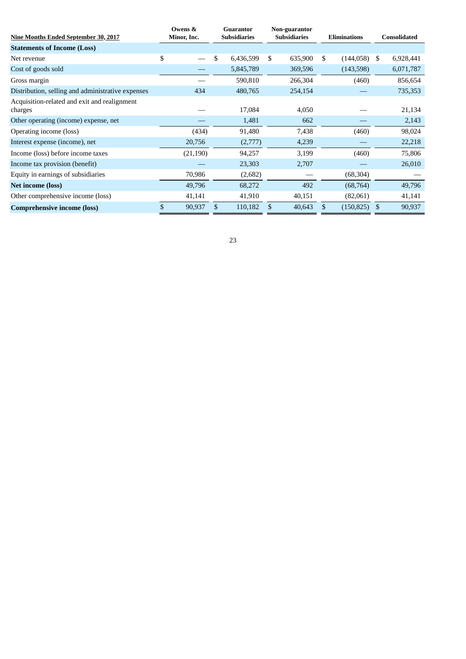| <b>Nine Months Ended September 30, 2017</b>             | Owens &<br>Guarantor<br><b>Subsidiaries</b><br>Minor, Inc. |           |                 | Non-guarantor<br><b>Subsidiaries</b> |         | <b>Eliminations</b> | <b>Consolidated</b> |    |           |
|---------------------------------------------------------|------------------------------------------------------------|-----------|-----------------|--------------------------------------|---------|---------------------|---------------------|----|-----------|
| <b>Statements of Income (Loss)</b>                      |                                                            |           |                 |                                      |         |                     |                     |    |           |
| Net revenue                                             | \$                                                         |           | \$<br>6,436,599 | \$                                   | 635,900 | -S                  | (144, 058)          | S. | 6,928,441 |
| Cost of goods sold                                      |                                                            |           | 5,845,789       |                                      | 369,596 |                     | (143,598)           |    | 6,071,787 |
| Gross margin                                            |                                                            |           | 590,810         |                                      | 266,304 |                     | (460)               |    | 856,654   |
| Distribution, selling and administrative expenses       |                                                            | 434       | 480,765         |                                      | 254,154 |                     |                     |    | 735,353   |
| Acquisition-related and exit and realignment<br>charges |                                                            |           | 17,084          |                                      | 4,050   |                     |                     |    | 21,134    |
| Other operating (income) expense, net                   |                                                            |           | 1,481           |                                      | 662     |                     |                     |    | 2,143     |
| Operating income (loss)                                 |                                                            | (434)     | 91,480          |                                      | 7,438   |                     | (460)               |    | 98,024    |
| Interest expense (income), net                          |                                                            | 20,756    | (2,777)         |                                      | 4,239   |                     |                     |    | 22,218    |
| Income (loss) before income taxes                       |                                                            | (21, 190) | 94,257          |                                      | 3,199   |                     | (460)               |    | 75,806    |
| Income tax provision (benefit)                          |                                                            |           | 23,303          |                                      | 2,707   |                     |                     |    | 26,010    |
| Equity in earnings of subsidiaries                      |                                                            | 70,986    | (2,682)         |                                      |         |                     | (68, 304)           |    |           |
| <b>Net income (loss)</b>                                |                                                            | 49,796    | 68,272          |                                      | 492     |                     | (68, 764)           |    | 49,796    |
| Other comprehensive income (loss)                       |                                                            | 41,141    | 41,910          |                                      | 40,151  |                     | (82,061)            |    | 41,141    |
| Comprehensive income (loss)                             | \$                                                         | 90,937    | \$<br>110,182   | \$                                   | 40,643  |                     | (150, 825)          | \$ | 90,937    |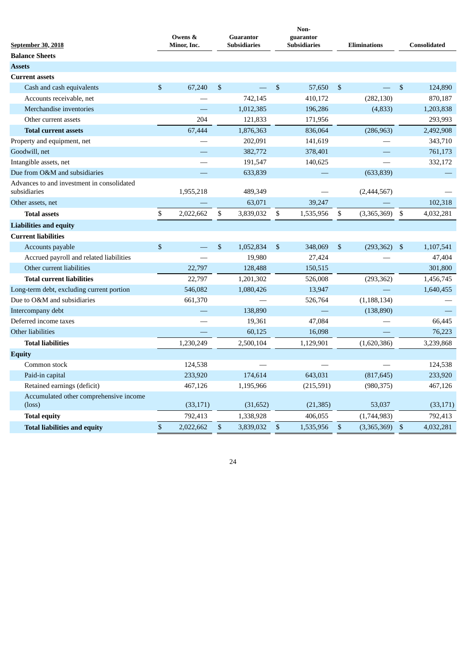| <b>September 30, 2018</b>                                  | Owens &<br>Minor, Inc. |           |              | <b>Guarantor</b><br><b>Subsidiaries</b> | Non-<br>guarantor<br><b>Subsidiaries</b> |            |                | <b>Eliminations</b> | <b>Consolidated</b> |           |  |
|------------------------------------------------------------|------------------------|-----------|--------------|-----------------------------------------|------------------------------------------|------------|----------------|---------------------|---------------------|-----------|--|
| <b>Balance Sheets</b>                                      |                        |           |              |                                         |                                          |            |                |                     |                     |           |  |
| <b>Assets</b>                                              |                        |           |              |                                         |                                          |            |                |                     |                     |           |  |
| <b>Current assets</b>                                      |                        |           |              |                                         |                                          |            |                |                     |                     |           |  |
| Cash and cash equivalents                                  | \$                     | 67,240    | \$           |                                         | \$                                       | 57,650     | \$             |                     | \$                  | 124,890   |  |
| Accounts receivable, net                                   |                        |           |              | 742,145                                 |                                          | 410,172    |                | (282, 130)          |                     | 870,187   |  |
| Merchandise inventories                                    |                        |           |              | 1,012,385                               |                                          | 196,286    |                | (4, 833)            |                     | 1,203,838 |  |
| Other current assets                                       |                        | 204       |              | 121,833                                 |                                          | 171,956    |                |                     |                     | 293,993   |  |
| <b>Total current assets</b>                                |                        | 67,444    |              | 1,876,363                               |                                          | 836,064    |                | (286, 963)          |                     | 2,492,908 |  |
| Property and equipment, net                                |                        |           |              | 202,091                                 |                                          | 141,619    |                |                     |                     | 343,710   |  |
| Goodwill, net                                              |                        |           |              | 382,772                                 |                                          | 378,401    |                |                     |                     | 761,173   |  |
| Intangible assets, net                                     |                        |           |              | 191,547                                 |                                          | 140,625    |                |                     |                     | 332,172   |  |
| Due from O&M and subsidiaries                              |                        |           |              | 633,839                                 |                                          |            |                | (633, 839)          |                     |           |  |
| Advances to and investment in consolidated<br>subsidiaries |                        | 1,955,218 |              | 489,349                                 |                                          |            |                | (2,444,567)         |                     |           |  |
| Other assets, net                                          |                        |           |              | 63,071                                  |                                          | 39,247     |                |                     |                     | 102,318   |  |
| <b>Total assets</b>                                        | \$                     | 2,022,662 | \$           | 3,839,032                               | \$                                       | 1,535,956  | \$             | (3,365,369)         | \$                  | 4,032,281 |  |
| <b>Liabilities and equity</b>                              |                        |           |              |                                         |                                          |            |                |                     |                     |           |  |
| <b>Current liabilities</b>                                 |                        |           |              |                                         |                                          |            |                |                     |                     |           |  |
| Accounts payable                                           | \$                     |           | $\mathbb{S}$ | 1,052,834                               | \$                                       | 348,069    | $\mathfrak{S}$ | (293, 362)          | \$                  | 1,107,541 |  |
| Accrued payroll and related liabilities                    |                        |           |              | 19,980                                  |                                          | 27,424     |                |                     |                     | 47,404    |  |
| Other current liabilities                                  |                        | 22,797    |              | 128,488                                 |                                          | 150,515    |                |                     |                     | 301,800   |  |
| <b>Total current liabilities</b>                           |                        | 22,797    |              | 1,201,302                               |                                          | 526,008    |                | (293, 362)          |                     | 1,456,745 |  |
| Long-term debt, excluding current portion                  |                        | 546,082   |              | 1,080,426                               |                                          | 13,947     |                |                     |                     | 1,640,455 |  |
| Due to O&M and subsidiaries                                |                        | 661,370   |              |                                         |                                          | 526,764    |                | (1, 188, 134)       |                     |           |  |
| Intercompany debt                                          |                        |           |              | 138,890                                 |                                          |            |                | (138, 890)          |                     |           |  |
| Deferred income taxes                                      |                        |           |              | 19,361                                  |                                          | 47,084     |                |                     |                     | 66,445    |  |
| Other liabilities                                          |                        |           |              | 60,125                                  |                                          | 16,098     |                |                     |                     | 76,223    |  |
| <b>Total liabilities</b>                                   |                        | 1,230,249 |              | 2,500,104                               |                                          | 1,129,901  |                | (1,620,386)         |                     | 3,239,868 |  |
| <b>Equity</b>                                              |                        |           |              |                                         |                                          |            |                |                     |                     |           |  |
| Common stock                                               |                        | 124,538   |              |                                         |                                          |            |                |                     |                     | 124,538   |  |
| Paid-in capital                                            |                        | 233,920   |              | 174,614                                 |                                          | 643,031    |                | (817, 645)          |                     | 233,920   |  |
| Retained earnings (deficit)                                |                        | 467,126   |              | 1,195,966                               |                                          | (215, 591) |                | (980, 375)          |                     | 467,126   |  |
| Accumulated other comprehensive income<br>$(\text{loss})$  |                        | (33, 171) |              | (31,652)                                |                                          | (21, 385)  |                | 53,037              |                     | (33, 171) |  |
| <b>Total equity</b>                                        |                        | 792,413   |              | 1,338,928                               |                                          | 406,055    |                | (1,744,983)         |                     | 792,413   |  |
| <b>Total liabilities and equity</b>                        | \$                     | 2,022,662 | $\,$         | 3,839,032                               | $\,$                                     | 1,535,956  | \$             | (3,365,369)         | $\mathfrak{s}$      | 4,032,281 |  |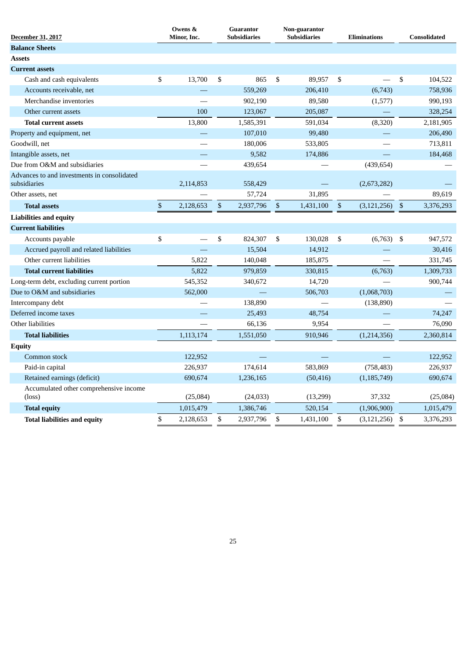| <b>December 31, 2017</b>                    | Owens &<br>Minor, Inc. | <b>Guarantor</b><br><b>Subsidiaries</b> | Non-guarantor<br><b>Subsidiaries</b> |           |                           | <b>Eliminations</b> |            | <b>Consolidated</b> |
|---------------------------------------------|------------------------|-----------------------------------------|--------------------------------------|-----------|---------------------------|---------------------|------------|---------------------|
| <b>Balance Sheets</b>                       |                        |                                         |                                      |           |                           |                     |            |                     |
| <b>Assets</b>                               |                        |                                         |                                      |           |                           |                     |            |                     |
| <b>Current assets</b>                       |                        |                                         |                                      |           |                           |                     |            |                     |
| Cash and cash equivalents                   | \$<br>13,700           | \$<br>865                               | \$                                   | 89,957    | \$                        |                     | \$         | 104,522             |
| Accounts receivable, net                    |                        | 559,269                                 |                                      | 206,410   |                           | (6,743)             |            | 758,936             |
| Merchandise inventories                     |                        | 902,190                                 |                                      | 89,580    |                           | (1,577)             |            | 990,193             |
| Other current assets                        | 100                    | 123,067                                 |                                      | 205,087   |                           |                     |            | 328,254             |
| <b>Total current assets</b>                 | 13,800                 | 1,585,391                               |                                      | 591,034   |                           | (8,320)             |            | 2,181,905           |
| Property and equipment, net                 |                        | 107,010                                 |                                      | 99,480    |                           |                     |            | 206,490             |
| Goodwill, net                               |                        | 180,006                                 |                                      | 533,805   |                           |                     |            | 713,811             |
| Intangible assets, net                      |                        | 9,582                                   |                                      | 174,886   |                           |                     |            | 184,468             |
| Due from O&M and subsidiaries               |                        | 439,654                                 |                                      |           |                           | (439, 654)          |            |                     |
| Advances to and investments in consolidated |                        |                                         |                                      |           |                           |                     |            |                     |
| subsidiaries                                | 2,114,853              | 558,429                                 |                                      |           |                           | (2,673,282)         |            |                     |
| Other assets, net                           |                        | 57,724                                  |                                      | 31,895    |                           |                     |            | 89,619              |
| <b>Total assets</b>                         | \$<br>2,128,653        | \$<br>2,937,796                         | $\$$                                 | 1,431,100 | $\boldsymbol{\mathsf{S}}$ | (3, 121, 256)       | $\sqrt{3}$ | 3,376,293           |
| <b>Liabilities and equity</b>               |                        |                                         |                                      |           |                           |                     |            |                     |
| <b>Current liabilities</b>                  |                        |                                         |                                      |           |                           |                     |            |                     |
| Accounts payable                            | \$                     | \$<br>824,307                           | \$                                   | 130,028   | \$                        | (6,763)             | \$         | 947,572             |
| Accrued payroll and related liabilities     |                        | 15,504                                  |                                      | 14,912    |                           |                     |            | 30,416              |
| Other current liabilities                   | 5,822                  | 140,048                                 |                                      | 185,875   |                           |                     |            | 331,745             |
| <b>Total current liabilities</b>            | 5,822                  | 979,859                                 |                                      | 330,815   |                           | (6,763)             |            | 1,309,733           |
| Long-term debt, excluding current portion   | 545,352                | 340,672                                 |                                      | 14,720    |                           |                     |            | 900,744             |
| Due to O&M and subsidiaries                 | 562,000                |                                         |                                      | 506,703   |                           | (1,068,703)         |            |                     |
| Intercompany debt                           |                        | 138,890                                 |                                      |           |                           | (138, 890)          |            |                     |
| Deferred income taxes                       |                        | 25,493                                  |                                      | 48,754    |                           |                     |            | 74,247              |
| Other liabilities                           |                        | 66,136                                  |                                      | 9,954     |                           |                     |            | 76,090              |
| <b>Total liabilities</b>                    | 1,113,174              | 1,551,050                               |                                      | 910,946   |                           | (1,214,356)         |            | 2,360,814           |
| <b>Equity</b>                               |                        |                                         |                                      |           |                           |                     |            |                     |
| Common stock                                | 122,952                |                                         |                                      |           |                           |                     |            | 122,952             |
| Paid-in capital                             | 226,937                | 174,614                                 |                                      | 583,869   |                           | (758, 483)          |            | 226,937             |
| Retained earnings (deficit)                 | 690,674                | 1,236,165                               |                                      | (50, 416) |                           | (1, 185, 749)       |            | 690,674             |
| Accumulated other comprehensive income      |                        |                                         |                                      |           |                           |                     |            |                     |
| $(\text{loss})$                             | (25,084)               | (24, 033)                               |                                      | (13,299)  |                           | 37,332              |            | (25,084)            |
| <b>Total equity</b>                         | 1,015,479              | 1,386,746                               |                                      | 520,154   |                           | (1,906,900)         |            | 1,015,479           |
| <b>Total liabilities and equity</b>         | \$<br>2,128,653        | \$<br>2,937,796                         | \$                                   | 1,431,100 | \$                        | (3, 121, 256)       | \$         | 3,376,293           |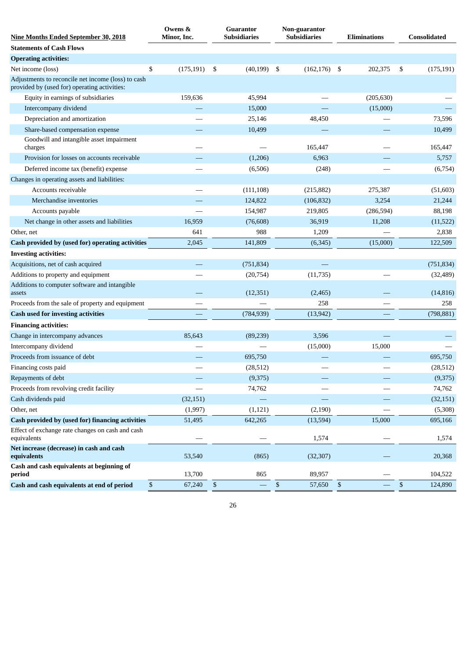| <b>Nine Months Ended September 30, 2018</b>                                                        | Owens &<br>Minor, Inc. | <b>Guarantor</b><br><b>Subsidiaries</b> |              | Non-guarantor<br><b>Subsidiaries</b> |     | <b>Eliminations</b> |              | <b>Consolidated</b> |
|----------------------------------------------------------------------------------------------------|------------------------|-----------------------------------------|--------------|--------------------------------------|-----|---------------------|--------------|---------------------|
| <b>Statements of Cash Flows</b>                                                                    |                        |                                         |              |                                      |     |                     |              |                     |
| <b>Operating activities:</b>                                                                       |                        |                                         |              |                                      |     |                     |              |                     |
| Net income (loss)                                                                                  | \$<br>(175, 191)       | \$<br>(40, 199)                         | - \$         | (162, 176)                           | -\$ | 202,375             | \$           | (175, 191)          |
| Adjustments to reconcile net income (loss) to cash<br>provided by (used for) operating activities: |                        |                                         |              |                                      |     |                     |              |                     |
| Equity in earnings of subsidiaries                                                                 | 159,636                | 45,994                                  |              |                                      |     | (205, 630)          |              |                     |
| Intercompany dividend                                                                              |                        | 15,000                                  |              |                                      |     | (15,000)            |              |                     |
| Depreciation and amortization                                                                      |                        | 25,146                                  |              | 48,450                               |     |                     |              | 73,596              |
| Share-based compensation expense                                                                   |                        | 10,499                                  |              |                                      |     |                     |              | 10,499              |
| Goodwill and intangible asset impairment<br>charges                                                |                        |                                         |              | 165,447                              |     |                     |              | 165,447             |
| Provision for losses on accounts receivable                                                        |                        | (1,206)                                 |              | 6,963                                |     |                     |              | 5,757               |
| Deferred income tax (benefit) expense                                                              |                        | (6,506)                                 |              | (248)                                |     |                     |              | (6,754)             |
| Changes in operating assets and liabilities:                                                       |                        |                                         |              |                                      |     |                     |              |                     |
| Accounts receivable                                                                                |                        | (111, 108)                              |              | (215, 882)                           |     | 275,387             |              | (51, 603)           |
| Merchandise inventories                                                                            |                        | 124,822                                 |              | (106, 832)                           |     | 3,254               |              | 21,244              |
| Accounts payable                                                                                   |                        | 154,987                                 |              | 219,805                              |     | (286, 594)          |              | 88,198              |
| Net change in other assets and liabilities                                                         | 16,959                 | (76, 608)                               |              | 36,919                               |     | 11,208              |              | (11, 522)           |
| Other, net                                                                                         | 641                    | 988                                     |              | 1,209                                |     |                     |              | 2,838               |
| Cash provided by (used for) operating activities                                                   | 2,045                  | 141,809                                 |              | (6, 345)                             |     | (15,000)            |              | 122,509             |
| <b>Investing activities:</b>                                                                       |                        |                                         |              |                                      |     |                     |              |                     |
| Acquisitions, net of cash acquired                                                                 |                        | (751, 834)                              |              |                                      |     |                     |              | (751, 834)          |
| Additions to property and equipment                                                                |                        | (20, 754)                               |              | (11, 735)                            |     |                     |              | (32, 489)           |
| Additions to computer software and intangible<br>assets                                            |                        | (12, 351)                               |              | (2,465)                              |     |                     |              | (14, 816)           |
| Proceeds from the sale of property and equipment                                                   |                        |                                         |              | 258                                  |     |                     |              | 258                 |
| <b>Cash used for investing activities</b>                                                          |                        | (784, 939)                              |              | (13, 942)                            |     |                     |              | (798, 881)          |
| <b>Financing activities:</b>                                                                       |                        |                                         |              |                                      |     |                     |              |                     |
| Change in intercompany advances                                                                    | 85,643                 | (89, 239)                               |              | 3,596                                |     |                     |              |                     |
| Intercompany dividend                                                                              |                        |                                         |              | (15,000)                             |     | 15,000              |              |                     |
| Proceeds from issuance of debt                                                                     |                        | 695,750                                 |              |                                      |     |                     |              | 695,750             |
| Financing costs paid                                                                               |                        | (28, 512)                               |              |                                      |     |                     |              | (28, 512)           |
| Repayments of debt                                                                                 |                        | (9, 375)                                |              |                                      |     |                     |              | (9,375)             |
| Proceeds from revolving credit facility                                                            |                        | 74,762                                  |              |                                      |     |                     |              | 74,762              |
| Cash dividends paid                                                                                | (32, 151)              |                                         |              |                                      |     |                     |              | (32, 151)           |
| Other, net                                                                                         | (1,997)                | (1, 121)                                |              | (2, 190)                             |     |                     |              | (5,308)             |
| Cash provided by (used for) financing activities                                                   | 51,495                 | 642,265                                 |              | (13,594)                             |     | 15,000              |              | 695,166             |
| Effect of exchange rate changes on cash and cash<br>equivalents                                    |                        |                                         |              | 1,574                                |     |                     |              | 1,574               |
| Net increase (decrease) in cash and cash<br>equivalents                                            | 53,540                 | (865)                                   |              | (32, 307)                            |     |                     |              | 20,368              |
| Cash and cash equivalents at beginning of<br>period                                                | 13,700                 | 865                                     |              | 89,957                               |     |                     |              | 104,522             |
| Cash and cash equivalents at end of period                                                         | \$<br>67,240           | \$                                      | $\mathbb{S}$ | 57,650                               | \$  |                     | $\mathbb{S}$ | 124,890             |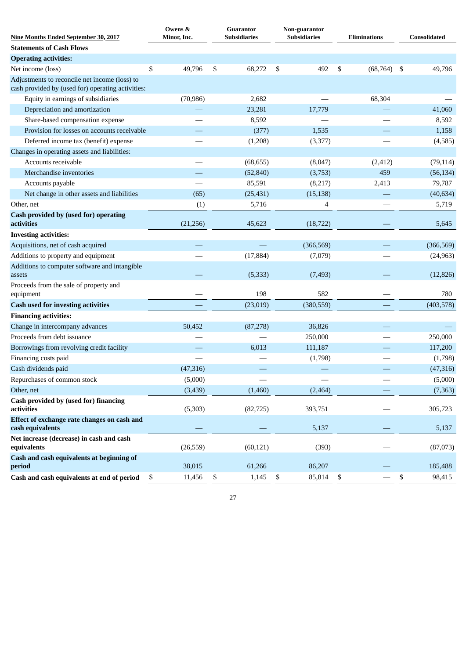| <b>Nine Months Ended September 30, 2017</b>                                                        | Owens &<br>Minor, Inc. | <b>Guarantor</b><br><b>Subsidiaries</b> | Non-guarantor<br><b>Subsidiaries</b> | <b>Eliminations</b> |           |      | Consolidated |
|----------------------------------------------------------------------------------------------------|------------------------|-----------------------------------------|--------------------------------------|---------------------|-----------|------|--------------|
| <b>Statements of Cash Flows</b>                                                                    |                        |                                         |                                      |                     |           |      |              |
| <b>Operating activities:</b>                                                                       |                        |                                         |                                      |                     |           |      |              |
| Net income (loss)                                                                                  | \$<br>49,796           | \$<br>68,272                            | \$<br>492                            | \$                  | (68, 764) | - \$ | 49,796       |
| Adjustments to reconcile net income (loss) to<br>cash provided by (used for) operating activities: |                        |                                         |                                      |                     |           |      |              |
| Equity in earnings of subsidiaries                                                                 | (70, 986)              | 2,682                                   |                                      |                     | 68,304    |      |              |
| Depreciation and amortization                                                                      |                        | 23,281                                  | 17,779                               |                     |           |      | 41,060       |
| Share-based compensation expense                                                                   |                        | 8,592                                   |                                      |                     |           |      | 8,592        |
| Provision for losses on accounts receivable                                                        |                        | (377)                                   | 1,535                                |                     |           |      | 1,158        |
| Deferred income tax (benefit) expense                                                              |                        | (1,208)                                 | (3, 377)                             |                     |           |      | (4,585)      |
| Changes in operating assets and liabilities:                                                       |                        |                                         |                                      |                     |           |      |              |
| Accounts receivable                                                                                |                        | (68, 655)                               | (8,047)                              |                     | (2, 412)  |      | (79, 114)    |
| Merchandise inventories                                                                            |                        | (52, 840)                               | (3,753)                              |                     | 459       |      | (56, 134)    |
| Accounts payable                                                                                   |                        | 85,591                                  | (8,217)                              |                     | 2,413     |      | 79,787       |
| Net change in other assets and liabilities                                                         | (65)                   | (25, 431)                               | (15, 138)                            |                     |           |      | (40, 634)    |
| Other, net                                                                                         | (1)                    | 5,716                                   | 4                                    |                     |           |      | 5,719        |
| Cash provided by (used for) operating<br>activities                                                | (21,256)               | 45,623                                  | (18, 722)                            |                     |           |      | 5,645        |
| <b>Investing activities:</b>                                                                       |                        |                                         |                                      |                     |           |      |              |
| Acquisitions, net of cash acquired                                                                 |                        |                                         | (366, 569)                           |                     |           |      | (366, 569)   |
| Additions to property and equipment                                                                |                        | (17, 884)                               | (7,079)                              |                     |           |      | (24, 963)    |
| Additions to computer software and intangible<br>assets                                            |                        | (5, 333)                                | (7, 493)                             |                     |           |      | (12, 826)    |
| Proceeds from the sale of property and<br>equipment                                                |                        | 198                                     | 582                                  |                     |           |      | 780          |
| <b>Cash used for investing activities</b>                                                          |                        | (23, 019)                               | (380, 559)                           |                     |           |      | (403, 578)   |
| <b>Financing activities:</b>                                                                       |                        |                                         |                                      |                     |           |      |              |
| Change in intercompany advances                                                                    | 50,452                 | (87, 278)                               | 36,826                               |                     |           |      |              |
| Proceeds from debt issuance                                                                        |                        |                                         | 250,000                              |                     |           |      | 250,000      |
| Borrowings from revolving credit facility                                                          |                        | 6,013                                   | 111,187                              |                     |           |      | 117,200      |
| Financing costs paid                                                                               |                        |                                         | (1,798)                              |                     |           |      | (1,798)      |
| Cash dividends paid                                                                                | (47, 316)              |                                         |                                      |                     |           |      | (47, 316)    |
| Repurchases of common stock                                                                        | (5,000)                |                                         |                                      |                     |           |      | (5,000)      |
| Other, net                                                                                         | (3, 439)               | (1,460)                                 | (2,464)                              |                     |           |      | (7, 363)     |
| Cash provided by (used for) financing<br>activities                                                | (5,303)                | (82, 725)                               | 393,751                              |                     |           |      | 305,723      |
| Effect of exchange rate changes on cash and<br>cash equivalents                                    |                        |                                         | 5,137                                |                     |           |      | 5,137        |
| Net increase (decrease) in cash and cash<br>equivalents                                            | (26, 559)              | (60, 121)                               | (393)                                |                     |           |      | (87,073)     |
| Cash and cash equivalents at beginning of<br>period                                                | 38,015                 | 61,266                                  | 86,207                               |                     |           |      | 185,488      |
| Cash and cash equivalents at end of period                                                         | \$<br>11,456           | \$<br>1,145                             | \$<br>85,814                         | \$                  |           | \$   | 98,415       |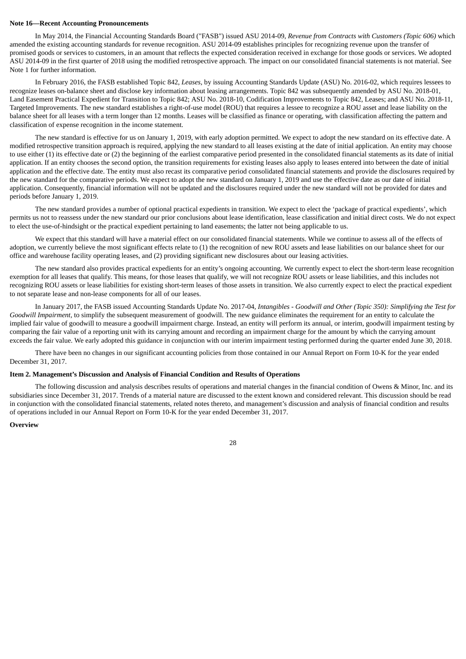#### **Note 16—Recent Accounting Pronouncements**

In May 2014, the Financial Accounting Standards Board ("FASB") issued ASU 2014-09, *Revenue from Contracts with Customers (Topic 606)* which amended the existing accounting standards for revenue recognition. ASU 2014-09 establishes principles for recognizing revenue upon the transfer of promised goods or services to customers, in an amount that reflects the expected consideration received in exchange for those goods or services. We adopted ASU 2014-09 in the first quarter of 2018 using the modified retrospective approach. The impact on our consolidated financial statements is not material. See Note 1 for further information.

In February 2016, the FASB established Topic 842, *Leases*, by issuing Accounting Standards Update (ASU) No. 2016-02, which requires lessees to recognize leases on-balance sheet and disclose key information about leasing arrangements. Topic 842 was subsequently amended by ASU No. 2018-01, Land Easement Practical Expedient for Transition to Topic 842; ASU No. 2018-10, Codification Improvements to Topic 842, Leases; and ASU No. 2018-11, Targeted Improvements. The new standard establishes a right-of-use model (ROU) that requires a lessee to recognize a ROU asset and lease liability on the balance sheet for all leases with a term longer than 12 months. Leases will be classified as finance or operating, with classification affecting the pattern and classification of expense recognition in the income statement.

The new standard is effective for us on January 1, 2019, with early adoption permitted. We expect to adopt the new standard on its effective date. A modified retrospective transition approach is required, applying the new standard to all leases existing at the date of initial application. An entity may choose to use either (1) its effective date or (2) the beginning of the earliest comparative period presented in the consolidated financial statements as its date of initial application. If an entity chooses the second option, the transition requirements for existing leases also apply to leases entered into between the date of initial application and the effective date. The entity must also recast its comparative period consolidated financial statements and provide the disclosures required by the new standard for the comparative periods. We expect to adopt the new standard on January 1, 2019 and use the effective date as our date of initial application. Consequently, financial information will not be updated and the disclosures required under the new standard will not be provided for dates and periods before January 1, 2019.

The new standard provides a number of optional practical expedients in transition. We expect to elect the 'package of practical expedients', which permits us not to reassess under the new standard our prior conclusions about lease identification, lease classification and initial direct costs. We do not expect to elect the use-of-hindsight or the practical expedient pertaining to land easements; the latter not being applicable to us.

We expect that this standard will have a material effect on our consolidated financial statements. While we continue to assess all of the effects of adoption, we currently believe the most significant effects relate to (1) the recognition of new ROU assets and lease liabilities on our balance sheet for our office and warehouse facility operating leases, and (2) providing significant new disclosures about our leasing activities.

The new standard also provides practical expedients for an entity's ongoing accounting. We currently expect to elect the short-term lease recognition exemption for all leases that qualify. This means, for those leases that qualify, we will not recognize ROU assets or lease liabilities, and this includes not recognizing ROU assets or lease liabilities for existing short-term leases of those assets in transition. We also currently expect to elect the practical expedient to not separate lease and non-lease components for all of our leases.

In January 2017, the FASB issued Accounting Standards Update No. 2017-04, *Intangibles - Goodwill and Other (Topic 350): Simplifying the Test for Goodwill Impairment,* to simplify the subsequent measurement of goodwill. The new guidance eliminates the requirement for an entity to calculate the implied fair value of goodwill to measure a goodwill impairment charge. Instead, an entity will perform its annual, or interim, goodwill impairment testing by comparing the fair value of a reporting unit with its carrying amount and recording an impairment charge for the amount by which the carrying amount exceeds the fair value. We early adopted this guidance in conjunction with our interim impairment testing performed during the quarter ended June 30, 2018.

There have been no changes in our significant accounting policies from those contained in our Annual Report on Form 10-K for the year ended December 31, 2017.

### <span id="page-27-0"></span>**Item 2. Management's Discussion and Analysis of Financial Condition and Results of Operations**

The following discussion and analysis describes results of operations and material changes in the financial condition of Owens & Minor, Inc. and its subsidiaries since December 31, 2017. Trends of a material nature are discussed to the extent known and considered relevant. This discussion should be read in conjunction with the consolidated financial statements, related notes thereto, and management's discussion and analysis of financial condition and results of operations included in our Annual Report on Form 10-K for the year ended December 31, 2017.

28

#### **Overview**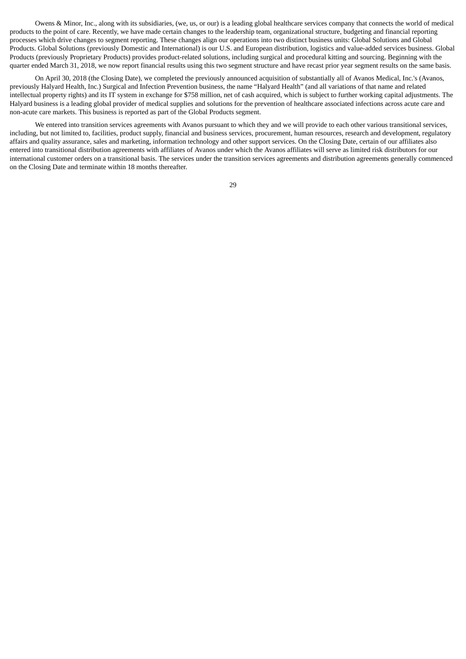Owens & Minor, Inc., along with its subsidiaries, (we, us, or our) is a leading global healthcare services company that connects the world of medical products to the point of care. Recently, we have made certain changes to the leadership team, organizational structure, budgeting and financial reporting processes which drive changes to segment reporting. These changes align our operations into two distinct business units: Global Solutions and Global Products. Global Solutions (previously Domestic and International) is our U.S. and European distribution, logistics and value-added services business. Global Products (previously Proprietary Products) provides product-related solutions, including surgical and procedural kitting and sourcing. Beginning with the quarter ended March 31, 2018, we now report financial results using this two segment structure and have recast prior year segment results on the same basis.

On April 30, 2018 (the Closing Date), we completed the previously announced acquisition of substantially all of Avanos Medical, Inc.'s (Avanos, previously Halyard Health, Inc.) Surgical and Infection Prevention business, the name "Halyard Health" (and all variations of that name and related intellectual property rights) and its IT system in exchange for \$758 million, net of cash acquired, which is subject to further working capital adjustments. The Halyard business is a leading global provider of medical supplies and solutions for the prevention of healthcare associated infections across acute care and non-acute care markets. This business is reported as part of the Global Products segment.

We entered into transition services agreements with Avanos pursuant to which they and we will provide to each other various transitional services, including, but not limited to, facilities, product supply, financial and business services, procurement, human resources, research and development, regulatory affairs and quality assurance, sales and marketing, information technology and other support services. On the Closing Date, certain of our affiliates also entered into transitional distribution agreements with affiliates of Avanos under which the Avanos affiliates will serve as limited risk distributors for our international customer orders on a transitional basis. The services under the transition services agreements and distribution agreements generally commenced on the Closing Date and terminate within 18 months thereafter.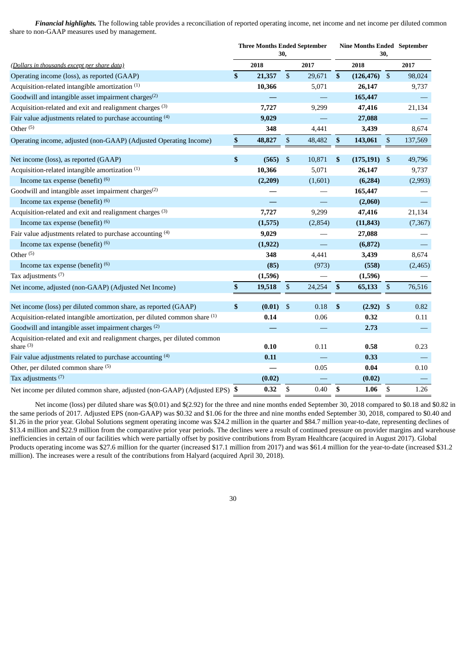*Financial highlights.* The following table provides a reconciliation of reported operating income, net income and net income per diluted common share to non-GAAP measures used by management.

|                                                                                                  |                    | <b>Three Months Ended September</b> | 30,                     |         |                           |                 | <b>Nine Months Ended September</b><br>30. |          |  |
|--------------------------------------------------------------------------------------------------|--------------------|-------------------------------------|-------------------------|---------|---------------------------|-----------------|-------------------------------------------|----------|--|
| (Dollars in thousands except per share data)                                                     |                    | 2018                                |                         | 2017    |                           | 2018            |                                           | 2017     |  |
| Operating income (loss), as reported (GAAP)                                                      | \$                 | 21,357                              | $\mathbb{S}$            | 29,671  | $\mathbf{s}$              | (126, 476)      | $\sqrt{3}$                                | 98,024   |  |
| Acquisition-related intangible amortization <sup>(1)</sup>                                       |                    | 10,366                              |                         | 5,071   |                           | 26,147          |                                           | 9,737    |  |
| Goodwill and intangible asset impairment charges <sup>(2)</sup>                                  |                    |                                     |                         |         |                           | 165,447         |                                           |          |  |
| Acquisition-related and exit and realignment charges <sup>(3)</sup>                              |                    | 7,727                               |                         | 9,299   |                           | 47,416          |                                           | 21,134   |  |
| Fair value adjustments related to purchase accounting (4)                                        |                    | 9,029                               |                         |         |                           | 27,088          |                                           |          |  |
| Other $(5)$                                                                                      |                    | 348                                 |                         | 4,441   |                           | 3,439           |                                           | 8,674    |  |
| Operating income, adjusted (non-GAAP) (Adjusted Operating Income)                                | $\pmb{\mathbb{S}}$ | 48,827                              | $\sqrt[6]{\frac{1}{2}}$ | 48,482  | \$                        | 143,061         | $\boldsymbol{\mathsf{S}}$                 | 137,569  |  |
| Net income (loss), as reported (GAAP)                                                            | \$                 | (565)                               | $\mathfrak{S}$          | 10,871  | \$                        | $(175, 191)$ \$ |                                           | 49,796   |  |
| Acquisition-related intangible amortization <sup>(1)</sup>                                       |                    | 10,366                              |                         | 5,071   |                           | 26,147          |                                           | 9,737    |  |
| Income tax expense (benefit) (6)                                                                 |                    | (2,209)                             |                         | (1,601) |                           | (6, 284)        |                                           | (2,993)  |  |
| Goodwill and intangible asset impairment charges <sup>(2)</sup>                                  |                    |                                     |                         |         |                           | 165,447         |                                           |          |  |
| Income tax expense (benefit) (6)                                                                 |                    |                                     |                         |         |                           | (2,060)         |                                           |          |  |
| Acquisition-related and exit and realignment charges <sup>(3)</sup>                              |                    | 7,727                               |                         | 9,299   |                           | 47,416          |                                           | 21,134   |  |
| Income tax expense (benefit) (6)                                                                 |                    | (1,575)                             |                         | (2,854) |                           | (11, 843)       |                                           | (7, 367) |  |
| Fair value adjustments related to purchase accounting (4)                                        |                    | 9,029                               |                         |         |                           | 27,088          |                                           |          |  |
| Income tax expense (benefit) (6)                                                                 |                    | (1, 922)                            |                         |         |                           | (6, 872)        |                                           |          |  |
| Other <sup>(5)</sup>                                                                             |                    | 348                                 |                         | 4,441   |                           | 3,439           |                                           | 8,674    |  |
| Income tax expense (benefit) (6)                                                                 |                    | (85)                                |                         | (973)   |                           | (558)           |                                           | (2,465)  |  |
| Tax adjustments (7)                                                                              |                    | (1,596)                             |                         |         |                           | (1,596)         |                                           |          |  |
| Net income, adjusted (non-GAAP) (Adjusted Net Income)                                            | \$                 | 19,518                              | \$                      | 24,254  | $\boldsymbol{\mathsf{s}}$ | 65,133          | \$                                        | 76,516   |  |
| Net income (loss) per diluted common share, as reported (GAAP)                                   | \$                 | (0.01)                              | \$                      | 0.18    | \$                        | (2.92)          | \$                                        | 0.82     |  |
| Acquisition-related intangible amortization, per diluted common share (1)                        |                    | 0.14                                |                         | 0.06    |                           | 0.32            |                                           | 0.11     |  |
| Goodwill and intangible asset impairment charges <sup>(2)</sup>                                  |                    |                                     |                         |         |                           | 2.73            |                                           |          |  |
| Acquisition-related and exit and realignment charges, per diluted common<br>share <sup>(3)</sup> |                    | 0.10                                |                         | 0.11    |                           | 0.58            |                                           | 0.23     |  |
| Fair value adjustments related to purchase accounting (4)                                        |                    | 0.11                                |                         |         |                           | 0.33            |                                           |          |  |
| Other, per diluted common share (5)                                                              |                    |                                     |                         | 0.05    |                           | 0.04            |                                           | 0.10     |  |
| Tax adjustments <sup>(7)</sup>                                                                   |                    | (0.02)                              |                         |         |                           | (0.02)          |                                           |          |  |
| Net income per diluted common share, adjusted (non-GAAP) (Adjusted EPS) \$                       |                    | 0.32                                | \$                      | 0.40    | \$                        | 1.06            | \$                                        | 1.26     |  |

Net income (loss) per diluted share was \$(0.01) and \$(2.92) for the three and nine months ended September 30, 2018 compared to \$0.18 and \$0.82 in the same periods of 2017. Adjusted EPS (non-GAAP) was \$0.32 and \$1.06 for the three and nine months ended September 30, 2018, compared to \$0.40 and \$1.26 in the prior year. Global Solutions segment operating income was \$24.2 million in the quarter and \$84.7 million year-to-date, representing declines of \$13.4 million and \$22.9 million from the comparative prior year periods. The declines were a result of continued pressure on provider margins and warehouse inefficiencies in certain of our facilities which were partially offset by positive contributions from Byram Healthcare (acquired in August 2017). Global Products operating income was \$27.6 million for the quarter (increased \$17.1 million from 2017) and was \$61.4 million for the year-to-date (increased \$31.2 million). The increases were a result of the contributions from Halyard (acquired April 30, 2018).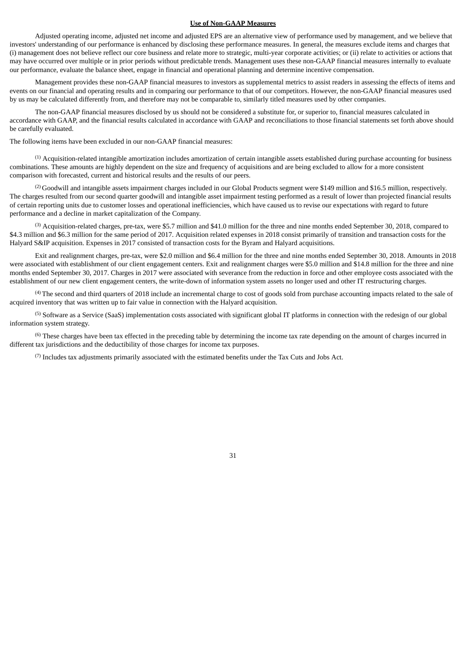#### **Use of Non-GAAP Measures**

Adjusted operating income, adjusted net income and adjusted EPS are an alternative view of performance used by management, and we believe that investors' understanding of our performance is enhanced by disclosing these performance measures. In general, the measures exclude items and charges that (i) management does not believe reflect our core business and relate more to strategic, multi-year corporate activities; or (ii) relate to activities or actions that may have occurred over multiple or in prior periods without predictable trends. Management uses these non-GAAP financial measures internally to evaluate our performance, evaluate the balance sheet, engage in financial and operational planning and determine incentive compensation.

Management provides these non-GAAP financial measures to investors as supplemental metrics to assist readers in assessing the effects of items and events on our financial and operating results and in comparing our performance to that of our competitors. However, the non-GAAP financial measures used by us may be calculated differently from, and therefore may not be comparable to, similarly titled measures used by other companies.

The non-GAAP financial measures disclosed by us should not be considered a substitute for, or superior to, financial measures calculated in accordance with GAAP, and the financial results calculated in accordance with GAAP and reconciliations to those financial statements set forth above should be carefully evaluated.

The following items have been excluded in our non-GAAP financial measures:

(1) Acquisition-related intangible amortization includes amortization of certain intangible assets established during purchase accounting for business combinations. These amounts are highly dependent on the size and frequency of acquisitions and are being excluded to allow for a more consistent comparison with forecasted, current and historical results and the results of our peers.

(2) Goodwill and intangible assets impairment charges included in our Global Products segment were \$149 million and \$16.5 million, respectively. The charges resulted from our second quarter goodwill and intangible asset impairment testing performed as a result of lower than projected financial results of certain reporting units due to customer losses and operational inefficiencies, which have caused us to revise our expectations with regard to future performance and a decline in market capitalization of the Company.

(3) Acquisition-related charges, pre-tax, were \$5.7 million and \$41.0 million for the three and nine months ended September 30, 2018, compared to \$4.3 million and \$6.3 million for the same period of 2017. Acquisition related expenses in 2018 consist primarily of transition and transaction costs for the Halyard S&IP acquisition. Expenses in 2017 consisted of transaction costs for the Byram and Halyard acquisitions.

Exit and realignment charges, pre-tax, were \$2.0 million and \$6.4 million for the three and nine months ended September 30, 2018. Amounts in 2018 were associated with establishment of our client engagement centers. Exit and realignment charges were \$5.0 million and \$14.8 million for the three and nine months ended September 30, 2017. Charges in 2017 were associated with severance from the reduction in force and other employee costs associated with the establishment of our new client engagement centers, the write-down of information system assets no longer used and other IT restructuring charges.

(4) The second and third quarters of 2018 include an incremental charge to cost of goods sold from purchase accounting impacts related to the sale of acquired inventory that was written up to fair value in connection with the Halyard acquisition.

(5) Software as a Service (SaaS) implementation costs associated with significant global IT platforms in connection with the redesign of our global information system strategy.

 $<sup>(6)</sup>$  These charges have been tax effected in the preceding table by determining the income tax rate depending on the amount of charges incurred in</sup> different tax jurisdictions and the deductibility of those charges for income tax purposes.

 $(7)$  Includes tax adjustments primarily associated with the estimated benefits under the Tax Cuts and Jobs Act.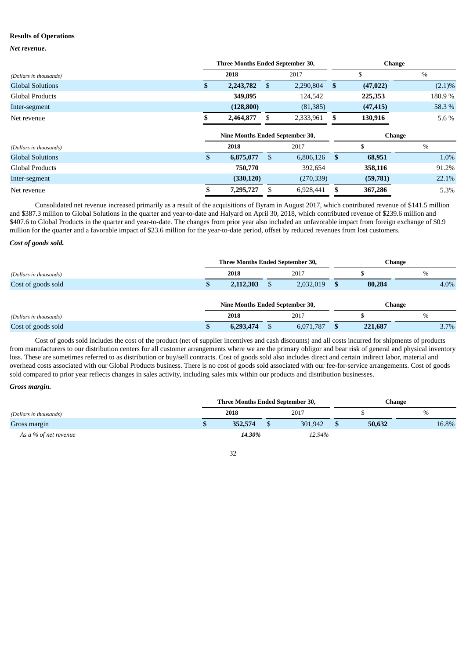# **Results of Operations**

*Net revenue.*

|                         |    |            |               | Three Months Ended September 30, |     | <b>Change</b> |           |  |  |  |  |
|-------------------------|----|------------|---------------|----------------------------------|-----|---------------|-----------|--|--|--|--|
| (Dollars in thousands)  |    | 2018       |               | 2017                             |     | \$            | $\%$      |  |  |  |  |
| <b>Global Solutions</b> | S. | 2,243,782  | <sup>\$</sup> | 2,290,804                        | \$  | (47, 022)     | $(2.1)\%$ |  |  |  |  |
| <b>Global Products</b>  |    | 349,895    |               | 124,542                          |     | 225,353       | 180.9%    |  |  |  |  |
| Inter-segment           |    | (128, 800) |               | (81, 385)                        |     | (47, 415)     | 58.3%     |  |  |  |  |
| Net revenue             |    | 2,464,877  | ж,            | 2,333,961                        | \$. | 130,916       | 5.6 %     |  |  |  |  |
|                         |    |            |               | Nine Months Ended September 30,  |     | <b>Change</b> |           |  |  |  |  |
| (Dollars in thousands)  |    | 2018       |               | 2017                             |     | \$            | $\%$      |  |  |  |  |
| <b>Global Solutions</b> |    | 6,875,077  | \$.           | 6,806,126                        | -S  | 68,951        | 1.0%      |  |  |  |  |
| <b>Global Products</b>  |    | 750,770    |               | 392,654                          |     | 358,116       | 91.2%     |  |  |  |  |
| Inter-segment           |    | (330, 120) |               | (270, 339)                       |     | (59,781)      | 22.1%     |  |  |  |  |
| Net revenue             |    | 7,295,727  | \$            | 6,928,441                        | S   | 367,286       | 5.3%      |  |  |  |  |

Consolidated net revenue increased primarily as a result of the acquisitions of Byram in August 2017, which contributed revenue of \$141.5 million and \$387.3 million to Global Solutions in the quarter and year-to-date and Halyard on April 30, 2018, which contributed revenue of \$239.6 million and \$407.6 to Global Products in the quarter and year-to-date. The changes from prior year also included an unfavorable impact from foreign exchange of \$0.9 million for the quarter and a favorable impact of \$23.6 million for the year-to-date period, offset by reduced revenues from lost customers.

### *Cost of goods sold.*

|                        | Three Months Ended September 30, |  |           | Change |         |         |  |  |  |
|------------------------|----------------------------------|--|-----------|--------|---------|---------|--|--|--|
| (Dollars in thousands) | 2018                             |  | 2017      |        |         | $\%$    |  |  |  |
| Cost of goods sold     | 2,112,303                        |  | 2,032,019 |        | 80,284  | 4.0%    |  |  |  |
|                        | Nine Months Ended September 30,  |  |           |        | Change  |         |  |  |  |
| (Dollars in thousands) | 2018                             |  | 2017      |        |         | $\%$    |  |  |  |
| Cost of goods sold     | 6,293,474                        |  | 6,071,787 |        | 221,687 | $3.7\%$ |  |  |  |

Cost of goods sold includes the cost of the product (net of supplier incentives and cash discounts) and all costs incurred for shipments of products from manufacturers to our distribution centers for all customer arrangements where we are the primary obligor and bear risk of general and physical inventory loss. These are sometimes referred to as distribution or buy/sell contracts. Cost of goods sold also includes direct and certain indirect labor, material and overhead costs associated with our Global Products business. There is no cost of goods sold associated with our fee-for-service arrangements. Cost of goods sold compared to prior year reflects changes in sales activity, including sales mix within our products and distribution businesses.

# *Gross margin.*

|                        |  | <b>Three Months Ended September 30,</b> |         | Change |        |       |  |  |  |
|------------------------|--|-----------------------------------------|---------|--------|--------|-------|--|--|--|
| (Dollars in thousands) |  | 2018                                    | -2017   |        |        | $\%$  |  |  |  |
| Gross margin           |  | 352,574                                 | 301.942 |        | 50,632 | 16.8% |  |  |  |
| As a % of net revenue  |  | 14.30%                                  | 12.94%  |        |        |       |  |  |  |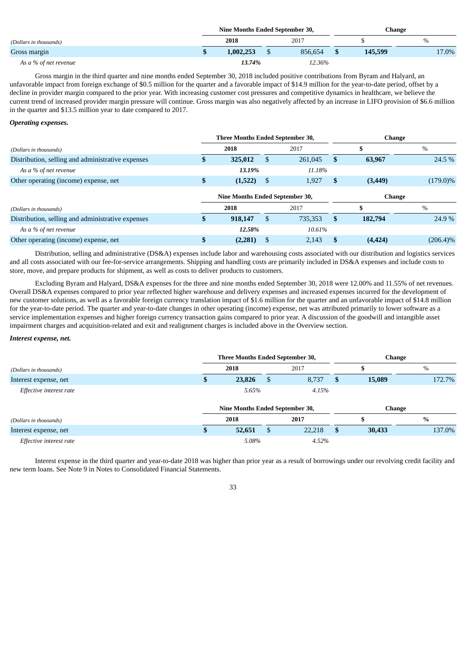|                        |   | Nine Months Ended September 30, |           |  |         | Change |         |       |
|------------------------|---|---------------------------------|-----------|--|---------|--------|---------|-------|
| (Dollars in thousands) |   | 2018                            |           |  | 2017    |        |         | $\%$  |
| Gross margin           | Φ |                                 | 1,002,253 |  | 856.654 |        | 145,599 | 17.0% |
| As a % of net revenue  |   |                                 | 13.74%    |  | 12.36%  |        |         |       |

Gross margin in the third quarter and nine months ended September 30, 2018 included positive contributions from Byram and Halyard, an unfavorable impact from foreign exchange of \$0.5 million for the quarter and a favorable impact of \$14.9 million for the year-to-date period, offset by a decline in provider margin compared to the prior year. With increasing customer cost pressures and competitive dynamics in healthcare, we believe the current trend of increased provider margin pressure will continue. Gross margin was also negatively affected by an increase in LIFO provision of \$6.6 million in the quarter and \$13.5 million year to date compared to 2017.

### *Operating expenses.*

|                                                   | <b>Three Months Ended September 30,</b> |    |         | <b>Change</b> |               |             |  |
|---------------------------------------------------|-----------------------------------------|----|---------|---------------|---------------|-------------|--|
| (Dollars in thousands)                            | 2018                                    |    | 2017    |               |               | $\%$        |  |
| Distribution, selling and administrative expenses | 325,012                                 | S  | 261,045 | S             | 63,967        | 24.5 %      |  |
| As a % of net revenue                             | 13.19%                                  |    | 11.18%  |               |               |             |  |
| Other operating (income) expense, net             | \$<br>(1,522)                           | -S | 1,927   | -S            | (3,449)       | $(179.0)\%$ |  |
|                                                   | Nine Months Ended September 30,         |    |         |               | <b>Change</b> |             |  |
| (Dollars in thousands)                            | 2018                                    |    | 2017    |               |               | $\%$        |  |
| Distribution, selling and administrative expenses | 918,147                                 | -S | 735,353 | S             | 182,794       | 24.9%       |  |
| As a % of net revenue                             | 12.58%                                  |    | 10.61%  |               |               |             |  |
| Other operating (income) expense, net             | (2,281)                                 |    | 2.143   |               | (4, 424)      | $(206.4)\%$ |  |

Distribution, selling and administrative (DS&A) expenses include labor and warehousing costs associated with our distribution and logistics services and all costs associated with our fee-for-service arrangements. Shipping and handling costs are primarily included in DS&A expenses and include costs to store, move, and prepare products for shipment, as well as costs to deliver products to customers.

Excluding Byram and Halyard, DS&A expenses for the three and nine months ended September 30, 2018 were 12.00% and 11.55% of net revenues. Overall DS&A expenses compared to prior year reflected higher warehouse and delivery expenses and increased expenses incurred for the development of new customer solutions, as well as a favorable foreign currency translation impact of \$1.6 million for the quarter and an unfavorable impact of \$14.8 million for the year-to-date period. The quarter and year-to-date changes in other operating (income) expense, net was attributed primarily to lower software as a service implementation expenses and higher foreign currency transaction gains compared to prior year. A discussion of the goodwill and intangible asset impairment charges and acquisition-related and exit and realignment charges is included above in the Overview section.

### *Interest expense, net.*

|                         |   | Three Months Ended September 30, |                                 |   |        |      | Change |        |  |  |
|-------------------------|---|----------------------------------|---------------------------------|---|--------|------|--------|--------|--|--|
| (Dollars in thousands)  |   |                                  | 2018                            |   | 2017   |      |        | $\%$   |  |  |
| Interest expense, net   |   | \$                               | 23,826                          | S | 8,737  | -S   | 15,089 | 172.7% |  |  |
| Effective interest rate |   |                                  | 5.65%                           |   | 4.15%  |      |        |        |  |  |
|                         |   |                                  | Nine Months Ended September 30, |   |        |      | Change |        |  |  |
| (Dollars in thousands)  |   |                                  | 2018                            |   | 2017   |      |        | $\%$   |  |  |
| Interest expense, net   | D |                                  | 52,651                          | S | 22,218 | - \$ | 30,433 | 137.0% |  |  |
| Effective interest rate |   |                                  | 5.08%                           |   | 4.52%  |      |        |        |  |  |

Interest expense in the third quarter and year-to-date 2018 was higher than prior year as a result of borrowings under our revolving credit facility and new term loans. See Note 9 in Notes to Consolidated Financial Statements.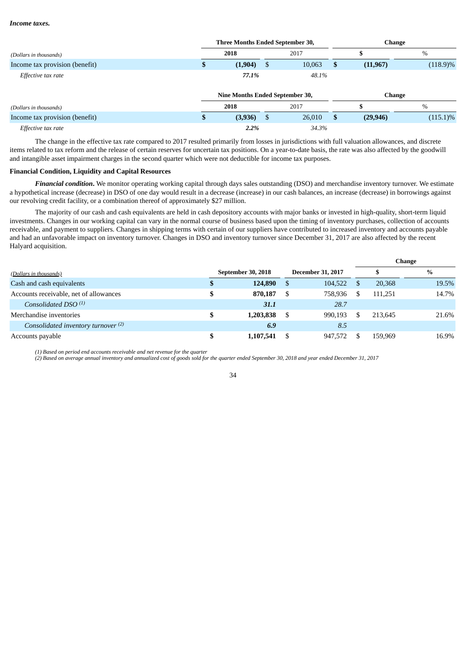#### *Income taxes.*

|                                | Three Months Ended September 30, |    | Change |     |           |             |
|--------------------------------|----------------------------------|----|--------|-----|-----------|-------------|
| (Dollars in thousands)         | 2018                             |    | 2017   |     |           | $\%$        |
| Income tax provision (benefit) | (1,904)                          | -S | 10,063 | - 5 | (11, 967) | $(118.9)\%$ |
| Effective tax rate             | 77.1%                            |    | 48.1%  |     |           |             |
|                                | Nine Months Ended September 30,  |    |        |     | Change    |             |
| (Dollars in thousands)         | 2018                             |    | 2017   |     |           | $\%$        |
| Income tax provision (benefit) | (3,936)                          | -S | 26,010 | - 5 | (29, 946) | $(115.1)\%$ |
| Effective tax rate             | 2.2%                             |    | 34.3%  |     |           |             |

The change in the effective tax rate compared to 2017 resulted primarily from losses in jurisdictions with full valuation allowances, and discrete items related to tax reform and the release of certain reserves for uncertain tax positions. On a year-to-date basis, the rate was also affected by the goodwill and intangible asset impairment charges in the second quarter which were not deductible for income tax purposes.

### **Financial Condition, Liquidity and Capital Resources**

*Financial condition***.** We monitor operating working capital through days sales outstanding (DSO) and merchandise inventory turnover. We estimate a hypothetical increase (decrease) in DSO of one day would result in a decrease (increase) in our cash balances, an increase (decrease) in borrowings against our revolving credit facility, or a combination thereof of approximately \$27 million.

The majority of our cash and cash equivalents are held in cash depository accounts with major banks or invested in high-quality, short-term liquid investments. Changes in our working capital can vary in the normal course of business based upon the timing of inventory purchases, collection of accounts receivable, and payment to suppliers. Changes in shipping terms with certain of our suppliers have contributed to increased inventory and accounts payable and had an unfavorable impact on inventory turnover. Changes in DSO and inventory turnover since December 31, 2017 are also affected by the recent Halyard acquisition.

|                                                |    |                    |    |                          |     |         | Change |
|------------------------------------------------|----|--------------------|----|--------------------------|-----|---------|--------|
| (Dollars in thousands)                         |    | September 30, 2018 |    | <b>December 31, 2017</b> |     |         | $\%$   |
| Cash and cash equivalents                      | D  | 124,890            | -S | 104,522                  | \$. | 20,368  | 19.5%  |
| Accounts receivable, net of allowances         | \$ | 870,187            | S  | 758.936                  | \$  | 111.251 | 14.7%  |
| Consolidated DSO <sup>(1)</sup>                |    | 31.1               |    | 28.7                     |     |         |        |
| Merchandise inventories                        | D  | 1,203,838          | -S | 990.193                  | \$. | 213.645 | 21.6%  |
| Consolidated inventory turnover <sup>(2)</sup> |    | 6.9                |    | 8.5                      |     |         |        |
| Accounts payable                               |    | 1,107,541          | S  | 947,572                  | \$. | 159.969 | 16.9%  |

*(1) Based on period end accounts receivable and net revenue for the quarter*

(2) Based on average annual inventory and annualized cost of goods sold for the quarter ended September 30, 2018 and year ended December 31, 2017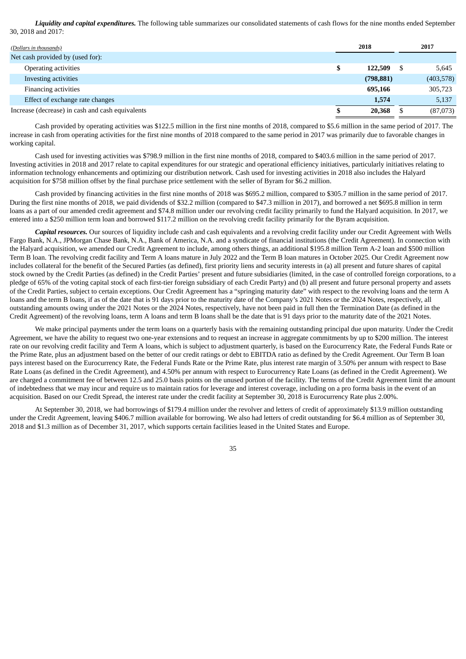*Liquidity and capital expenditures.* The following table summarizes our consolidated statements of cash flows for the nine months ended September 30, 2018 and 2017:

| (Dollars in thousands)                           | 2018       |      | 2017       |
|--------------------------------------------------|------------|------|------------|
| Net cash provided by (used for):                 |            |      |            |
| Operating activities                             | 122,509    | - \$ | 5,645      |
| Investing activities                             | (798, 881) |      | (403, 578) |
| Financing activities                             | 695,166    |      | 305,723    |
| Effect of exchange rate changes                  | 1,574      |      | 5,137      |
| Increase (decrease) in cash and cash equivalents | 20,368     |      | (87,073)   |

Cash provided by operating activities was \$122.5 million in the first nine months of 2018, compared to \$5.6 million in the same period of 2017. The increase in cash from operating activities for the first nine months of 2018 compared to the same period in 2017 was primarily due to favorable changes in working capital.

Cash used for investing activities was \$798.9 million in the first nine months of 2018, compared to \$403.6 million in the same period of 2017. Investing activities in 2018 and 2017 relate to capital expenditures for our strategic and operational efficiency initiatives, particularly initiatives relating to information technology enhancements and optimizing our distribution network. Cash used for investing activities in 2018 also includes the Halyard acquisition for \$758 million offset by the final purchase price settlement with the seller of Byram for \$6.2 million.

Cash provided by financing activities in the first nine months of 2018 was \$695.2 million, compared to \$305.7 million in the same period of 2017. During the first nine months of 2018, we paid dividends of \$32.2 million (compared to \$47.3 million in 2017), and borrowed a net \$695.8 million in term loans as a part of our amended credit agreement and \$74.8 million under our revolving credit facility primarily to fund the Halyard acquisition. In 2017, we entered into a \$250 million term loan and borrowed \$117.2 million on the revolving credit facility primarily for the Byram acquisition.

*Capital resources.* Our sources of liquidity include cash and cash equivalents and a revolving credit facility under our Credit Agreement with Wells Fargo Bank, N.A., JPMorgan Chase Bank, N.A., Bank of America, N.A. and a syndicate of financial institutions (the Credit Agreement). In connection with the Halyard acquisition, we amended our Credit Agreement to include, among others things, an additional \$195.8 million Term A-2 loan and \$500 million Term B loan. The revolving credit facility and Term A loans mature in July 2022 and the Term B loan matures in October 2025. Our Credit Agreement now includes collateral for the benefit of the Secured Parties (as defined), first priority liens and security interests in (a) all present and future shares of capital stock owned by the Credit Parties (as defined) in the Credit Parties' present and future subsidiaries (limited, in the case of controlled foreign corporations, to a pledge of 65% of the voting capital stock of each first-tier foreign subsidiary of each Credit Party) and (b) all present and future personal property and assets of the Credit Parties, subject to certain exceptions. Our Credit Agreement has a "springing maturity date" with respect to the revolving loans and the term A loans and the term B loans, if as of the date that is 91 days prior to the maturity date of the Company's 2021 Notes or the 2024 Notes, respectively, all outstanding amounts owing under the 2021 Notes or the 2024 Notes, respectively, have not been paid in full then the Termination Date (as defined in the Credit Agreement) of the revolving loans, term A loans and term B loans shall be the date that is 91 days prior to the maturity date of the 2021 Notes.

We make principal payments under the term loans on a quarterly basis with the remaining outstanding principal due upon maturity. Under the Credit Agreement, we have the ability to request two one-year extensions and to request an increase in aggregate commitments by up to \$200 million. The interest rate on our revolving credit facility and Term A loans, which is subject to adjustment quarterly, is based on the Eurocurrency Rate, the Federal Funds Rate or the Prime Rate, plus an adjustment based on the better of our credit ratings or debt to EBITDA ratio as defined by the Credit Agreement. Our Term B loan pays interest based on the Eurocurrency Rate, the Federal Funds Rate or the Prime Rate, plus interest rate margin of 3.50% per annum with respect to Base Rate Loans (as defined in the Credit Agreement), and 4.50% per annum with respect to Eurocurrency Rate Loans (as defined in the Credit Agreement). We are charged a commitment fee of between 12.5 and 25.0 basis points on the unused portion of the facility. The terms of the Credit Agreement limit the amount of indebtedness that we may incur and require us to maintain ratios for leverage and interest coverage, including on a pro forma basis in the event of an acquisition. Based on our Credit Spread, the interest rate under the credit facility at September 30, 2018 is Eurocurrency Rate plus 2.00%.

At September 30, 2018, we had borrowings of \$179.4 million under the revolver and letters of credit of approximately \$13.9 million outstanding under the Credit Agreement, leaving \$406.7 million available for borrowing. We also had letters of credit outstanding for \$6.4 million as of September 30, 2018 and \$1.3 million as of December 31, 2017, which supports certain facilities leased in the United States and Europe.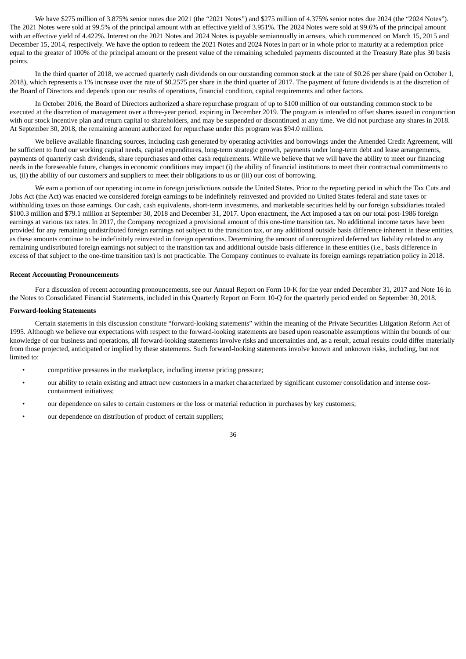We have \$275 million of 3.875% senior notes due 2021 (the "2021 Notes") and \$275 million of 4.375% senior notes due 2024 (the "2024 Notes"). The 2021 Notes were sold at 99.5% of the principal amount with an effective yield of 3.951%. The 2024 Notes were sold at 99.6% of the principal amount with an effective yield of 4.422%. Interest on the 2021 Notes and 2024 Notes is payable semiannually in arrears, which commenced on March 15, 2015 and December 15, 2014, respectively. We have the option to redeem the 2021 Notes and 2024 Notes in part or in whole prior to maturity at a redemption price equal to the greater of 100% of the principal amount or the present value of the remaining scheduled payments discounted at the Treasury Rate plus 30 basis points.

In the third quarter of 2018, we accrued quarterly cash dividends on our outstanding common stock at the rate of \$0.26 per share (paid on October 1, 2018), which represents a 1% increase over the rate of \$0.2575 per share in the third quarter of 2017. The payment of future dividends is at the discretion of the Board of Directors and depends upon our results of operations, financial condition, capital requirements and other factors.

In October 2016, the Board of Directors authorized a share repurchase program of up to \$100 million of our outstanding common stock to be executed at the discretion of management over a three-year period, expiring in December 2019. The program is intended to offset shares issued in conjunction with our stock incentive plan and return capital to shareholders, and may be suspended or discontinued at any time. We did not purchase any shares in 2018. At September 30, 2018, the remaining amount authorized for repurchase under this program was \$94.0 million.

We believe available financing sources, including cash generated by operating activities and borrowings under the Amended Credit Agreement, will be sufficient to fund our working capital needs, capital expenditures, long-term strategic growth, payments under long-term debt and lease arrangements, payments of quarterly cash dividends, share repurchases and other cash requirements. While we believe that we will have the ability to meet our financing needs in the foreseeable future, changes in economic conditions may impact (i) the ability of financial institutions to meet their contractual commitments to us, (ii) the ability of our customers and suppliers to meet their obligations to us or (iii) our cost of borrowing.

We earn a portion of our operating income in foreign jurisdictions outside the United States. Prior to the reporting period in which the Tax Cuts and Jobs Act (the Act) was enacted we considered foreign earnings to be indefinitely reinvested and provided no United States federal and state taxes or withholding taxes on those earnings. Our cash, cash equivalents, short-term investments, and marketable securities held by our foreign subsidiaries totaled \$100.3 million and \$79.1 million at September 30, 2018 and December 31, 2017. Upon enactment, the Act imposed a tax on our total post-1986 foreign earnings at various tax rates. In 2017, the Company recognized a provisional amount of this one-time transition tax. No additional income taxes have been provided for any remaining undistributed foreign earnings not subject to the transition tax, or any additional outside basis difference inherent in these entities, as these amounts continue to be indefinitely reinvested in foreign operations. Determining the amount of unrecognized deferred tax liability related to any remaining undistributed foreign earnings not subject to the transition tax and additional outside basis difference in these entities (i.e., basis difference in excess of that subject to the one-time transition tax) is not practicable. The Company continues to evaluate its foreign earnings repatriation policy in 2018.

#### **Recent Accounting Pronouncements**

For a discussion of recent accounting pronouncements, see our Annual Report on Form 10-K for the year ended December 31, 2017 and Note 16 in the Notes to Consolidated Financial Statements, included in this Quarterly Report on Form 10-Q for the quarterly period ended on September 30, 2018.

#### **Forward-looking Statements**

Certain statements in this discussion constitute "forward-looking statements" within the meaning of the Private Securities Litigation Reform Act of 1995. Although we believe our expectations with respect to the forward-looking statements are based upon reasonable assumptions within the bounds of our knowledge of our business and operations, all forward-looking statements involve risks and uncertainties and, as a result, actual results could differ materially from those projected, anticipated or implied by these statements. Such forward-looking statements involve known and unknown risks, including, but not limited to:

- competitive pressures in the marketplace, including intense pricing pressure;
- our ability to retain existing and attract new customers in a market characterized by significant customer consolidation and intense costcontainment initiatives;
- our dependence on sales to certain customers or the loss or material reduction in purchases by key customers;
- our dependence on distribution of product of certain suppliers;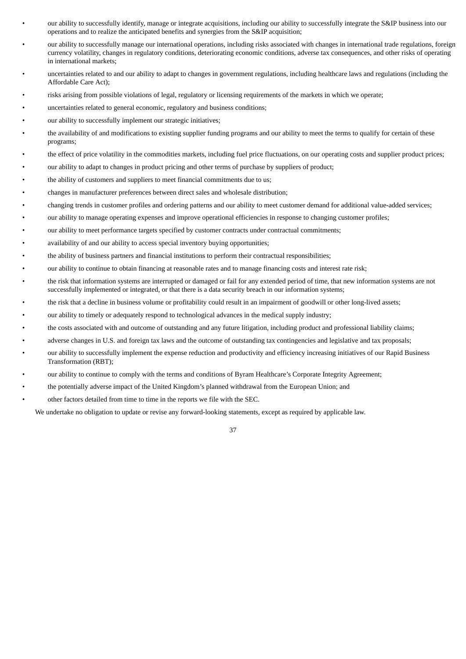- our ability to successfully identify, manage or integrate acquisitions, including our ability to successfully integrate the S&IP business into our operations and to realize the anticipated benefits and synergies from the S&IP acquisition;
- our ability to successfully manage our international operations, including risks associated with changes in international trade regulations, foreign currency volatility, changes in regulatory conditions, deteriorating economic conditions, adverse tax consequences, and other risks of operating in international markets;
- uncertainties related to and our ability to adapt to changes in government regulations, including healthcare laws and regulations (including the Affordable Care Act);
- risks arising from possible violations of legal, regulatory or licensing requirements of the markets in which we operate;
- uncertainties related to general economic, regulatory and business conditions;
- our ability to successfully implement our strategic initiatives;
- the availability of and modifications to existing supplier funding programs and our ability to meet the terms to qualify for certain of these programs;
- the effect of price volatility in the commodities markets, including fuel price fluctuations, on our operating costs and supplier product prices;
- our ability to adapt to changes in product pricing and other terms of purchase by suppliers of product;
- the ability of customers and suppliers to meet financial commitments due to us;
- changes in manufacturer preferences between direct sales and wholesale distribution;
- changing trends in customer profiles and ordering patterns and our ability to meet customer demand for additional value-added services;
- our ability to manage operating expenses and improve operational efficiencies in response to changing customer profiles;
- our ability to meet performance targets specified by customer contracts under contractual commitments;
- availability of and our ability to access special inventory buying opportunities;
- the ability of business partners and financial institutions to perform their contractual responsibilities;
- our ability to continue to obtain financing at reasonable rates and to manage financing costs and interest rate risk;
- the risk that information systems are interrupted or damaged or fail for any extended period of time, that new information systems are not successfully implemented or integrated, or that there is a data security breach in our information systems;
- the risk that a decline in business volume or profitability could result in an impairment of goodwill or other long-lived assets;
- our ability to timely or adequately respond to technological advances in the medical supply industry;
- the costs associated with and outcome of outstanding and any future litigation, including product and professional liability claims;
- adverse changes in U.S. and foreign tax laws and the outcome of outstanding tax contingencies and legislative and tax proposals;
- our ability to successfully implement the expense reduction and productivity and efficiency increasing initiatives of our Rapid Business Transformation (RBT);
- our ability to continue to comply with the terms and conditions of Byram Healthcare's Corporate Integrity Agreement;
- the potentially adverse impact of the United Kingdom's planned withdrawal from the European Union; and
- other factors detailed from time to time in the reports we file with the SEC.

We undertake no obligation to update or revise any forward-looking statements, except as required by applicable law.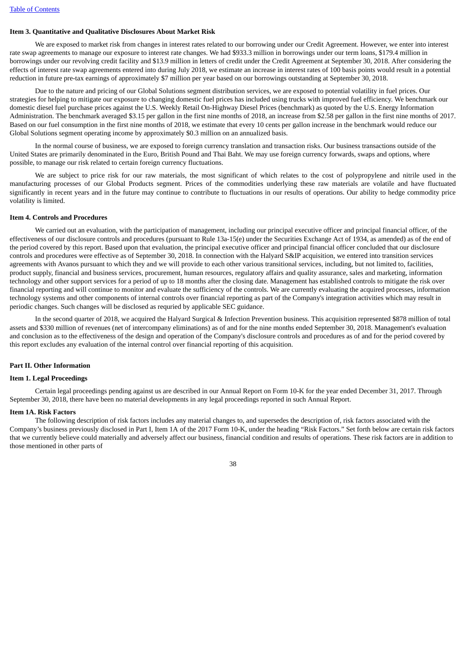# <span id="page-37-0"></span>**Item 3. Quantitative and Qualitative Disclosures About Market Risk**

We are exposed to market risk from changes in interest rates related to our borrowing under our Credit Agreement. However, we enter into interest rate swap agreements to manage our exposure to interest rate changes. We had \$933.3 million in borrowings under our term loans, \$179.4 million in borrowings under our revolving credit facility and \$13.9 million in letters of credit under the Credit Agreement at September 30, 2018. After considering the effects of interest rate swap agreements entered into during July 2018, we estimate an increase in interest rates of 100 basis points would result in a potential reduction in future pre-tax earnings of approximately \$7 million per year based on our borrowings outstanding at September 30, 2018.

Due to the nature and pricing of our Global Solutions segment distribution services, we are exposed to potential volatility in fuel prices. Our strategies for helping to mitigate our exposure to changing domestic fuel prices has included using trucks with improved fuel efficiency. We benchmark our domestic diesel fuel purchase prices against the U.S. Weekly Retail On-Highway Diesel Prices (benchmark) as quoted by the U.S. Energy Information Administration. The benchmark averaged \$3.15 per gallon in the first nine months of 2018, an increase from \$2.58 per gallon in the first nine months of 2017. Based on our fuel consumption in the first nine months of 2018, we estimate that every 10 cents per gallon increase in the benchmark would reduce our Global Solutions segment operating income by approximately \$0.3 million on an annualized basis.

In the normal course of business, we are exposed to foreign currency translation and transaction risks. Our business transactions outside of the United States are primarily denominated in the Euro, British Pound and Thai Baht. We may use foreign currency forwards, swaps and options, where possible, to manage our risk related to certain foreign currency fluctuations.

We are subject to price risk for our raw materials, the most significant of which relates to the cost of polypropylene and nitrile used in the manufacturing processes of our Global Products segment. Prices of the commodities underlying these raw materials are volatile and have fluctuated significantly in recent years and in the future may continue to contribute to fluctuations in our results of operations. Our ability to hedge commodity price volatility is limited.

### <span id="page-37-1"></span>**Item 4. Controls and Procedures**

We carried out an evaluation, with the participation of management, including our principal executive officer and principal financial officer, of the effectiveness of our disclosure controls and procedures (pursuant to Rule 13a-15(e) under the Securities Exchange Act of 1934, as amended) as of the end of the period covered by this report. Based upon that evaluation, the principal executive officer and principal financial officer concluded that our disclosure controls and procedures were effective as of September 30, 2018. In connection with the Halyard S&IP acquisition, we entered into transition services agreements with Avanos pursuant to which they and we will provide to each other various transitional services, including, but not limited to, facilities, product supply, financial and business services, procurement, human resources, regulatory affairs and quality assurance, sales and marketing, information technology and other support services for a period of up to 18 months after the closing date. Management has established controls to mitigate the risk over financial reporting and will continue to monitor and evaluate the sufficiency of the controls. We are currently evaluating the acquired processes, information technology systems and other components of internal controls over financial reporting as part of the Company's integration activities which may result in periodic changes. Such changes will be disclosed as requried by applicable SEC guidance.

In the second quarter of 2018, we acquired the Halyard Surgical & Infection Prevention business. This acquisition represented \$878 million of total assets and \$330 million of revenues (net of intercompany eliminations) as of and for the nine months ended September 30, 2018. Management's evaluation and conclusion as to the effectiveness of the design and operation of the Company's disclosure controls and procedures as of and for the period covered by this report excludes any evaluation of the internal control over financial reporting of this acquisition.

## <span id="page-37-2"></span>**Part II. Other Information**

### <span id="page-37-3"></span>**Item 1. Legal Proceedings**

Certain legal proceedings pending against us are described in our Annual Report on Form 10-K for the year ended December 31, 2017. Through September 30, 2018, there have been no material developments in any legal proceedings reported in such Annual Report.

#### <span id="page-37-4"></span>**Item 1A. Risk Factors**

The following description of risk factors includes any material changes to, and supersedes the description of, risk factors associated with the Company's business previously disclosed in Part I, Item 1A of the 2017 Form 10-K, under the heading "Risk Factors." Set forth below are certain risk factors that we currently believe could materially and adversely affect our business, financial condition and results of operations. These risk factors are in addition to those mentioned in other parts of

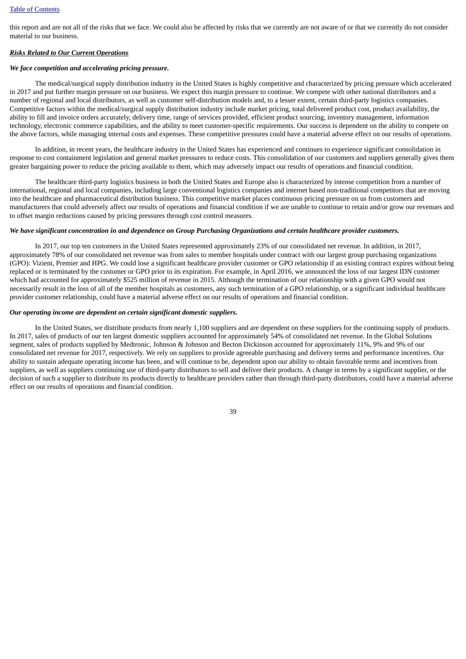this report and are not all of the risks that we face. We could also be affected by risks that we currently are not aware of or that we currently do not consider material to our business.

### *Risks Related to Our Current Operations*

# *We face competition and accelerating pricing pressure.*

The medical/surgical supply distribution industry in the United States is highly competitive and characterized by pricing pressure which accelerated in 2017 and put further margin pressure on our business. We expect this margin pressure to continue. We compete with other national distributors and a number of regional and local distributors, as well as customer self-distribution models and, to a lesser extent, certain third-party logistics companies. Competitive factors within the medical/surgical supply distribution industry include market pricing, total delivered product cost, product availability, the ability to fill and invoice orders accurately, delivery time, range of services provided, efficient product sourcing, inventory management, information technology, electronic commerce capabilities, and the ability to meet customer-specific requirements. Our success is dependent on the ability to compete on the above factors, while managing internal costs and expenses. These competitive pressures could have a material adverse effect on our results of operations.

In addition, in recent years, the healthcare industry in the United States has experienced and continues to experience significant consolidation in response to cost containment legislation and general market pressures to reduce costs. This consolidation of our customers and suppliers generally gives them greater bargaining power to reduce the pricing available to them, which may adversely impact our results of operations and financial condition.

The healthcare third-party logistics business in both the United States and Europe also is characterized by intense competition from a number of international, regional and local companies, including large conventional logistics companies and internet based non-traditional competitors that are moving into the healthcare and pharmaceutical distribution business. This competitive market places continuous pricing pressure on us from customers and manufacturers that could adversely affect our results of operations and financial condition if we are unable to continue to retain and/or grow our revenues and to offset margin reductions caused by pricing pressures through cost control measures.

### We have significant concentration in and dependence on Group Purchasing Organizations and certain healthcare provider customers.

In 2017, our top ten customers in the United States represented approximately 23% of our consolidated net revenue. In addition, in 2017, approximately 78% of our consolidated net revenue was from sales to member hospitals under contract with our largest group purchasing organizations (GPO): Vizient, Premier and HPG. We could lose a significant healthcare provider customer or GPO relationship if an existing contract expires without being replaced or is terminated by the customer or GPO prior to its expiration. For example, in April 2016, we announced the loss of our largest IDN customer which had accounted for approximately \$525 million of revenue in 2015. Although the termination of our relationship with a given GPO would not necessarily result in the loss of all of the member hospitals as customers, any such termination of a GPO relationship, or a significant individual healthcare provider customer relationship, could have a material adverse effect on our results of operations and financial condition.

### *Our operating income are dependent on certain significant domestic suppliers.*

In the United States, we distribute products from nearly 1,100 suppliers and are dependent on these suppliers for the continuing supply of products. In 2017, sales of products of our ten largest domestic suppliers accounted for approximately 54% of consolidated net revenue. In the Global Solutions segment, sales of products supplied by Medtronic, Johnson & Johnson and Becton Dickinson accounted for approximately 11%, 9% and 9% of our consolidated net revenue for 2017, respectively. We rely on suppliers to provide agreeable purchasing and delivery terms and performance incentives. Our ability to sustain adequate operating income has been, and will continue to be, dependent upon our ability to obtain favorable terms and incentives from suppliers, as well as suppliers continuing use of third-party distributors to sell and deliver their products. A change in terms by a significant supplier, or the decision of such a supplier to distribute its products directly to healthcare providers rather than through third-party distributors, could have a material adverse effect on our results of operations and financial condition.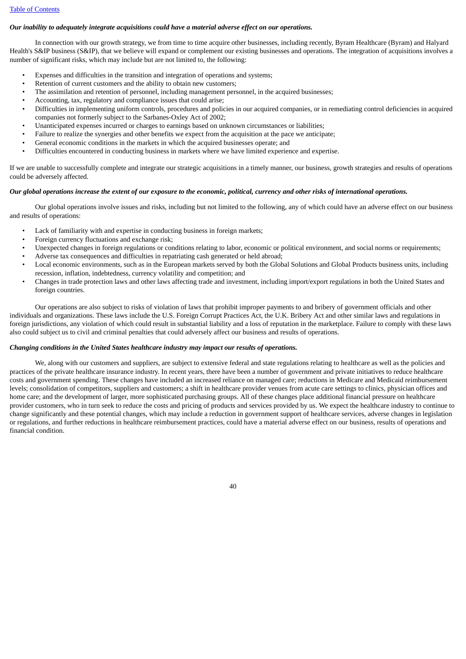### *Our inability to adequately integrate acquisitions could have a material adverse effect on our operations.*

In connection with our growth strategy, we from time to time acquire other businesses, including recently, Byram Healthcare (Byram) and Halyard Health's S&IP business (S&IP), that we believe will expand or complement our existing businesses and operations. The integration of acquisitions involves a number of significant risks, which may include but are not limited to, the following:

- Expenses and difficulties in the transition and integration of operations and systems;
- Retention of current customers and the ability to obtain new customers:
- The assimilation and retention of personnel, including management personnel, in the acquired businesses;
- Accounting, tax, regulatory and compliance issues that could arise;
- Difficulties in implementing uniform controls, procedures and policies in our acquired companies, or in remediating control deficiencies in acquired companies not formerly subject to the Sarbanes-Oxley Act of 2002;
- Unanticipated expenses incurred or charges to earnings based on unknown circumstances or liabilities;
- Failure to realize the synergies and other benefits we expect from the acquisition at the pace we anticipate;
- General economic conditions in the markets in which the acquired businesses operate; and
- Difficulties encountered in conducting business in markets where we have limited experience and expertise.

If we are unable to successfully complete and integrate our strategic acquisitions in a timely manner, our business, growth strategies and results of operations could be adversely affected.

### Our global operations increase the extent of our exposure to the economic, political, currency and other risks of international operations.

Our global operations involve issues and risks, including but not limited to the following, any of which could have an adverse effect on our business and results of operations:

- Lack of familiarity with and expertise in conducting business in foreign markets;
- Foreign currency fluctuations and exchange risk;
- Unexpected changes in foreign regulations or conditions relating to labor, economic or political environment, and social norms or requirements;
- Adverse tax consequences and difficulties in repatriating cash generated or held abroad;
- Local economic environments, such as in the European markets served by both the Global Solutions and Global Products business units, including recession, inflation, indebtedness, currency volatility and competition; and
- Changes in trade protection laws and other laws affecting trade and investment, including import/export regulations in both the United States and foreign countries.

Our operations are also subject to risks of violation of laws that prohibit improper payments to and bribery of government officials and other individuals and organizations. These laws include the U.S. Foreign Corrupt Practices Act, the U.K. Bribery Act and other similar laws and regulations in foreign jurisdictions, any violation of which could result in substantial liability and a loss of reputation in the marketplace. Failure to comply with these laws also could subject us to civil and criminal penalties that could adversely affect our business and results of operations.

### *Changing conditions in the United States healthcare industry may impact our results of operations.*

We, along with our customers and suppliers, are subject to extensive federal and state regulations relating to healthcare as well as the policies and practices of the private healthcare insurance industry. In recent years, there have been a number of government and private initiatives to reduce healthcare costs and government spending. These changes have included an increased reliance on managed care; reductions in Medicare and Medicaid reimbursement levels; consolidation of competitors, suppliers and customers; a shift in healthcare provider venues from acute care settings to clinics, physician offices and home care; and the development of larger, more sophisticated purchasing groups. All of these changes place additional financial pressure on healthcare provider customers, who in turn seek to reduce the costs and pricing of products and services provided by us. We expect the healthcare industry to continue to change significantly and these potential changes, which may include a reduction in government support of healthcare services, adverse changes in legislation or regulations, and further reductions in healthcare reimbursement practices, could have a material adverse effect on our business, results of operations and financial condition.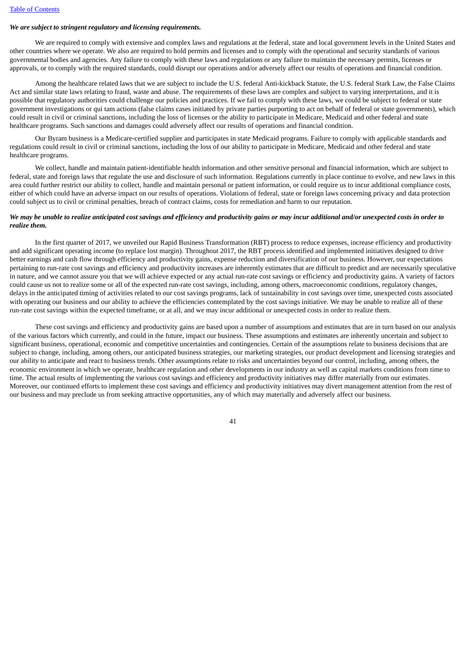# *We are subject to stringent regulatory and licensing requirements.*

We are required to comply with extensive and complex laws and regulations at the federal, state and local government levels in the United States and other countries where we operate. We also are required to hold permits and licenses and to comply with the operational and security standards of various governmental bodies and agencies. Any failure to comply with these laws and regulations or any failure to maintain the necessary permits, licenses or approvals, or to comply with the required standards, could disrupt our operations and/or adversely affect our results of operations and financial condition.

Among the healthcare related laws that we are subject to include the U.S. federal Anti-kickback Statute, the U.S. federal Stark Law, the False Claims Act and similar state laws relating to fraud, waste and abuse. The requirements of these laws are complex and subject to varying interpretations, and it is possible that regulatory authorities could challenge our policies and practices. If we fail to comply with these laws, we could be subject to federal or state government investigations or qui tam actions (false claims cases initiated by private parties purporting to act on behalf of federal or state governments), which could result in civil or criminal sanctions, including the loss of licenses or the ability to participate in Medicare, Medicaid and other federal and state healthcare programs. Such sanctions and damages could adversely affect our results of operations and financial condition.

Our Byram business is a Medicare-certified supplier and participates in state Medicaid programs. Failure to comply with applicable standards and regulations could result in civil or criminal sanctions, including the loss of our ability to participate in Medicare, Medicaid and other federal and state healthcare programs.

We collect, handle and maintain patient-identifiable health information and other sensitive personal and financial information, which are subject to federal, state and foreign laws that regulate the use and disclosure of such information. Regulations currently in place continue to evolve, and new laws in this area could further restrict our ability to collect, handle and maintain personal or patient information, or could require us to incur additional compliance costs, either of which could have an adverse impact on our results of operations. Violations of federal, state or foreign laws concerning privacy and data protection could subject us to civil or criminal penalties, breach of contract claims, costs for remediation and harm to our reputation.

# We may be unable to realize anticipated cost savings and efficiency and productivity gains or may incur additional and/or unexpected costs in order to *realize them.*

In the first quarter of 2017, we unveiled our Rapid Business Transformation (RBT) process to reduce expenses, increase efficiency and productivity and add significant operating income (to replace lost margin). Throughout 2017, the RBT process identified and implemented initiatives designed to drive better earnings and cash flow through efficiency and productivity gains, expense reduction and diversification of our business. However, our expectations pertaining to run-rate cost savings and efficiency and productivity increases are inherently estimates that are difficult to predict and are necessarily speculative in nature, and we cannot assure you that we will achieve expected or any actual run-rate cost savings or efficiency and productivity gains. A variety of factors could cause us not to realize some or all of the expected run-rate cost savings, including, among others, macroeconomic conditions, regulatory changes, delays in the anticipated timing of activities related to our cost savings programs, lack of sustainability in cost savings over time, unexpected costs associated with operating our business and our ability to achieve the efficiencies contemplated by the cost savings initiative. We may be unable to realize all of these run-rate cost savings within the expected timeframe, or at all, and we may incur additional or unexpected costs in order to realize them.

These cost savings and efficiency and productivity gains are based upon a number of assumptions and estimates that are in turn based on our analysis of the various factors which currently, and could in the future, impact our business. These assumptions and estimates are inherently uncertain and subject to significant business, operational, economic and competitive uncertainties and contingencies. Certain of the assumptions relate to business decisions that are subject to change, including, among others, our anticipated business strategies, our marketing strategies, our product development and licensing strategies and our ability to anticipate and react to business trends. Other assumptions relate to risks and uncertainties beyond our control, including, among others, the economic environment in which we operate, healthcare regulation and other developments in our industry as well as capital markets conditions from time to time. The actual results of implementing the various cost savings and efficiency and productivity initiatives may differ materially from our estimates. Moreover, our continued efforts to implement these cost savings and efficiency and productivity initiatives may divert management attention from the rest of our business and may preclude us from seeking attractive opportunities, any of which may materially and adversely affect our business.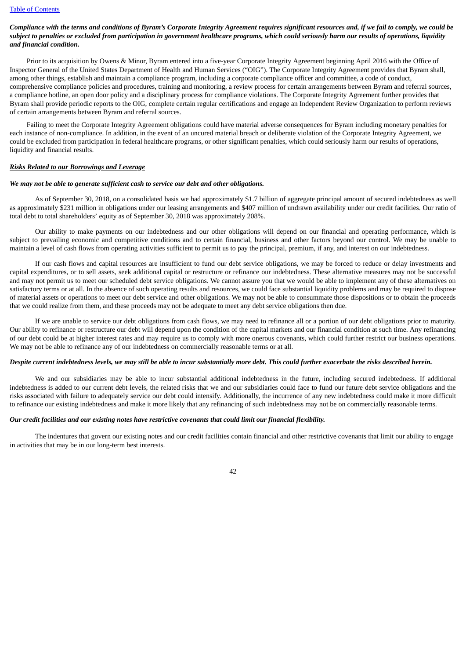# Compliance with the terms and conditions of Byram's Corporate Integrity Agreement requires significant resources and, if we fail to comply, we could be subject to penalties or excluded from participation in government healthcare programs, which could seriously harm our results of operations, liquidity *and financial condition.*

Prior to its acquisition by Owens & Minor, Byram entered into a five-year Corporate Integrity Agreement beginning April 2016 with the Office of Inspector General of the United States Department of Health and Human Services ("OIG"). The Corporate Integrity Agreement provides that Byram shall, among other things, establish and maintain a compliance program, including a corporate compliance officer and committee, a code of conduct, comprehensive compliance policies and procedures, training and monitoring, a review process for certain arrangements between Byram and referral sources, a compliance hotline, an open door policy and a disciplinary process for compliance violations. The Corporate Integrity Agreement further provides that Byram shall provide periodic reports to the OIG, complete certain regular certifications and engage an Independent Review Organization to perform reviews of certain arrangements between Byram and referral sources.

Failing to meet the Corporate Integrity Agreement obligations could have material adverse consequences for Byram including monetary penalties for each instance of non-compliance. In addition, in the event of an uncured material breach or deliberate violation of the Corporate Integrity Agreement, we could be excluded from participation in federal healthcare programs, or other significant penalties, which could seriously harm our results of operations, liquidity and financial results.

### *Risks Related to our Borrowings and Leverage*

### *We may not be able to generate sufficient cash to service our debt and other obligations.*

As of September 30, 2018, on a consolidated basis we had approximately \$1.7 billion of aggregate principal amount of secured indebtedness as well as approximately \$231 million in obligations under our leasing arrangements and \$407 million of undrawn availability under our credit facilities. Our ratio of total debt to total shareholders' equity as of September 30, 2018 was approximately 208%.

Our ability to make payments on our indebtedness and our other obligations will depend on our financial and operating performance, which is subject to prevailing economic and competitive conditions and to certain financial, business and other factors beyond our control. We may be unable to maintain a level of cash flows from operating activities sufficient to permit us to pay the principal, premium, if any, and interest on our indebtedness.

If our cash flows and capital resources are insufficient to fund our debt service obligations, we may be forced to reduce or delay investments and capital expenditures, or to sell assets, seek additional capital or restructure or refinance our indebtedness. These alternative measures may not be successful and may not permit us to meet our scheduled debt service obligations. We cannot assure you that we would be able to implement any of these alternatives on satisfactory terms or at all. In the absence of such operating results and resources, we could face substantial liquidity problems and may be required to dispose of material assets or operations to meet our debt service and other obligations. We may not be able to consummate those dispositions or to obtain the proceeds that we could realize from them, and these proceeds may not be adequate to meet any debt service obligations then due.

If we are unable to service our debt obligations from cash flows, we may need to refinance all or a portion of our debt obligations prior to maturity. Our ability to refinance or restructure our debt will depend upon the condition of the capital markets and our financial condition at such time. Any refinancing of our debt could be at higher interest rates and may require us to comply with more onerous covenants, which could further restrict our business operations. We may not be able to refinance any of our indebtedness on commercially reasonable terms or at all.

### Despite current indebtedness levels, we may still be able to incur substantially more debt. This could further exacerbate the risks described herein.

We and our subsidiaries may be able to incur substantial additional indebtedness in the future, including secured indebtedness. If additional indebtedness is added to our current debt levels, the related risks that we and our subsidiaries could face to fund our future debt service obligations and the risks associated with failure to adequately service our debt could intensify. Additionally, the incurrence of any new indebtedness could make it more difficult to refinance our existing indebtedness and make it more likely that any refinancing of such indebtedness may not be on commercially reasonable terms.

### Our credit facilities and our existing notes have restrictive covenants that could limit our financial flexibility.

The indentures that govern our existing notes and our credit facilities contain financial and other restrictive covenants that limit our ability to engage in activities that may be in our long-term best interests.

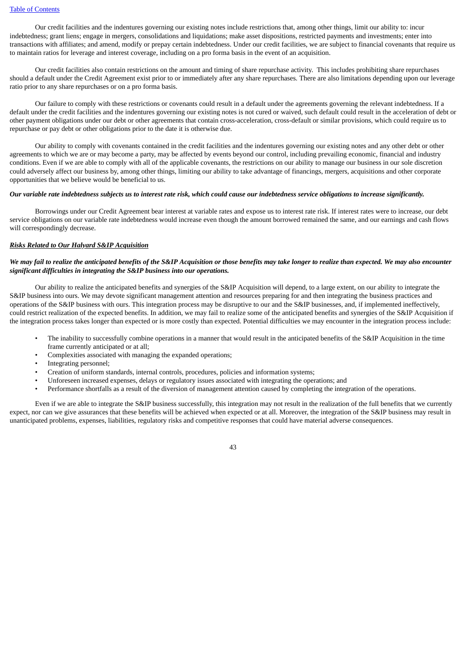Our credit facilities and the indentures governing our existing notes include restrictions that, among other things, limit our ability to: incur indebtedness; grant liens; engage in mergers, consolidations and liquidations; make asset dispositions, restricted payments and investments; enter into transactions with affiliates; and amend, modify or prepay certain indebtedness. Under our credit facilities, we are subject to financial covenants that require us to maintain ratios for leverage and interest coverage, including on a pro forma basis in the event of an acquisition.

Our credit facilities also contain restrictions on the amount and timing of share repurchase activity. This includes prohibiting share repurchases should a default under the Credit Agreement exist prior to or immediately after any share repurchases. There are also limitations depending upon our leverage ratio prior to any share repurchases or on a pro forma basis.

Our failure to comply with these restrictions or covenants could result in a default under the agreements governing the relevant indebtedness. If a default under the credit facilities and the indentures governing our existing notes is not cured or waived, such default could result in the acceleration of debt or other payment obligations under our debt or other agreements that contain cross-acceleration, cross-default or similar provisions, which could require us to repurchase or pay debt or other obligations prior to the date it is otherwise due.

Our ability to comply with covenants contained in the credit facilities and the indentures governing our existing notes and any other debt or other agreements to which we are or may become a party, may be affected by events beyond our control, including prevailing economic, financial and industry conditions. Even if we are able to comply with all of the applicable covenants, the restrictions on our ability to manage our business in our sole discretion could adversely affect our business by, among other things, limiting our ability to take advantage of financings, mergers, acquisitions and other corporate opportunities that we believe would be beneficial to us.

### Our variable rate indebtedness subjects us to interest rate risk, which could cause our indebtedness service obligations to increase significantly.

Borrowings under our Credit Agreement bear interest at variable rates and expose us to interest rate risk. If interest rates were to increase, our debt service obligations on our variable rate indebtedness would increase even though the amount borrowed remained the same, and our earnings and cash flows will correspondingly decrease.

# *Risks Related to Our Halyard S&IP Acquisition*

# We may fail to realize the anticipated benefits of the S&IP Acquisition or those benefits may take longer to realize than expected. We may also encounter *significant difficulties in integrating the S&IP business into our operations.*

Our ability to realize the anticipated benefits and synergies of the S&IP Acquisition will depend, to a large extent, on our ability to integrate the S&IP business into ours. We may devote significant management attention and resources preparing for and then integrating the business practices and operations of the S&IP business with ours. This integration process may be disruptive to our and the S&IP businesses, and, if implemented ineffectively, could restrict realization of the expected benefits. In addition, we may fail to realize some of the anticipated benefits and synergies of the S&IP Acquisition if the integration process takes longer than expected or is more costly than expected. Potential difficulties we may encounter in the integration process include:

- The inability to successfully combine operations in a manner that would result in the anticipated benefits of the S&IP Acquisition in the time frame currently anticipated or at all;
- Complexities associated with managing the expanded operations;
- Integrating personnel;
- Creation of uniform standards, internal controls, procedures, policies and information systems;<br>• Information increased expenses, delays or requisitory issues associated with integrating the open
- Unforeseen increased expenses, delays or regulatory issues associated with integrating the operations; and
- Performance shortfalls as a result of the diversion of management attention caused by completing the integration of the operations.

Even if we are able to integrate the S&IP business successfully, this integration may not result in the realization of the full benefits that we currently expect, nor can we give assurances that these benefits will be achieved when expected or at all. Moreover, the integration of the S&IP business may result in unanticipated problems, expenses, liabilities, regulatory risks and competitive responses that could have material adverse consequences.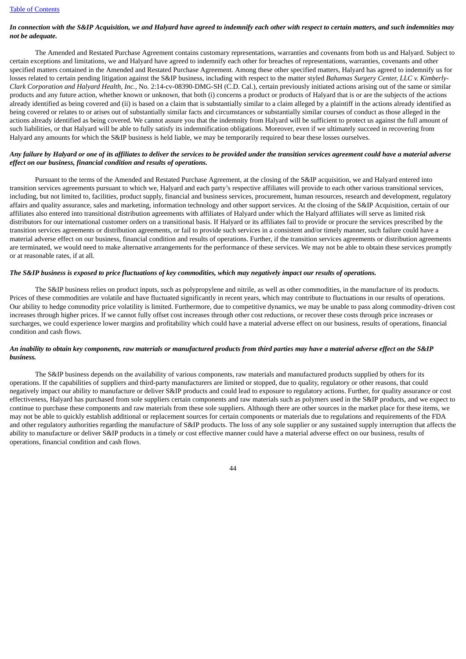### In connection with the S&IP Acquisition, we and Halyard have agreed to indemnify each other with respect to certain matters, and such indemnities may *not be adequate.*

The Amended and Restated Purchase Agreement contains customary representations, warranties and covenants from both us and Halyard. Subject to certain exceptions and limitations, we and Halyard have agreed to indemnify each other for breaches of representations, warranties, covenants and other specified matters contained in the Amended and Restated Purchase Agreement. Among these other specified matters, Halyard has agreed to indemnify us for losses related to certain pending litigation against the S&IP business, including with respect to the matter styled *Bahamas Surgery Center, LLC v. Kimberly-Clark Corporation and Halyard Health, Inc.*, No. 2:14-cv-08390-DMG-SH (C.D. Cal.), certain previously initiated actions arising out of the same or similar products and any future action, whether known or unknown, that both (i) concerns a product or products of Halyard that is or are the subjects of the actions already identified as being covered and (ii) is based on a claim that is substantially similar to a claim alleged by a plaintiff in the actions already identified as being covered or relates to or arises out of substantially similar facts and circumstances or substantially similar courses of conduct as those alleged in the actions already identified as being covered. We cannot assure you that the indemnity from Halyard will be sufficient to protect us against the full amount of such liabilities, or that Halyard will be able to fully satisfy its indemnification obligations. Moreover, even if we ultimately succeed in recovering from Halyard any amounts for which the S&IP business is held liable, we may be temporarily required to bear these losses ourselves.

# Any failure by Halyard or one of its affiliates to deliver the services to be provided under the transition services agreement could have a material adverse *effect on our business, financial condition and results of operations.*

Pursuant to the terms of the Amended and Restated Purchase Agreement, at the closing of the S&IP acquisition, we and Halyard entered into transition services agreements pursuant to which we, Halyard and each party's respective affiliates will provide to each other various transitional services, including, but not limited to, facilities, product supply, financial and business services, procurement, human resources, research and development, regulatory affairs and quality assurance, sales and marketing, information technology and other support services. At the closing of the S&IP Acquisition, certain of our affiliates also entered into transitional distribution agreements with affiliates of Halyard under which the Halyard affiliates will serve as limited risk distributors for our international customer orders on a transitional basis. If Halyard or its affiliates fail to provide or procure the services prescribed by the transition services agreements or distribution agreements, or fail to provide such services in a consistent and/or timely manner, such failure could have a material adverse effect on our business, financial condition and results of operations. Further, if the transition services agreements or distribution agreements are terminated, we would need to make alternative arrangements for the performance of these services. We may not be able to obtain these services promptly or at reasonable rates, if at all.

# The S&IP business is exposed to price fluctuations of key commodities, which may negatively impact our results of operations.

The S&IP business relies on product inputs, such as polypropylene and nitrile, as well as other commodities, in the manufacture of its products. Prices of these commodities are volatile and have fluctuated significantly in recent years, which may contribute to fluctuations in our results of operations. Our ability to hedge commodity price volatility is limited. Furthermore, due to competitive dynamics, we may be unable to pass along commodity-driven cost increases through higher prices. If we cannot fully offset cost increases through other cost reductions, or recover these costs through price increases or surcharges, we could experience lower margins and profitability which could have a material adverse effect on our business, results of operations, financial condition and cash flows.

# An inability to obtain key components, raw materials or manufactured products from third parties may have a material adverse effect on the S&IP *business.*

The S&IP business depends on the availability of various components, raw materials and manufactured products supplied by others for its operations. If the capabilities of suppliers and third-party manufacturers are limited or stopped, due to quality, regulatory or other reasons, that could negatively impact our ability to manufacture or deliver S&IP products and could lead to exposure to regulatory actions. Further, for quality assurance or cost effectiveness, Halyard has purchased from sole suppliers certain components and raw materials such as polymers used in the S&IP products, and we expect to continue to purchase these components and raw materials from these sole suppliers. Although there are other sources in the market place for these items, we may not be able to quickly establish additional or replacement sources for certain components or materials due to regulations and requirements of the FDA and other regulatory authorities regarding the manufacture of S&IP products. The loss of any sole supplier or any sustained supply interruption that affects the ability to manufacture or deliver S&IP products in a timely or cost effective manner could have a material adverse effect on our business, results of operations, financial condition and cash flows.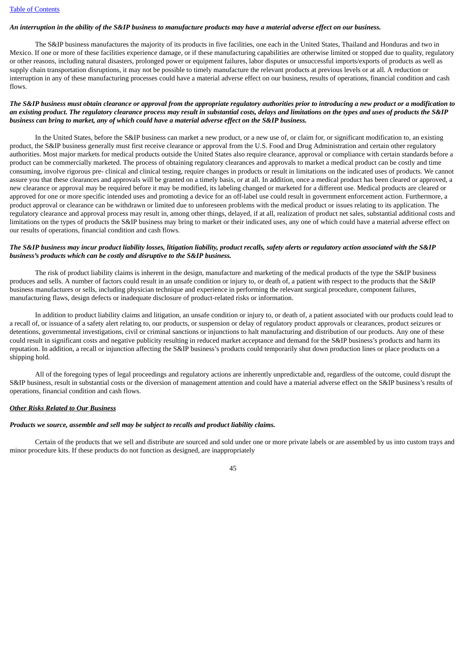# An interruption in the ability of the S&IP business to manufacture products may have a material adverse effect on our business.

The S&IP business manufactures the majority of its products in five facilities, one each in the United States, Thailand and Honduras and two in Mexico. If one or more of these facilities experience damage, or if these manufacturing capabilities are otherwise limited or stopped due to quality, regulatory or other reasons, including natural disasters, prolonged power or equipment failures, labor disputes or unsuccessful imports/exports of products as well as supply chain transportation disruptions, it may not be possible to timely manufacture the relevant products at previous levels or at all. A reduction or interruption in any of these manufacturing processes could have a material adverse effect on our business, results of operations, financial condition and cash flows.

# The S&IP business must obtain clearance or approval from the appropriate reaulatory authorities prior to introducing a new product or a modification to an existing product. The regulatory clearance process may result in substantial costs, delays and limitations on the types and uses of products the S&IP business can bring to market, any of which could have a material adverse effect on the S&IP business.

In the United States, before the S&IP business can market a new product, or a new use of, or claim for, or significant modification to, an existing product, the S&IP business generally must first receive clearance or approval from the U.S. Food and Drug Administration and certain other regulatory authorities. Most major markets for medical products outside the United States also require clearance, approval or compliance with certain standards before a product can be commercially marketed. The process of obtaining regulatory clearances and approvals to market a medical product can be costly and time consuming, involve rigorous pre- clinical and clinical testing, require changes in products or result in limitations on the indicated uses of products. We cannot assure you that these clearances and approvals will be granted on a timely basis, or at all. In addition, once a medical product has been cleared or approved, a new clearance or approval may be required before it may be modified, its labeling changed or marketed for a different use. Medical products are cleared or approved for one or more specific intended uses and promoting a device for an off-label use could result in government enforcement action. Furthermore, a product approval or clearance can be withdrawn or limited due to unforeseen problems with the medical product or issues relating to its application. The regulatory clearance and approval process may result in, among other things, delayed, if at all, realization of product net sales, substantial additional costs and limitations on the types of products the S&IP business may bring to market or their indicated uses, any one of which could have a material adverse effect on our results of operations, financial condition and cash flows.

# The S&IP business may incur product liability losses, litigation liability, product recalls, safety alerts or regulatory action associated with the S&IP *business's products which can be costly and disruptive to the S&IP business.*

The risk of product liability claims is inherent in the design, manufacture and marketing of the medical products of the type the S&IP business produces and sells. A number of factors could result in an unsafe condition or injury to, or death of, a patient with respect to the products that the S&IP business manufactures or sells, including physician technique and experience in performing the relevant surgical procedure, component failures, manufacturing flaws, design defects or inadequate disclosure of product-related risks or information.

In addition to product liability claims and litigation, an unsafe condition or injury to, or death of, a patient associated with our products could lead to a recall of, or issuance of a safety alert relating to, our products, or suspension or delay of regulatory product approvals or clearances, product seizures or detentions, governmental investigations, civil or criminal sanctions or injunctions to halt manufacturing and distribution of our products. Any one of these could result in significant costs and negative publicity resulting in reduced market acceptance and demand for the S&IP business's products and harm its reputation. In addition, a recall or injunction affecting the S&IP business's products could temporarily shut down production lines or place products on a shipping hold.

All of the foregoing types of legal proceedings and regulatory actions are inherently unpredictable and, regardless of the outcome, could disrupt the S&IP business, result in substantial costs or the diversion of management attention and could have a material adverse effect on the S&IP business's results of operations, financial condition and cash flows.

# *Other Risks Related to Our Business*

# *Products we source, assemble and sell may be subject to recalls and product liability claims.*

Certain of the products that we sell and distribute are sourced and sold under one or more private labels or are assembled by us into custom trays and minor procedure kits. If these products do not function as designed, are inappropriately

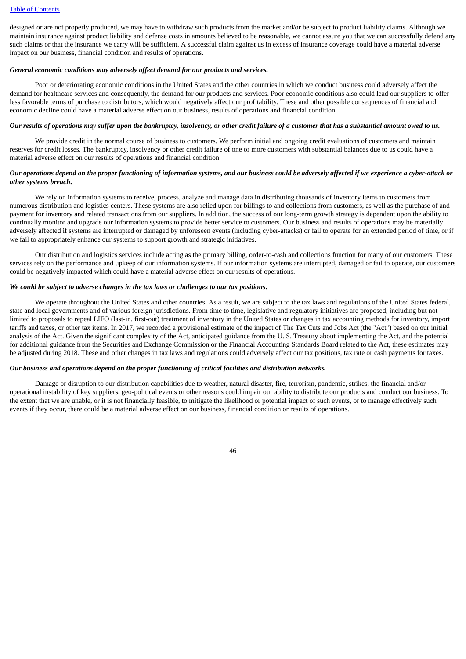designed or are not properly produced, we may have to withdraw such products from the market and/or be subject to product liability claims. Although we maintain insurance against product liability and defense costs in amounts believed to be reasonable, we cannot assure you that we can successfully defend any such claims or that the insurance we carry will be sufficient. A successful claim against us in excess of insurance coverage could have a material adverse impact on our business, financial condition and results of operations.

#### *General economic conditions may adversely affect demand for our products and services.*

Poor or deteriorating economic conditions in the United States and the other countries in which we conduct business could adversely affect the demand for healthcare services and consequently, the demand for our products and services. Poor economic conditions also could lead our suppliers to offer less favorable terms of purchase to distributors, which would negatively affect our profitability. These and other possible consequences of financial and economic decline could have a material adverse effect on our business, results of operations and financial condition.

### Our results of operations may suffer upon the bankruptcy, insolvency, or other credit failure of a customer that has a substantial amount owed to us.

We provide credit in the normal course of business to customers. We perform initial and ongoing credit evaluations of customers and maintain reserves for credit losses. The bankruptcy, insolvency or other credit failure of one or more customers with substantial balances due to us could have a material adverse effect on our results of operations and financial condition.

# Our operations depend on the proper functioning of information systems, and our business could be adversely affected if we experience a cyber-attack or *other systems breach***.**

We rely on information systems to receive, process, analyze and manage data in distributing thousands of inventory items to customers from numerous distribution and logistics centers. These systems are also relied upon for billings to and collections from customers, as well as the purchase of and payment for inventory and related transactions from our suppliers. In addition, the success of our long-term growth strategy is dependent upon the ability to continually monitor and upgrade our information systems to provide better service to customers. Our business and results of operations may be materially adversely affected if systems are interrupted or damaged by unforeseen events (including cyber-attacks) or fail to operate for an extended period of time, or if we fail to appropriately enhance our systems to support growth and strategic initiatives.

Our distribution and logistics services include acting as the primary billing, order-to-cash and collections function for many of our customers. These services rely on the performance and upkeep of our information systems. If our information systems are interrupted, damaged or fail to operate, our customers could be negatively impacted which could have a material adverse effect on our results of operations.

### *We could be subject to adverse changes in the tax laws or challenges to our tax positions***.**

We operate throughout the United States and other countries. As a result, we are subject to the tax laws and regulations of the United States federal, state and local governments and of various foreign jurisdictions. From time to time, legislative and regulatory initiatives are proposed, including but not limited to proposals to repeal LIFO (last-in, first-out) treatment of inventory in the United States or changes in tax accounting methods for inventory, import tariffs and taxes, or other tax items. In 2017, we recorded a provisional estimate of the impact of The Tax Cuts and Jobs Act (the "Act") based on our initial analysis of the Act. Given the significant complexity of the Act, anticipated guidance from the U. S. Treasury about implementing the Act, and the potential for additional guidance from the Securities and Exchange Commission or the Financial Accounting Standards Board related to the Act, these estimates may be adjusted during 2018. These and other changes in tax laws and regulations could adversely affect our tax positions, tax rate or cash payments for taxes.

### *Our business and operations depend on the proper functioning of critical facilities and distribution networks.*

Damage or disruption to our distribution capabilities due to weather, natural disaster, fire, terrorism, pandemic, strikes, the financial and/or operational instability of key suppliers, geo-political events or other reasons could impair our ability to distribute our products and conduct our business. To the extent that we are unable, or it is not financially feasible, to mitigate the likelihood or potential impact of such events, or to manage effectively such events if they occur, there could be a material adverse effect on our business, financial condition or results of operations.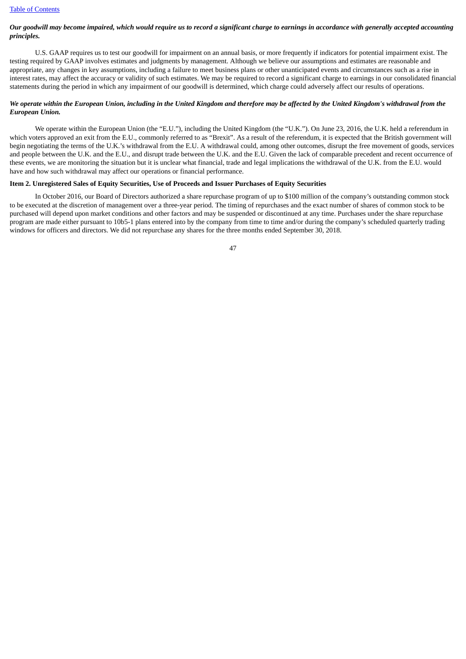### Our goodwill may become impaired, which would require us to record a significant charge to earnings in accordance with generally accepted accounting *principles.*

U.S. GAAP requires us to test our goodwill for impairment on an annual basis, or more frequently if indicators for potential impairment exist. The testing required by GAAP involves estimates and judgments by management. Although we believe our assumptions and estimates are reasonable and appropriate, any changes in key assumptions, including a failure to meet business plans or other unanticipated events and circumstances such as a rise in interest rates, may affect the accuracy or validity of such estimates. We may be required to record a significant charge to earnings in our consolidated financial statements during the period in which any impairment of our goodwill is determined, which charge could adversely affect our results of operations.

# We operate within the European Union, including in the United Kingdom and therefore may be affected by the United Kingdom's withdrawal from the *European Union.*

We operate within the European Union (the "E.U."), including the United Kingdom (the "U.K."). On June 23, 2016, the U.K. held a referendum in which voters approved an exit from the E.U., commonly referred to as "Brexit". As a result of the referendum, it is expected that the British government will begin negotiating the terms of the U.K.'s withdrawal from the E.U. A withdrawal could, among other outcomes, disrupt the free movement of goods, services and people between the U.K. and the E.U., and disrupt trade between the U.K. and the E.U. Given the lack of comparable precedent and recent occurrence of these events, we are monitoring the situation but it is unclear what financial, trade and legal implications the withdrawal of the U.K. from the E.U. would have and how such withdrawal may affect our operations or financial performance.

# <span id="page-46-0"></span>**Item 2. Unregistered Sales of Equity Securities, Use of Proceeds and Issuer Purchases of Equity Securities**

In October 2016, our Board of Directors authorized a share repurchase program of up to \$100 million of the company's outstanding common stock to be executed at the discretion of management over a three-year period. The timing of repurchases and the exact number of shares of common stock to be purchased will depend upon market conditions and other factors and may be suspended or discontinued at any time. Purchases under the share repurchase program are made either pursuant to 10b5-1 plans entered into by the company from time to time and/or during the company's scheduled quarterly trading windows for officers and directors. We did not repurchase any shares for the three months ended September 30, 2018.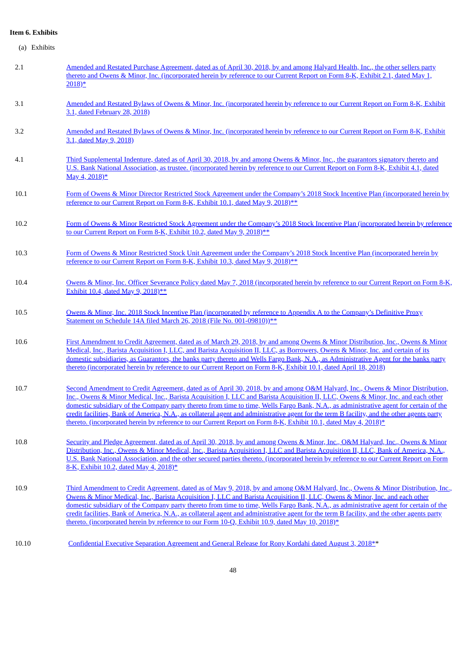# <span id="page-47-0"></span>**Item 6. Exhibits**

(a) Exhibits

| 2.1  | Amended and Restated Purchase Agreement, dated as of April 30, 2018, by and among Halyard Health, Inc., the other sellers party<br>thereto and Owens & Minor, Inc. (incorporated herein by reference to our Current Report on Form 8-K, Exhibit 2.1, dated May 1,<br>$2018)*$                                                                                                                                                                                                                                                                                                                                                                                                 |
|------|-------------------------------------------------------------------------------------------------------------------------------------------------------------------------------------------------------------------------------------------------------------------------------------------------------------------------------------------------------------------------------------------------------------------------------------------------------------------------------------------------------------------------------------------------------------------------------------------------------------------------------------------------------------------------------|
| 3.1  | Amended and Restated Bylaws of Owens & Minor, Inc. (incorporated herein by reference to our Current Report on Form 8-K, Exhibit<br>3.1, dated February 28, 2018)                                                                                                                                                                                                                                                                                                                                                                                                                                                                                                              |
| 3.2  | Amended and Restated Bylaws of Owens & Minor, Inc. (incorporated herein by reference to our Current Report on Form 8-K, Exhibit<br>3.1, dated May 9, 2018)                                                                                                                                                                                                                                                                                                                                                                                                                                                                                                                    |
| 4.1  | Third Supplemental Indenture, dated as of April 30, 2018, by and among Owens & Minor, Inc., the guarantors signatory thereto and<br>U.S. Bank National Association, as trustee. (incorporated herein by reference to our Current Report on Form 8-K, Exhibit 4.1, dated<br>May 4, 2018)*                                                                                                                                                                                                                                                                                                                                                                                      |
| 10.1 | Form of Owens & Minor Director Restricted Stock Agreement under the Company's 2018 Stock Incentive Plan (incorporated herein by<br>reference to our Current Report on Form 8-K, Exhibit 10.1, dated May 9, 2018)**                                                                                                                                                                                                                                                                                                                                                                                                                                                            |
| 10.2 | Form of Owens & Minor Restricted Stock Agreement under the Company's 2018 Stock Incentive Plan (incorporated herein by reference<br>to our Current Report on Form 8-K, Exhibit 10.2, dated May 9, 2018)**                                                                                                                                                                                                                                                                                                                                                                                                                                                                     |
| 10.3 | Form of Owens & Minor Restricted Stock Unit Agreement under the Company's 2018 Stock Incentive Plan (incorporated herein by<br>reference to our Current Report on Form 8-K, Exhibit 10.3, dated May 9, 2018)**                                                                                                                                                                                                                                                                                                                                                                                                                                                                |
| 10.4 | Owens & Minor, Inc. Officer Severance Policy dated May 7, 2018 (incorporated herein by reference to our Current Report on Form 8-K,<br>Exhibit 10.4, dated May 9, 2018)**                                                                                                                                                                                                                                                                                                                                                                                                                                                                                                     |
| 10.5 | Owens & Minor, Inc. 2018 Stock Incentive Plan (incorporated by reference to Appendix A to the Company's Definitive Proxy<br>Statement on Schedule 14A filed March 26, 2018 (File No. 001-09810))**                                                                                                                                                                                                                                                                                                                                                                                                                                                                            |
| 10.6 | First Amendment to Credit Agreement, dated as of March 29, 2018, by and among Owens & Minor Distribution, Inc., Owens & Minor<br>Medical, Inc., Barista Acquisition I, LLC, and Barista Acquisition II, LLC, as Borrowers, Owens & Minor, Inc. and certain of its<br>domestic subsidiaries, as Guarantors, the banks party thereto and Wells Fargo Bank, N.A., as Administrative Agent for the banks party<br>thereto (incorporated herein by reference to our Current Report on Form 8-K, Exhibit 10.1, dated April 18, 2018)                                                                                                                                                |
| 10.7 | Second Amendment to Credit Agreement, dated as of April 30, 2018, by and among O&M Halyard, Inc., Owens & Minor Distribution,<br>Inc., Owens & Minor Medical, Inc., Barista Acquisition I, LLC and Barista Acquisition II, LLC, Owens & Minor, Inc. and each other<br>domestic subsidiary of the Company party thereto from time to time, Wells Fargo Bank, N.A., as administrative agent for certain of the<br>credit facilities, Bank of America, N.A., as collateral agent and administrative agent for the term B facility, and the other agents party<br>thereto. (incorporated herein by reference to our Current Report on Form 8-K, Exhibit 10.1, dated May 4, 2018)* |
| 10.8 | Security and Pledge Agreement, dated as of April 30, 2018, by and among Owens & Minor, Inc., O&M Halyard, Inc., Owens & Minor<br>Distribution, Inc., Owens & Minor Medical, Inc., Barista Acquisition I, LLC and Barista Acquisition II, LLC, Bank of America, N.A.,<br>U.S. Bank National Association, and the other secured parties thereto. (incorporated herein by reference to our Current Report on Form<br>8-K, Exhibit 10.2, dated May 4, 2018)*                                                                                                                                                                                                                      |
| 10.9 | Third Amendment to Credit Agreement, dated as of May 9, 2018, by and among O&M Halyard, Inc., Owens & Minor Distribution, Inc.,<br>Owens & Minor Medical, Inc., Barista Acquisition I, LLC and Barista Acquisition II, LLC, Owens & Minor, Inc. and each other<br>domestic subsidiary of the Company party thereto from time to time, Wells Fargo Bank, N.A., as administrative agent for certain of the<br>credit facilities, Bank of America, N.A., as collateral agent and administrative agent for the term B facility, and the other agents party<br>thereto. (incorporated herein by reference to our Form 10-Q, Exhibit 10.9, dated May 10, 2018)*                     |

10.10 [Confidential](http://www.sec.gov/Archives/edgar/data/75252/000007525218000115/rkordahiexecutedseparati.htm) Executive Separation Agreement and General Release for Rony Kordahi dated August 3, 2018<sup>\*</sup>\*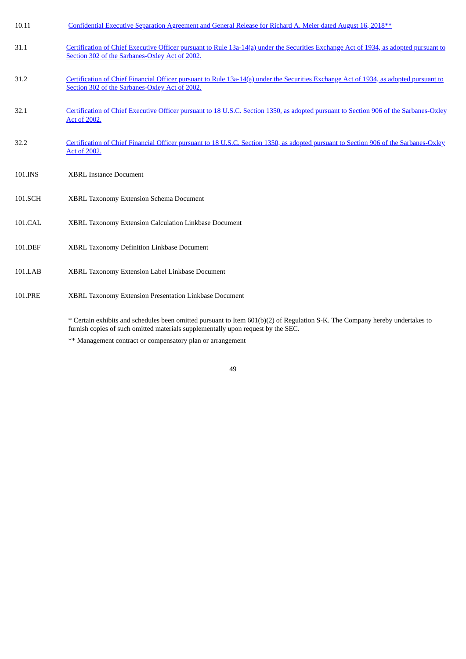| 10.11 |  |  |  | Confidential Executive Separation Agreement and General Release for Richard A. Meier dated August 16, 2018 <sup>**</sup> |
|-------|--|--|--|--------------------------------------------------------------------------------------------------------------------------|
|-------|--|--|--|--------------------------------------------------------------------------------------------------------------------------|

- 31.1 Certification of Chief Executive Officer pursuant to Rule 13a-14(a) under the Securities Exchange Act of 1934, as adopted pursuant to Section 302 of the [Sarbanes-Oxley](#page-50-0) Act of 2002.
- 31.2 Certification of Chief Financial Officer pursuant to Rule 13a-14(a) under the Securities Exchange Act of 1934, as adopted pursuant to Section 302 of the [Sarbanes-Oxley](#page-51-0) Act of 2002.
- 32.1 Certification of Chief Executive Officer pursuant to 18 U.S.C. Section 1350, as adopted pursuant to Section 906 of the [Sarbanes-Oxley](#page-52-0) Act of 2002.
- 32.2 Certification of Chief Financial Officer pursuant to 18 U.S.C. Section 1350, as adopted pursuant to Section 906 of the [Sarbanes-Oxley](#page-53-0) Act of 2002.
- 101.INS XBRL Instance Document
- 101.SCH XBRL Taxonomy Extension Schema Document
- 101.CAL XBRL Taxonomy Extension Calculation Linkbase Document
- 101.DEF XBRL Taxonomy Definition Linkbase Document
- 101.LAB XBRL Taxonomy Extension Label Linkbase Document
- 101.PRE XBRL Taxonomy Extension Presentation Linkbase Document

\* Certain exhibits and schedules been omitted pursuant to Item 601(b)(2) of Regulation S-K. The Company hereby undertakes to furnish copies of such omitted materials supplementally upon request by the SEC.

\*\* Management contract or compensatory plan or arrangement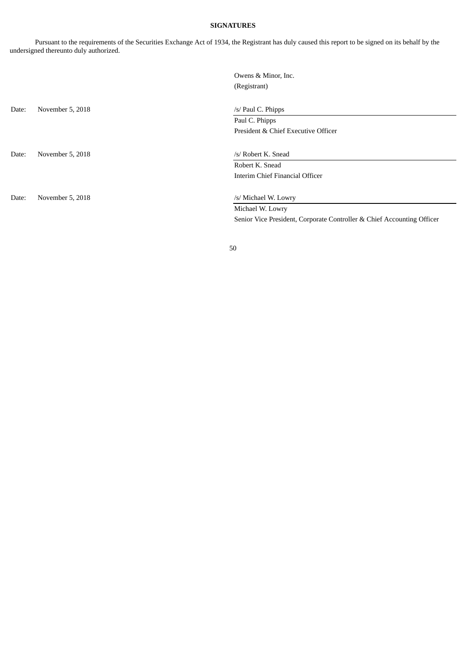# **SIGNATURES**

<span id="page-49-0"></span>Pursuant to the requirements of the Securities Exchange Act of 1934, the Registrant has duly caused this report to be signed on its behalf by the undersigned thereunto duly authorized.

|                  | Owens & Minor, Inc.                                                    |
|------------------|------------------------------------------------------------------------|
|                  | (Registrant)                                                           |
|                  |                                                                        |
| November 5, 2018 | /s/ Paul C. Phipps                                                     |
|                  | Paul C. Phipps                                                         |
|                  | President & Chief Executive Officer                                    |
|                  |                                                                        |
| November 5, 2018 | /s/ Robert K. Snead                                                    |
|                  | Robert K. Snead                                                        |
|                  | Interim Chief Financial Officer                                        |
|                  |                                                                        |
| November 5, 2018 | /s/ Michael W. Lowry                                                   |
|                  | Michael W. Lowry                                                       |
|                  | Senior Vice President, Corporate Controller & Chief Accounting Officer |
|                  |                                                                        |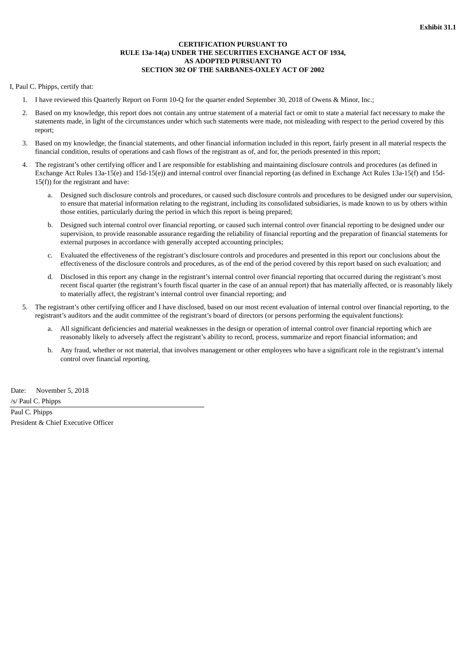# **CERTIFICATION PURSUANT TO RULE 13a-14(a) UNDER THE SECURITIES EXCHANGE ACT OF 1934, AS ADOPTED PURSUANT TO SECTION 302 OF THE SARBANES-OXLEY ACT OF 2002**

# <span id="page-50-0"></span>I, Paul C. Phipps, certify that:

- 1. I have reviewed this Quarterly Report on Form 10-Q for the quarter ended September 30, 2018 of Owens & Minor, Inc.;
- 2. Based on my knowledge, this report does not contain any untrue statement of a material fact or omit to state a material fact necessary to make the statements made, in light of the circumstances under which such statements were made, not misleading with respect to the period covered by this report;
- 3. Based on my knowledge, the financial statements, and other financial information included in this report, fairly present in all material respects the financial condition, results of operations and cash flows of the registrant as of, and for, the periods presented in this report;
- 4. The registrant's other certifying officer and I are responsible for establishing and maintaining disclosure controls and procedures (as defined in Exchange Act Rules 13a-15(e) and 15d-15(e)) and internal control over financial reporting (as defined in Exchange Act Rules 13a-15(f) and 15d- $15(f)$ ) for the registrant and have:
	- a. Designed such disclosure controls and procedures, or caused such disclosure controls and procedures to be designed under our supervision, to ensure that material information relating to the registrant, including its consolidated subsidiaries, is made known to us by others within those entities, particularly during the period in which this report is being prepared;
	- b. Designed such internal control over financial reporting, or caused such internal control over financial reporting to be designed under our supervision, to provide reasonable assurance regarding the reliability of financial reporting and the preparation of financial statements for external purposes in accordance with generally accepted accounting principles;
	- c. Evaluated the effectiveness of the registrant's disclosure controls and procedures and presented in this report our conclusions about the effectiveness of the disclosure controls and procedures, as of the end of the period covered by this report based on such evaluation; and
	- d. Disclosed in this report any change in the registrant's internal control over financial reporting that occurred during the registrant's most recent fiscal quarter (the registrant's fourth fiscal quarter in the case of an annual report) that has materially affected, or is reasonably likely to materially affect, the registrant's internal control over financial reporting; and
- 5. The registrant's other certifying officer and I have disclosed, based on our most recent evaluation of internal control over financial reporting, to the registrant's auditors and the audit committee of the registrant's board of directors (or persons performing the equivalent functions):
	- a. All significant deficiencies and material weaknesses in the design or operation of internal control over financial reporting which are reasonably likely to adversely affect the registrant's ability to record, process, summarize and report financial information; and
	- b. Any fraud, whether or not material, that involves management or other employees who have a significant role in the registrant's internal control over financial reporting.

Date: November 5, 2018

/s/ Paul C. Phipps

Paul C. Phipps President & Chief Executive Officer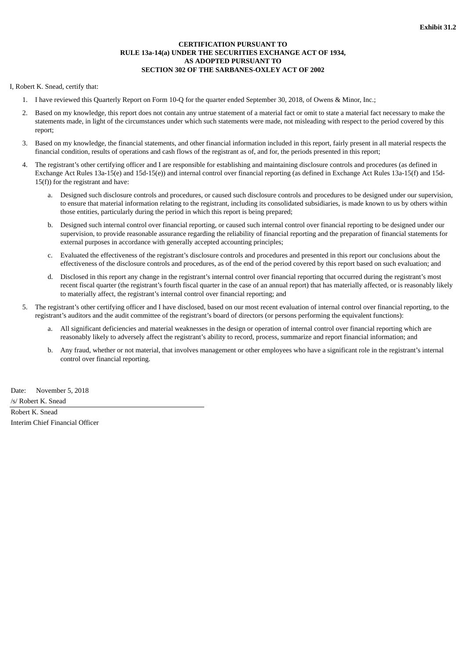# **CERTIFICATION PURSUANT TO RULE 13a-14(a) UNDER THE SECURITIES EXCHANGE ACT OF 1934, AS ADOPTED PURSUANT TO SECTION 302 OF THE SARBANES-OXLEY ACT OF 2002**

### <span id="page-51-0"></span>I, Robert K. Snead, certify that:

- 1. I have reviewed this Quarterly Report on Form 10-Q for the quarter ended September 30, 2018, of Owens & Minor, Inc.;
- 2. Based on my knowledge, this report does not contain any untrue statement of a material fact or omit to state a material fact necessary to make the statements made, in light of the circumstances under which such statements were made, not misleading with respect to the period covered by this report;
- 3. Based on my knowledge, the financial statements, and other financial information included in this report, fairly present in all material respects the financial condition, results of operations and cash flows of the registrant as of, and for, the periods presented in this report;
- 4. The registrant's other certifying officer and I are responsible for establishing and maintaining disclosure controls and procedures (as defined in Exchange Act Rules 13a-15(e) and 15d-15(e)) and internal control over financial reporting (as defined in Exchange Act Rules 13a-15(f) and 15d- $15(f)$ ) for the registrant and have:
	- a. Designed such disclosure controls and procedures, or caused such disclosure controls and procedures to be designed under our supervision, to ensure that material information relating to the registrant, including its consolidated subsidiaries, is made known to us by others within those entities, particularly during the period in which this report is being prepared;
	- b. Designed such internal control over financial reporting, or caused such internal control over financial reporting to be designed under our supervision, to provide reasonable assurance regarding the reliability of financial reporting and the preparation of financial statements for external purposes in accordance with generally accepted accounting principles;
	- c. Evaluated the effectiveness of the registrant's disclosure controls and procedures and presented in this report our conclusions about the effectiveness of the disclosure controls and procedures, as of the end of the period covered by this report based on such evaluation; and
	- d. Disclosed in this report any change in the registrant's internal control over financial reporting that occurred during the registrant's most recent fiscal quarter (the registrant's fourth fiscal quarter in the case of an annual report) that has materially affected, or is reasonably likely to materially affect, the registrant's internal control over financial reporting; and
- 5. The registrant's other certifying officer and I have disclosed, based on our most recent evaluation of internal control over financial reporting, to the registrant's auditors and the audit committee of the registrant's board of directors (or persons performing the equivalent functions):
	- a. All significant deficiencies and material weaknesses in the design or operation of internal control over financial reporting which are reasonably likely to adversely affect the registrant's ability to record, process, summarize and report financial information; and
	- b. Any fraud, whether or not material, that involves management or other employees who have a significant role in the registrant's internal control over financial reporting.

Date: November 5, 2018

/s/ Robert K. Snead

Robert K. Snead Interim Chief Financial Officer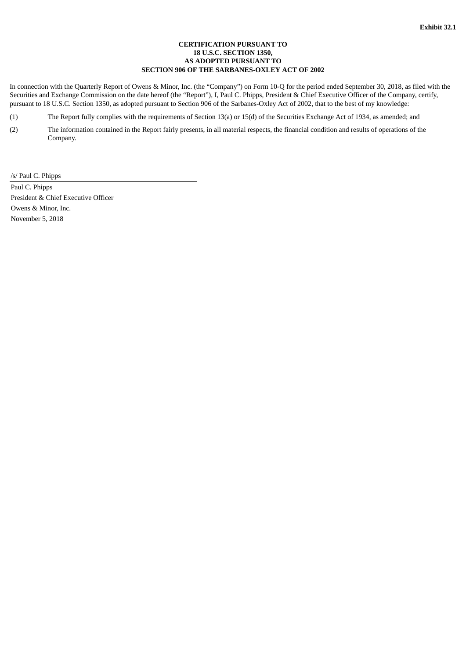# **CERTIFICATION PURSUANT TO 18 U.S.C. SECTION 1350, AS ADOPTED PURSUANT TO SECTION 906 OF THE SARBANES-OXLEY ACT OF 2002**

<span id="page-52-0"></span>In connection with the Quarterly Report of Owens & Minor, Inc. (the "Company") on Form 10-Q for the period ended September 30, 2018, as filed with the Securities and Exchange Commission on the date hereof (the "Report"), I, Paul C. Phipps, President & Chief Executive Officer of the Company, certify, pursuant to 18 U.S.C. Section 1350, as adopted pursuant to Section 906 of the Sarbanes-Oxley Act of 2002, that to the best of my knowledge:

(1) The Report fully complies with the requirements of Section 13(a) or 15(d) of the Securities Exchange Act of 1934, as amended; and

(2) The information contained in the Report fairly presents, in all material respects, the financial condition and results of operations of the Company.

/s/ Paul C. Phipps

Paul C. Phipps President & Chief Executive Officer Owens & Minor, Inc. November 5, 2018